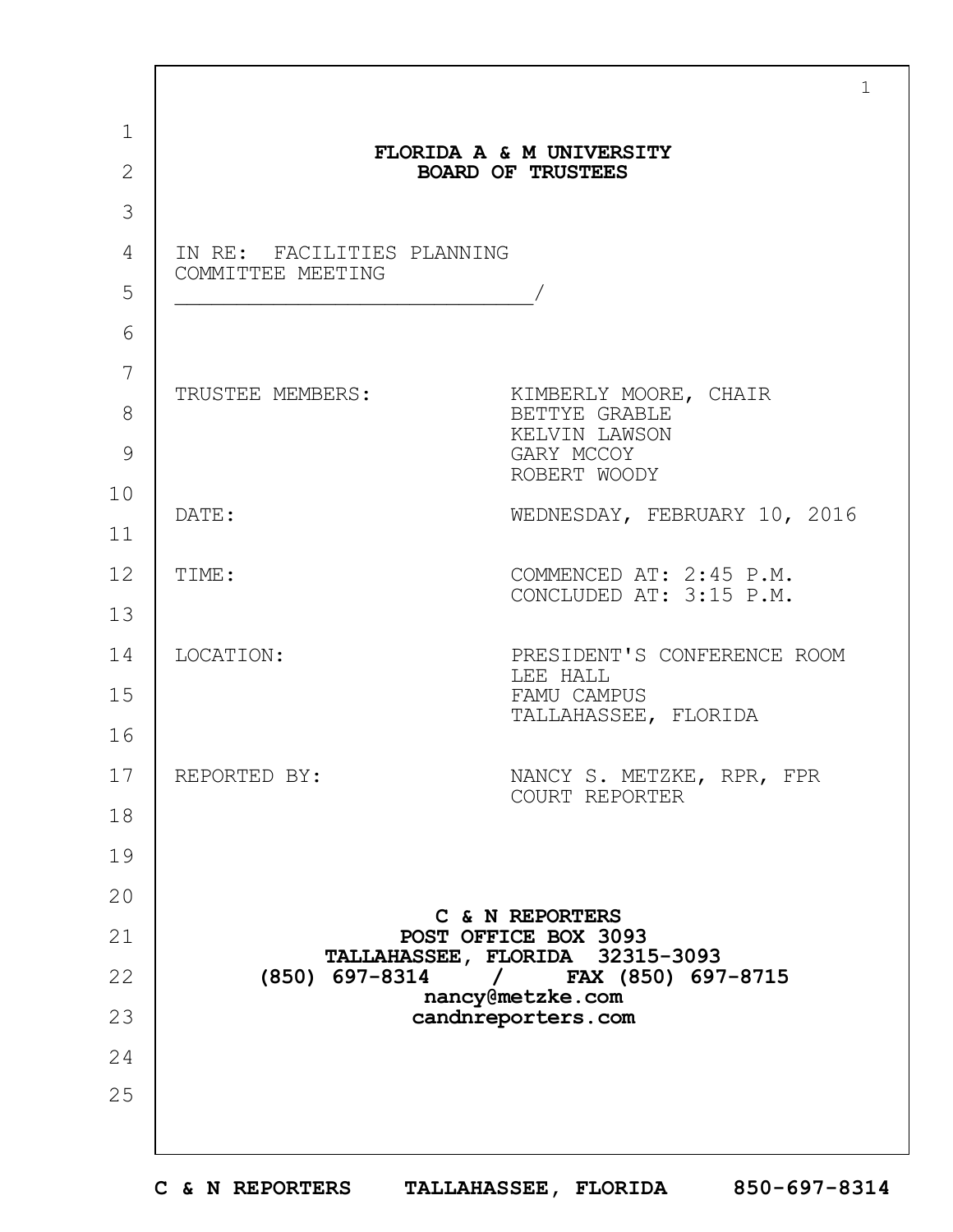|                |                            | $\mathbf{1}$                                                      |  |  |  |
|----------------|----------------------------|-------------------------------------------------------------------|--|--|--|
| $\mathbf 1$    |                            | FLORIDA A & M UNIVERSITY                                          |  |  |  |
| $\overline{2}$ |                            | <b>BOARD OF TRUSTEES</b>                                          |  |  |  |
| 3              |                            |                                                                   |  |  |  |
| 4              | IN RE: FACILITIES PLANNING |                                                                   |  |  |  |
| 5              | COMMITTEE MEETING          |                                                                   |  |  |  |
| 6              |                            |                                                                   |  |  |  |
| 7              |                            |                                                                   |  |  |  |
| 8              | TRUSTEE MEMBERS:           | KIMBERLY MOORE, CHAIR<br>BETTYE GRABLE                            |  |  |  |
| 9              |                            | KELVIN LAWSON<br>GARY MCCOY                                       |  |  |  |
| 10             |                            | ROBERT WOODY                                                      |  |  |  |
| 11             | DATE:                      | WEDNESDAY, FEBRUARY 10, 2016                                      |  |  |  |
| 12             | TIME:                      | COMMENCED AT: 2:45 P.M.                                           |  |  |  |
| 13             |                            | CONCLUDED AT: 3:15 P.M.                                           |  |  |  |
| 14             | LOCATION:                  | PRESIDENT'S CONFERENCE ROOM                                       |  |  |  |
| 15             |                            | LEE HALL<br>FAMU CAMPUS                                           |  |  |  |
| 16             |                            | TALLAHASSEE, FLORIDA                                              |  |  |  |
| 17             | REPORTED BY:               | NANCY S. METZKE, RPR, FPR<br>COURT REPORTER                       |  |  |  |
| 18             |                            |                                                                   |  |  |  |
| 19             |                            |                                                                   |  |  |  |
| 20             |                            |                                                                   |  |  |  |
| 21             |                            | C & N REPORTERS<br>POST OFFICE BOX 3093                           |  |  |  |
| 22             | $(850)$ 697-8314           | TALLAHASSEE, FLORIDA 32315-3093<br>FAX (850) 697-8715<br>$\prime$ |  |  |  |
| 23             |                            | nancy@metzke.com<br>candnreporters.com                            |  |  |  |
| 24             |                            |                                                                   |  |  |  |
| 25             |                            |                                                                   |  |  |  |
|                |                            |                                                                   |  |  |  |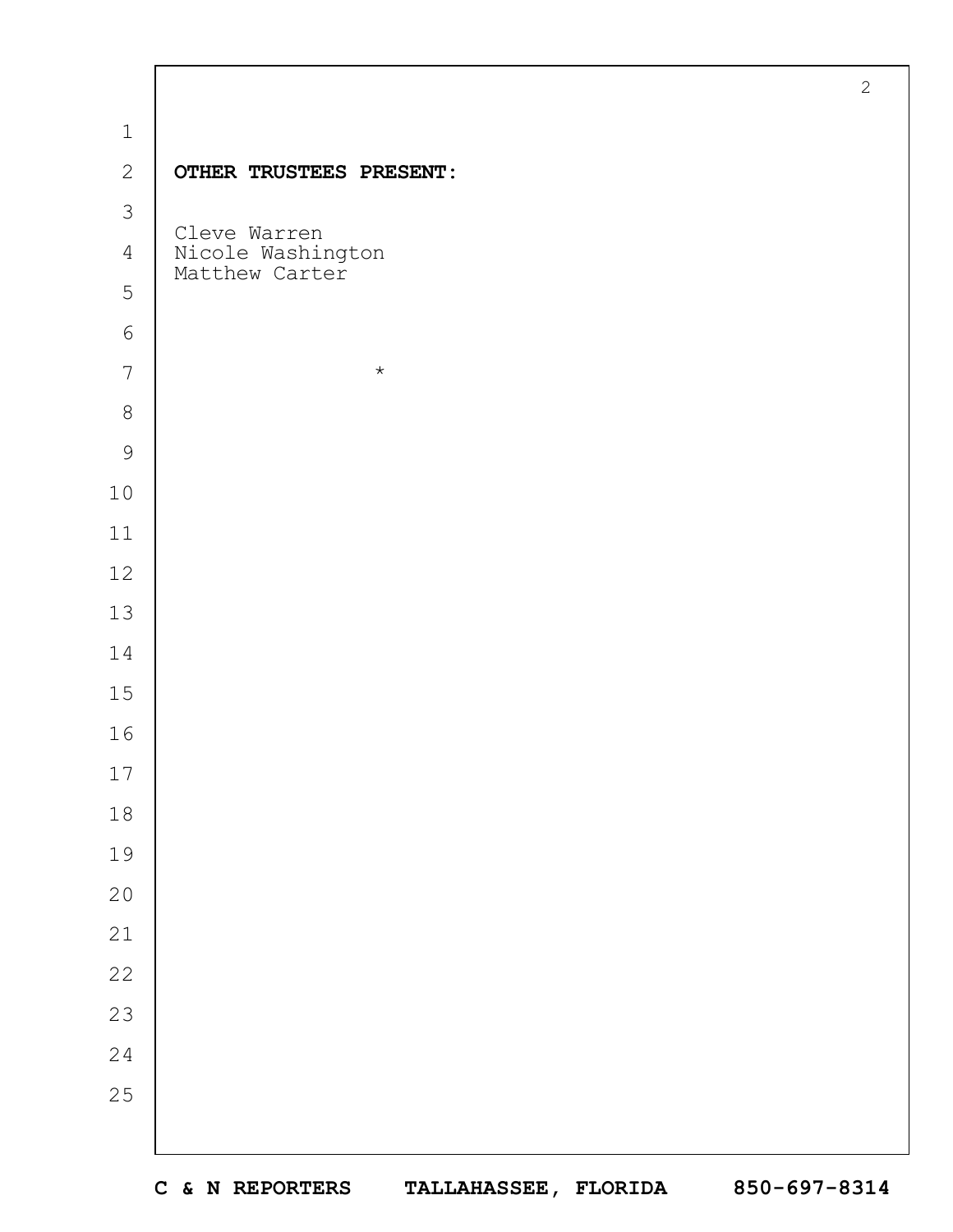|                |                                     | $\overline{2}$ |
|----------------|-------------------------------------|----------------|
| $1\,$          |                                     |                |
| $\mathbf{2}$   | OTHER TRUSTEES PRESENT:             |                |
| $\mathfrak{Z}$ | Cleve Warren                        |                |
| 4              | Nicole Washington<br>Matthew Carter |                |
| 5              |                                     |                |
| $6\,$          |                                     |                |
| $7\phantom{.}$ | $\star$                             |                |
| $8\,$          |                                     |                |
| $\mathcal{G}$  |                                     |                |
| $10$           |                                     |                |
| 11             |                                     |                |
| 12             |                                     |                |
| 13             |                                     |                |
| 14             |                                     |                |
| $15$           |                                     |                |
| 16             |                                     |                |
| $17$           |                                     |                |
| $1\,8$         |                                     |                |
| 19             |                                     |                |
| 20             |                                     |                |
| 21             |                                     |                |
| $2\sqrt{2}$    |                                     |                |
| 23             |                                     |                |
| $2\,4$         |                                     |                |
| 25             |                                     |                |
|                |                                     |                |

 $\Gamma$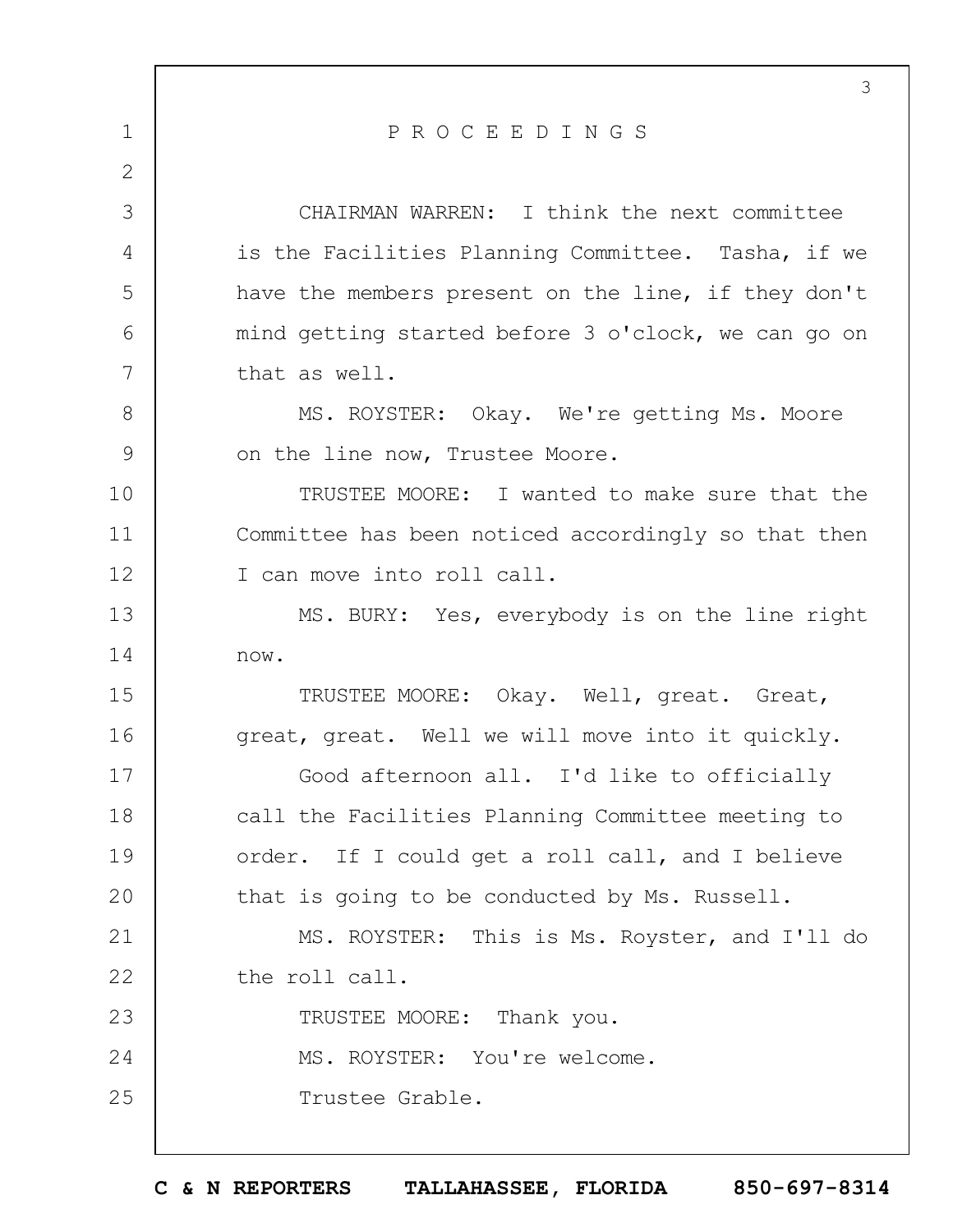1 2 3 4 5 6 7 8 9 10 11 12 13 14 15 16 17 18 19  $20$ 21 22 23 24 25 3 P R O C E E D I N G S CHAIRMAN WARREN: I think the next committee is the Facilities Planning Committee. Tasha, if we have the members present on the line, if they don't mind getting started before 3 o'clock, we can go on that as well. MS. ROYSTER: Okay. We're getting Ms. Moore on the line now, Trustee Moore. TRUSTEE MOORE: I wanted to make sure that the Committee has been noticed accordingly so that then I can move into roll call. MS. BURY: Yes, everybody is on the line right now. TRUSTEE MOORE: Okay. Well, great. Great, great, great. Well we will move into it quickly. Good afternoon all. I'd like to officially call the Facilities Planning Committee meeting to order. If I could get a roll call, and I believe that is going to be conducted by Ms. Russell. MS. ROYSTER: This is Ms. Royster, and I'll do the roll call. TRUSTEE MOORE: Thank you. MS. ROYSTER: You're welcome. Trustee Grable.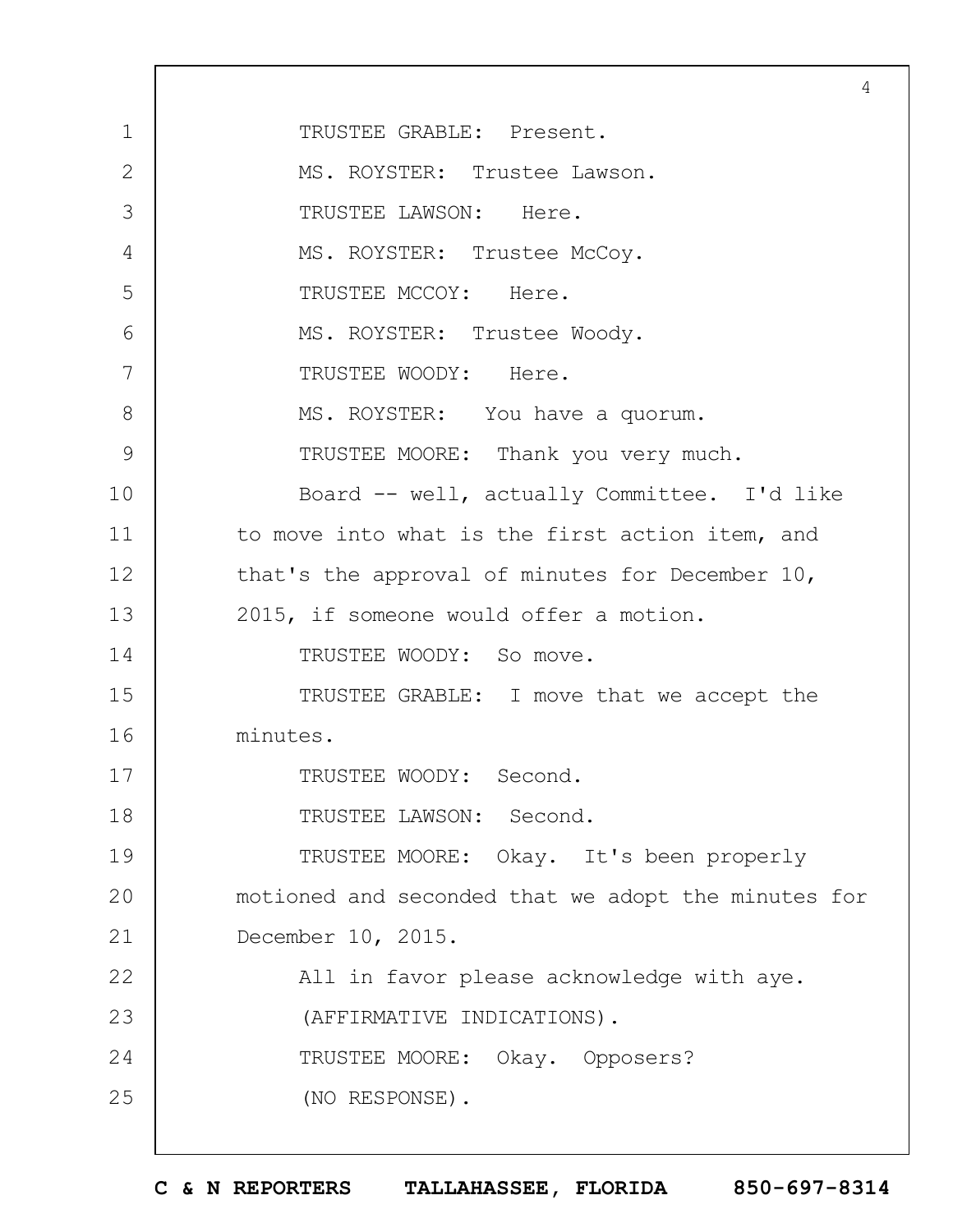1 2 3 4 5 6 7 8 9 10 11 12 13 14 15 16 17 18 19  $20$ 21 22 23 24 25 4 TRUSTEE GRABLE: Present. MS. ROYSTER: Trustee Lawson. TRUSTEE LAWSON: Here. MS. ROYSTER: Trustee McCoy. TRUSTEE MCCOY: Here. MS. ROYSTER: Trustee Woody. TRUSTEE WOODY: Here. MS. ROYSTER: You have a quorum. TRUSTEE MOORE: Thank you very much. Board -- well, actually Committee. I'd like to move into what is the first action item, and that's the approval of minutes for December 10, 2015, if someone would offer a motion. TRUSTEE WOODY: So move. TRUSTEE GRABLE: I move that we accept the minutes. TRUSTEE WOODY: Second. TRUSTEE LAWSON: Second. TRUSTEE MOORE: Okay. It's been properly motioned and seconded that we adopt the minutes for December 10, 2015. All in favor please acknowledge with aye. (AFFIRMATIVE INDICATIONS). TRUSTEE MOORE: Okay. Opposers? (NO RESPONSE).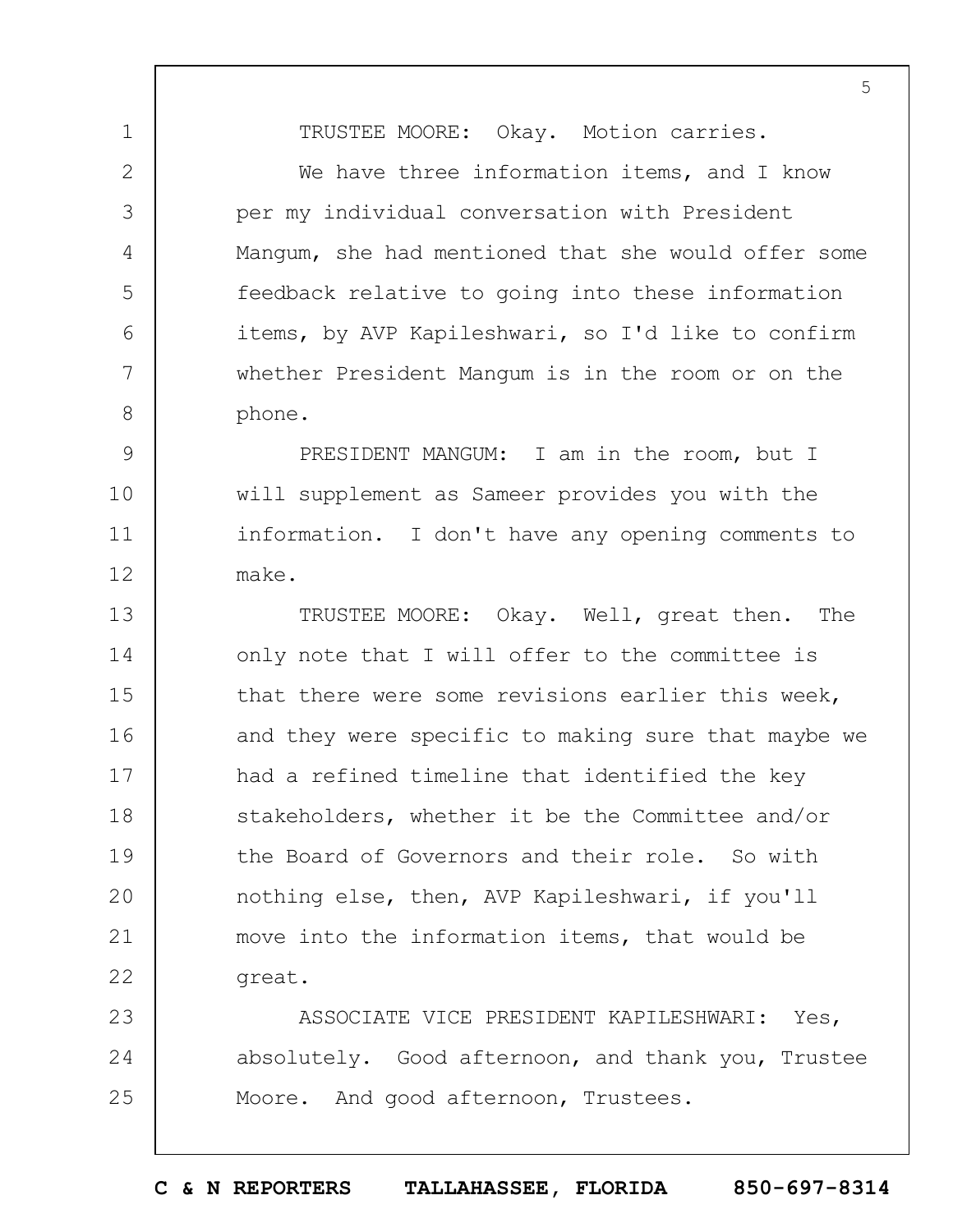TRUSTEE MOORE: Okay. Motion carries.

1

2

3

4

5

6

7

8

We have three information items, and I know per my individual conversation with President Mangum, she had mentioned that she would offer some feedback relative to going into these information items, by AVP Kapileshwari, so I'd like to confirm whether President Mangum is in the room or on the phone.

9 10 11 12 PRESIDENT MANGUM: I am in the room, but I will supplement as Sameer provides you with the information. I don't have any opening comments to make.

13 14 15 16 17 18 19  $20$ 21 22 TRUSTEE MOORE: Okay. Well, great then. The only note that I will offer to the committee is that there were some revisions earlier this week, and they were specific to making sure that maybe we had a refined timeline that identified the key stakeholders, whether it be the Committee and/or the Board of Governors and their role. So with nothing else, then, AVP Kapileshwari, if you'll move into the information items, that would be great.

23 24 25 ASSOCIATE VICE PRESIDENT KAPILESHWARI: Yes, absolutely. Good afternoon, and thank you, Trustee Moore. And good afternoon, Trustees.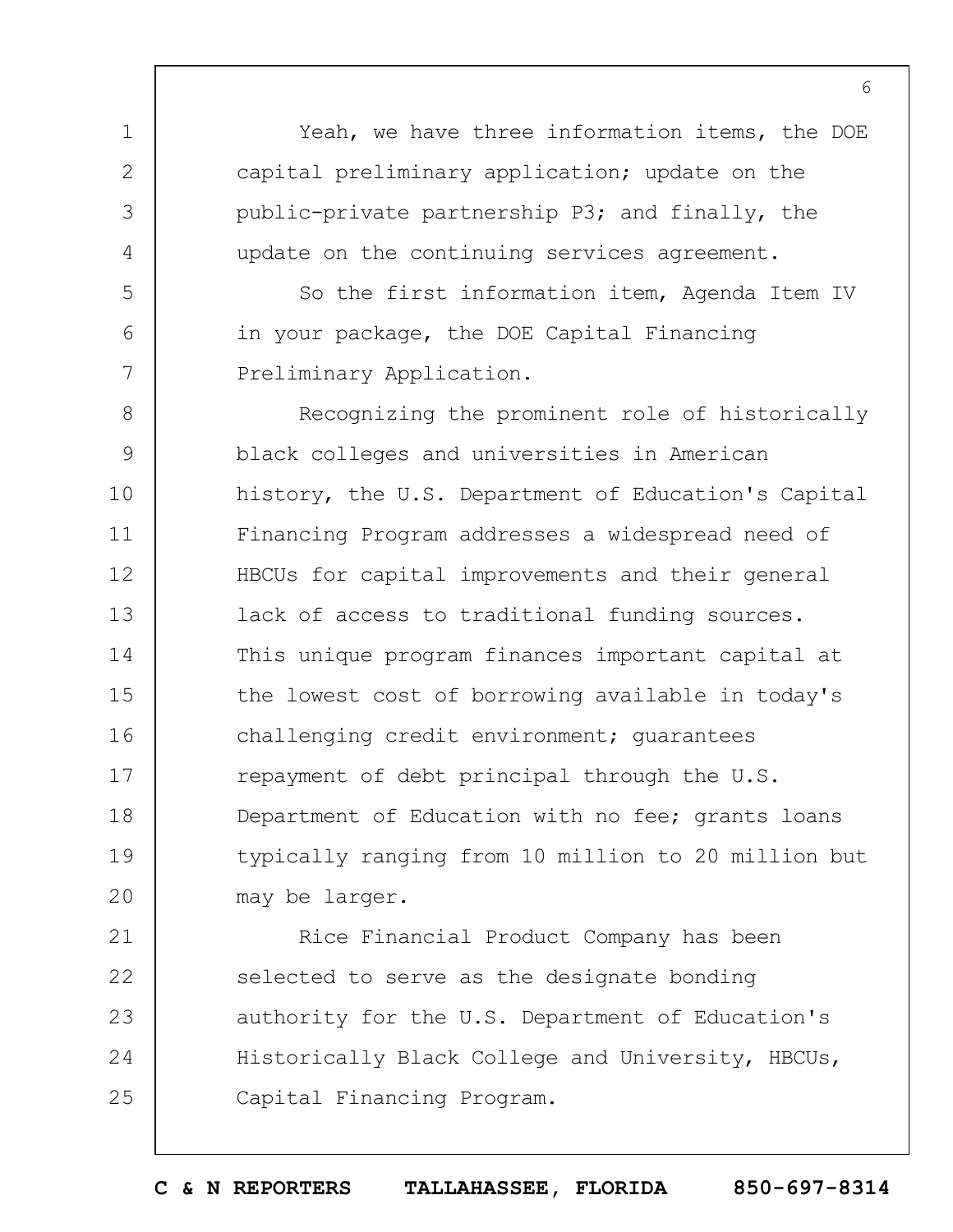Yeah, we have three information items, the DOE capital preliminary application; update on the public-private partnership P3; and finally, the update on the continuing services agreement.

1

2

3

4

5

6

7

So the first information item, Agenda Item IV in your package, the DOE Capital Financing Preliminary Application.

8 9 10 11 12 13 14 15 16 17 18 19  $20$ Recognizing the prominent role of historically black colleges and universities in American history, the U.S. Department of Education's Capital Financing Program addresses a widespread need of HBCUs for capital improvements and their general lack of access to traditional funding sources. This unique program finances important capital at the lowest cost of borrowing available in today's challenging credit environment; guarantees repayment of debt principal through the U.S. Department of Education with no fee; grants loans typically ranging from 10 million to 20 million but may be larger.

21 22 23 24 25 Rice Financial Product Company has been selected to serve as the designate bonding authority for the U.S. Department of Education's Historically Black College and University, HBCUs, Capital Financing Program.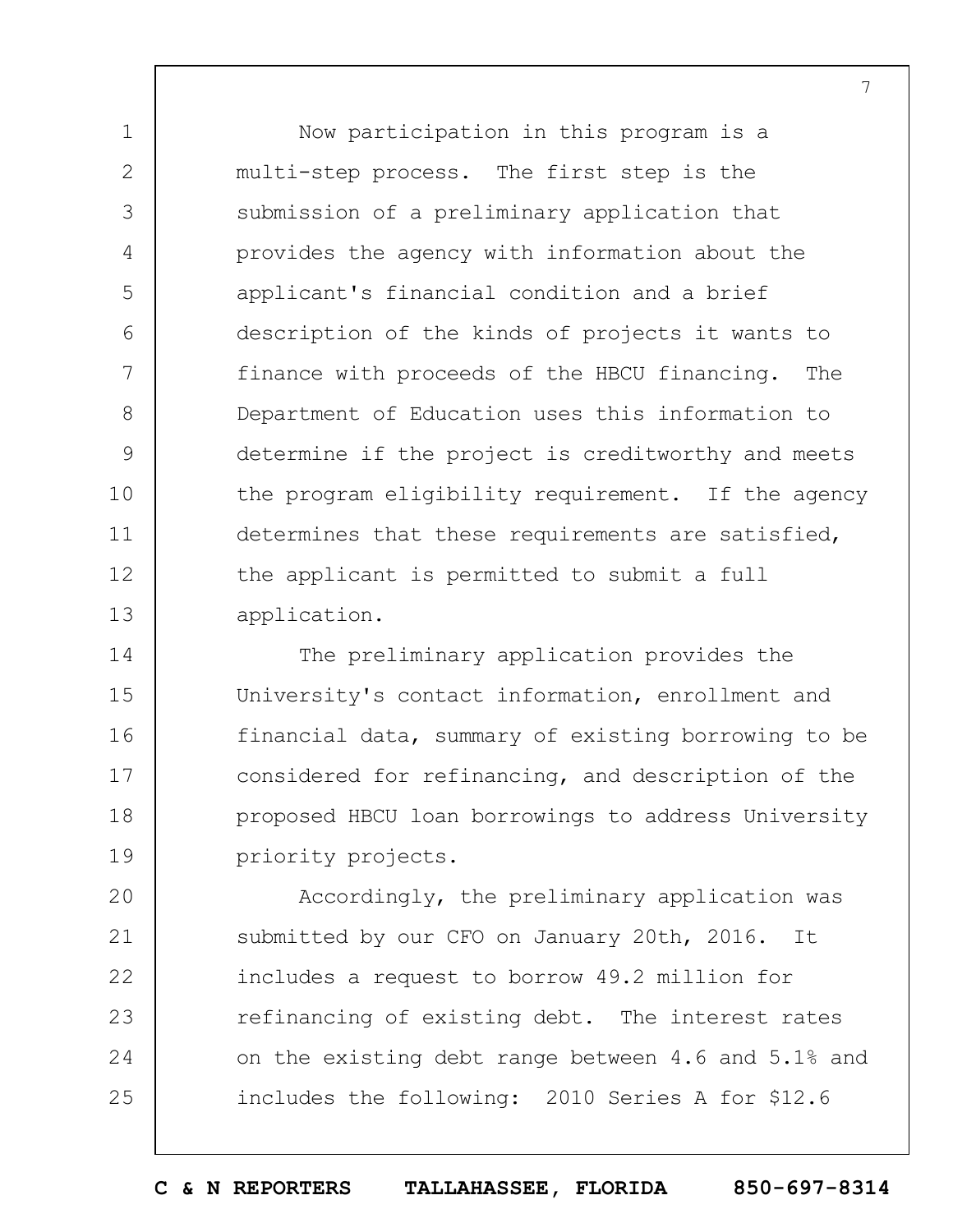Now participation in this program is a multi-step process. The first step is the submission of a preliminary application that provides the agency with information about the applicant's financial condition and a brief description of the kinds of projects it wants to finance with proceeds of the HBCU financing. The Department of Education uses this information to determine if the project is creditworthy and meets the program eligibility requirement. If the agency determines that these requirements are satisfied, the applicant is permitted to submit a full application.

7

1

2

3

4

5

6

7

8

9

10

11

12

13

14 15 16 17 18 19 The preliminary application provides the University's contact information, enrollment and financial data, summary of existing borrowing to be considered for refinancing, and description of the proposed HBCU loan borrowings to address University priority projects.

 $20$ 21 22 23 24 25 Accordingly, the preliminary application was submitted by our CFO on January 20th, 2016. It includes a request to borrow 49.2 million for refinancing of existing debt. The interest rates on the existing debt range between 4.6 and 5.1% and includes the following: 2010 Series A for \$12.6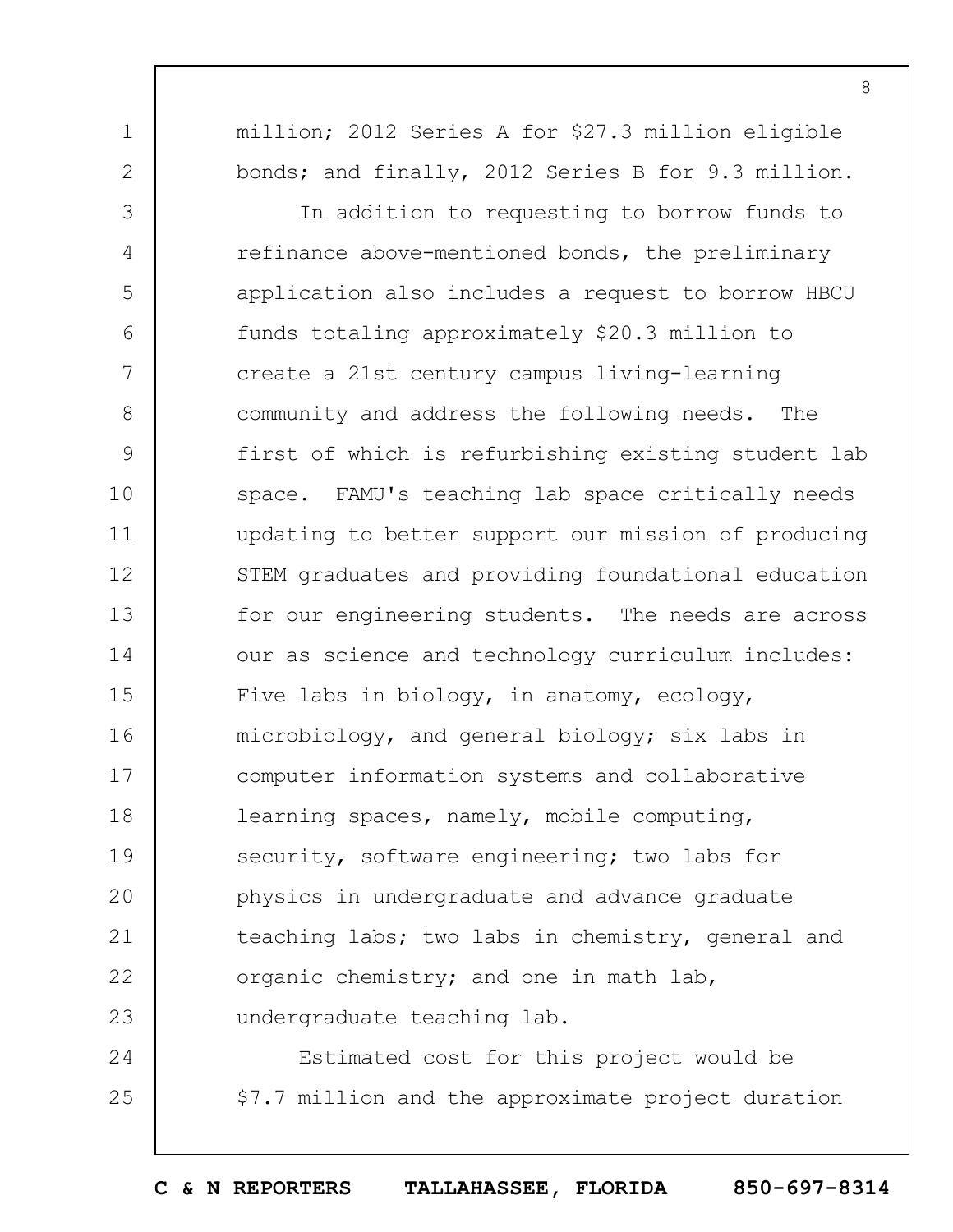million; 2012 Series A for \$27.3 million eligible bonds; and finally, 2012 Series B for 9.3 million.

1

2

3 4 5 6 7 8 9 10 11 12 13 14 15 16 17 18 19  $20$ 21 22 23 In addition to requesting to borrow funds to refinance above-mentioned bonds, the preliminary application also includes a request to borrow HBCU funds totaling approximately \$20.3 million to create a 21st century campus living-learning community and address the following needs. The first of which is refurbishing existing student lab space. FAMU's teaching lab space critically needs updating to better support our mission of producing STEM graduates and providing foundational education for our engineering students. The needs are across our as science and technology curriculum includes: Five labs in biology, in anatomy, ecology, microbiology, and general biology; six labs in computer information systems and collaborative learning spaces, namely, mobile computing, security, software engineering; two labs for physics in undergraduate and advance graduate teaching labs; two labs in chemistry, general and organic chemistry; and one in math lab, undergraduate teaching lab.

24 25 Estimated cost for this project would be \$7.7 million and the approximate project duration

**C & N REPORTERS TALLAHASSEE, FLORIDA 850-697-8314**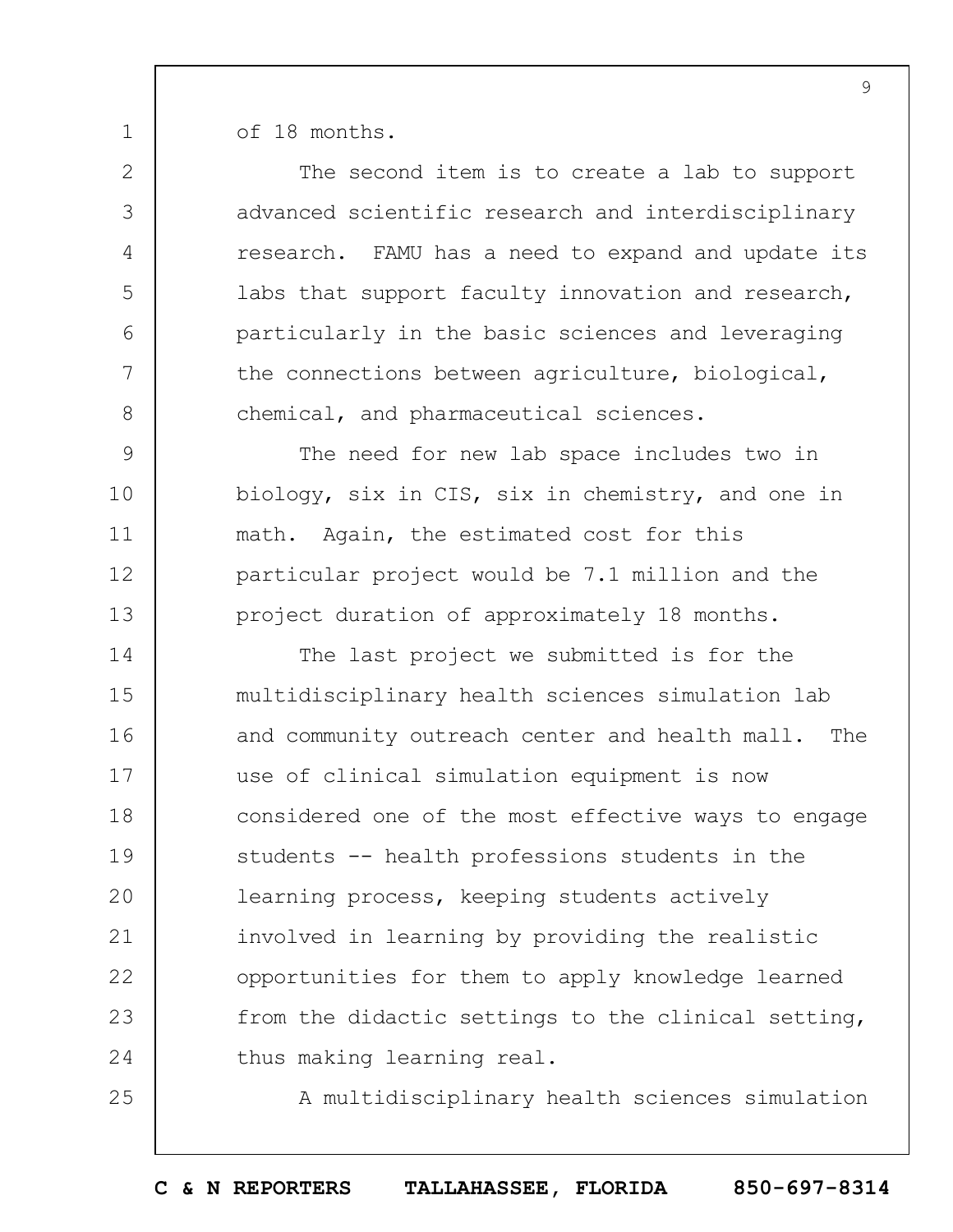of 18 months.

1

25

2 3 4 5 6 7 8 9 10 11 12 13 14 15 16 17 18 19  $20$ 21 22 23 24 The second item is to create a lab to support advanced scientific research and interdisciplinary research. FAMU has a need to expand and update its labs that support faculty innovation and research, particularly in the basic sciences and leveraging the connections between agriculture, biological, chemical, and pharmaceutical sciences. The need for new lab space includes two in biology, six in CIS, six in chemistry, and one in math. Again, the estimated cost for this particular project would be 7.1 million and the project duration of approximately 18 months. The last project we submitted is for the multidisciplinary health sciences simulation lab and community outreach center and health mall. The use of clinical simulation equipment is now considered one of the most effective ways to engage students -- health professions students in the learning process, keeping students actively involved in learning by providing the realistic opportunities for them to apply knowledge learned from the didactic settings to the clinical setting, thus making learning real.

A multidisciplinary health sciences simulation

**C & N REPORTERS TALLAHASSEE, FLORIDA 850-697-8314**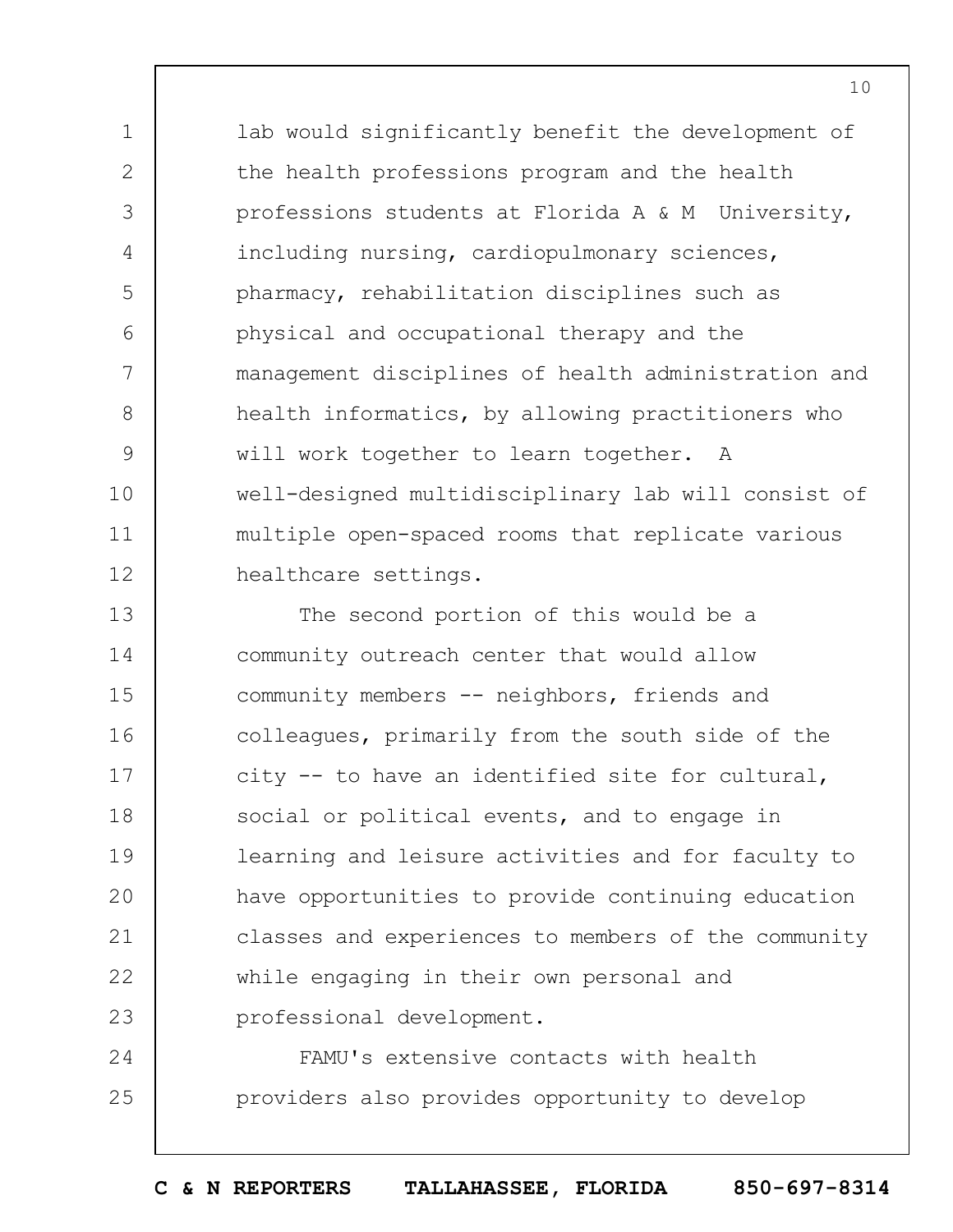lab would significantly benefit the development of the health professions program and the health professions students at Florida A & M University, including nursing, cardiopulmonary sciences, pharmacy, rehabilitation disciplines such as physical and occupational therapy and the management disciplines of health administration and health informatics, by allowing practitioners who will work together to learn together. A well-designed multidisciplinary lab will consist of multiple open-spaced rooms that replicate various healthcare settings.

1

2

3

4

5

 $6 \overline{6}$ 

7

8

9

10

11

12

13 14 15 16 17 18 19  $20$ 21 22 23 The second portion of this would be a community outreach center that would allow community members -- neighbors, friends and colleagues, primarily from the south side of the city -- to have an identified site for cultural, social or political events, and to engage in learning and leisure activities and for faculty to have opportunities to provide continuing education classes and experiences to members of the community while engaging in their own personal and professional development.

24 25 FAMU's extensive contacts with health providers also provides opportunity to develop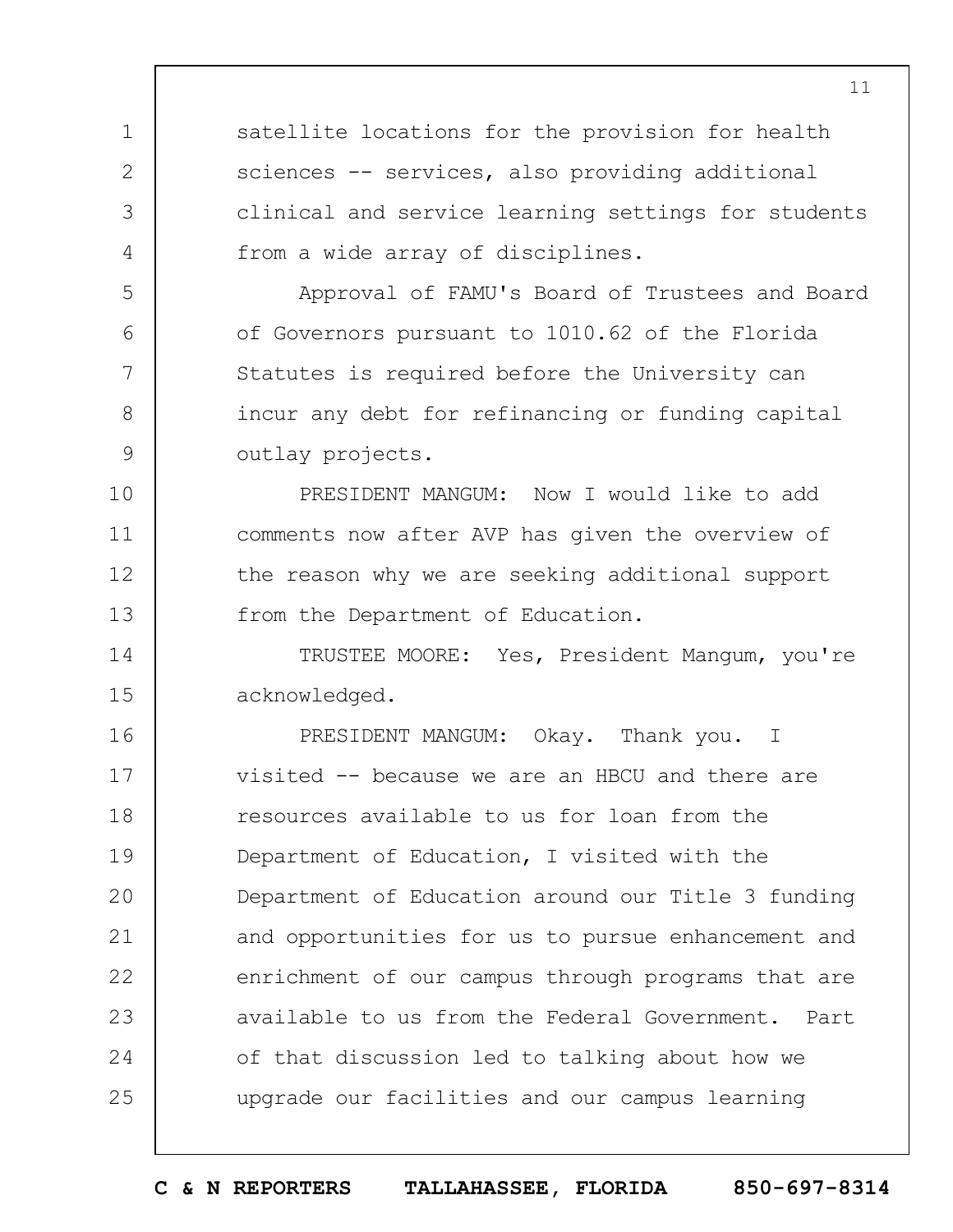satellite locations for the provision for health sciences -- services, also providing additional clinical and service learning settings for students from a wide array of disciplines.

1

2

3

4

5

6

7

8

9

Approval of FAMU's Board of Trustees and Board of Governors pursuant to 1010.62 of the Florida Statutes is required before the University can incur any debt for refinancing or funding capital outlay projects.

10 11 12 13 PRESIDENT MANGUM: Now I would like to add comments now after AVP has given the overview of the reason why we are seeking additional support from the Department of Education.

14 15 TRUSTEE MOORE: Yes, President Mangum, you're acknowledged.

16 17 18 19  $20$ 21 22 23 24 25 PRESIDENT MANGUM: Okay. Thank you. I visited -- because we are an HBCU and there are resources available to us for loan from the Department of Education, I visited with the Department of Education around our Title 3 funding and opportunities for us to pursue enhancement and enrichment of our campus through programs that are available to us from the Federal Government. Part of that discussion led to talking about how we upgrade our facilities and our campus learning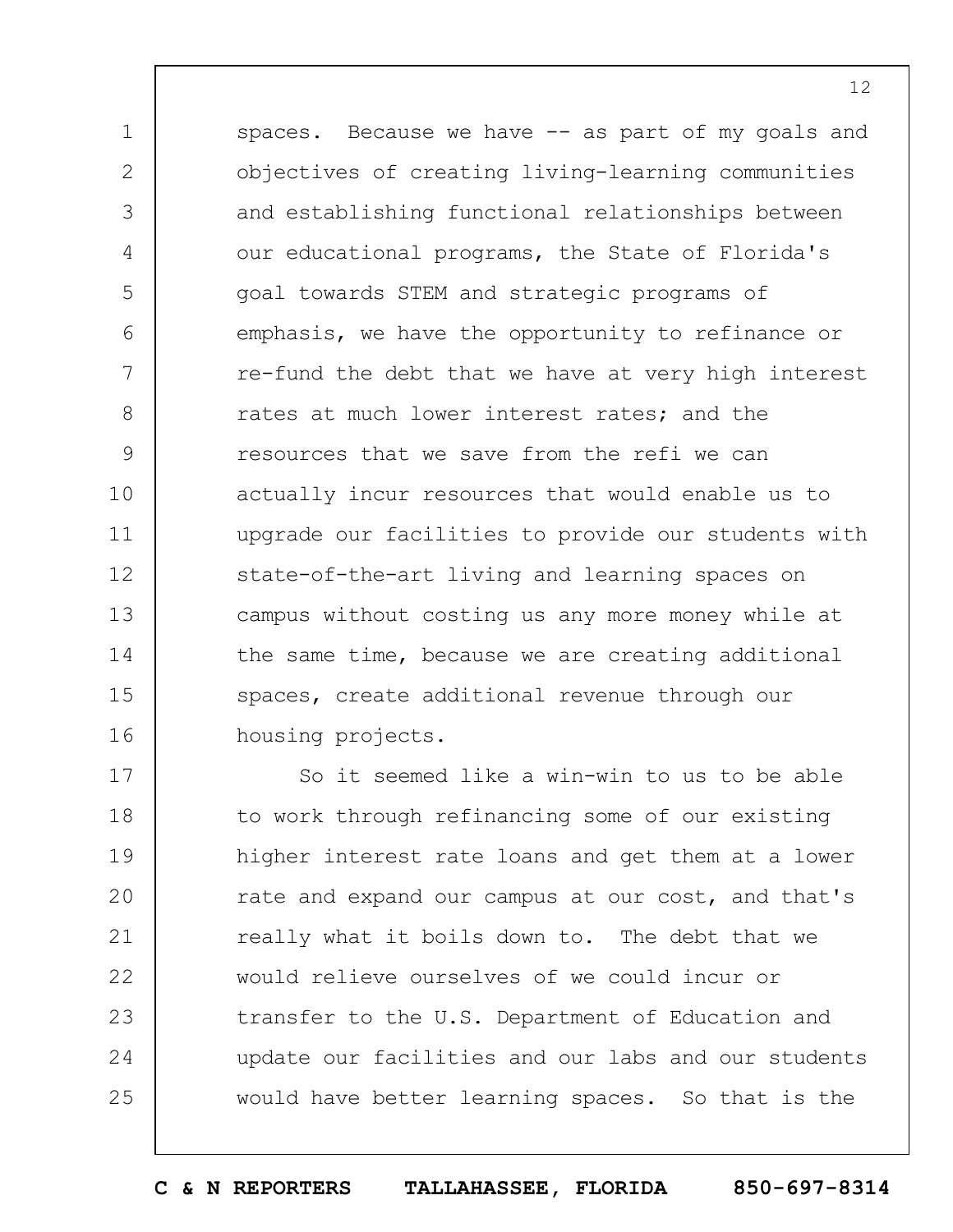1 2 3 4 5 6 7 8 9 10 11 12 13 14 15 16 spaces. Because we have -- as part of my goals and objectives of creating living-learning communities and establishing functional relationships between our educational programs, the State of Florida's goal towards STEM and strategic programs of emphasis, we have the opportunity to refinance or re-fund the debt that we have at very high interest rates at much lower interest rates; and the resources that we save from the refi we can actually incur resources that would enable us to upgrade our facilities to provide our students with state-of-the-art living and learning spaces on campus without costing us any more money while at the same time, because we are creating additional spaces, create additional revenue through our housing projects.

17 18 19  $20$ 21 22 23 24 25 So it seemed like a win-win to us to be able to work through refinancing some of our existing higher interest rate loans and get them at a lower rate and expand our campus at our cost, and that's really what it boils down to. The debt that we would relieve ourselves of we could incur or transfer to the U.S. Department of Education and update our facilities and our labs and our students would have better learning spaces. So that is the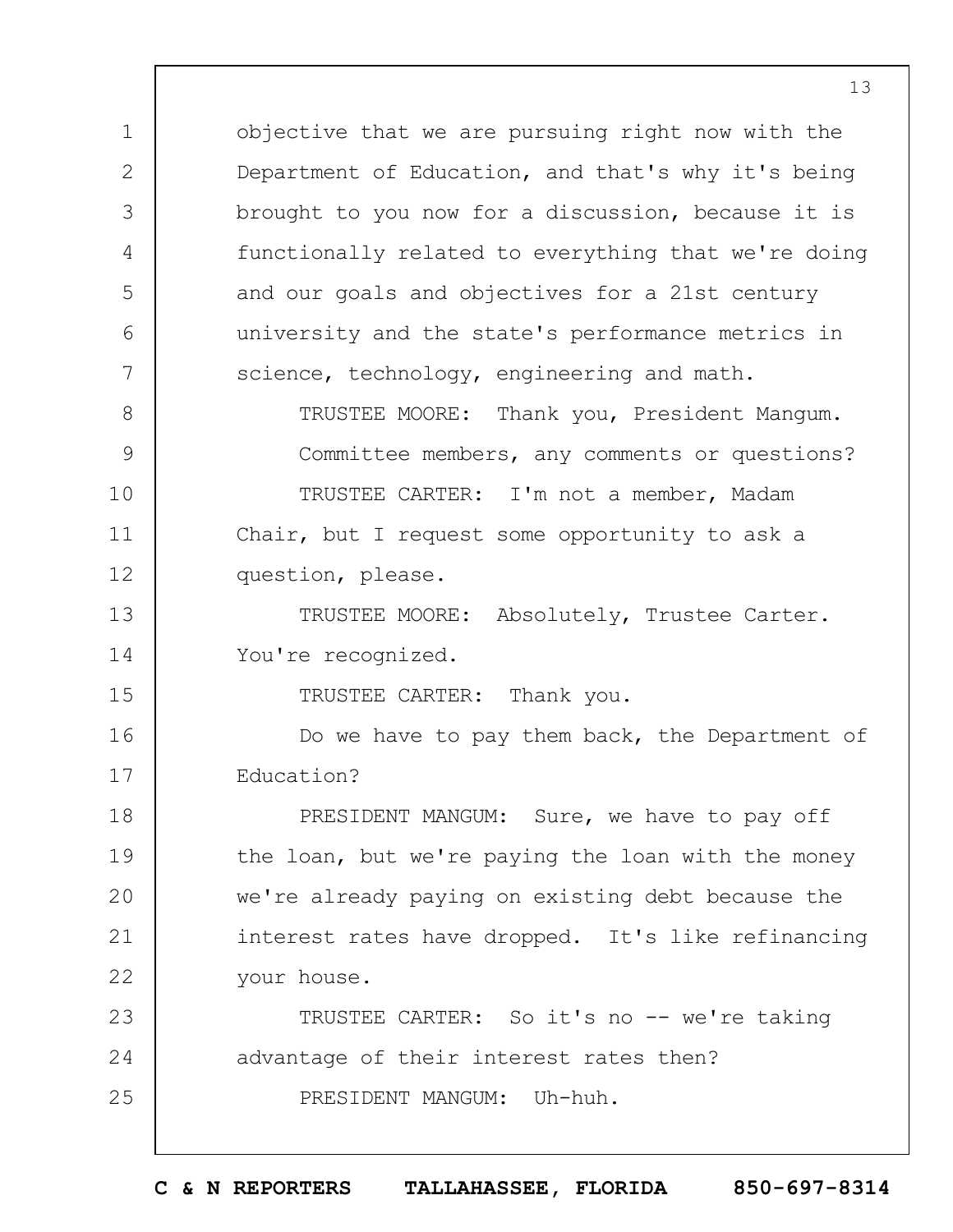objective that we are pursuing right now with the Department of Education, and that's why it's being brought to you now for a discussion, because it is functionally related to everything that we're doing and our goals and objectives for a 21st century university and the state's performance metrics in science, technology, engineering and math. TRUSTEE MOORE: Thank you, President Mangum.

1

2

3

4

5

6

7

15

8 9 10 11 12 Committee members, any comments or questions? TRUSTEE CARTER: I'm not a member, Madam Chair, but I request some opportunity to ask a question, please.

13 14 TRUSTEE MOORE: Absolutely, Trustee Carter. You're recognized.

TRUSTEE CARTER: Thank you.

16 17 Do we have to pay them back, the Department of Education?

18 19  $20$ 21 22 PRESIDENT MANGUM: Sure, we have to pay off the loan, but we're paying the loan with the money we're already paying on existing debt because the interest rates have dropped. It's like refinancing your house.

23 24 25 TRUSTEE CARTER: So it's no -- we're taking advantage of their interest rates then? PRESIDENT MANGUM: Uh-huh.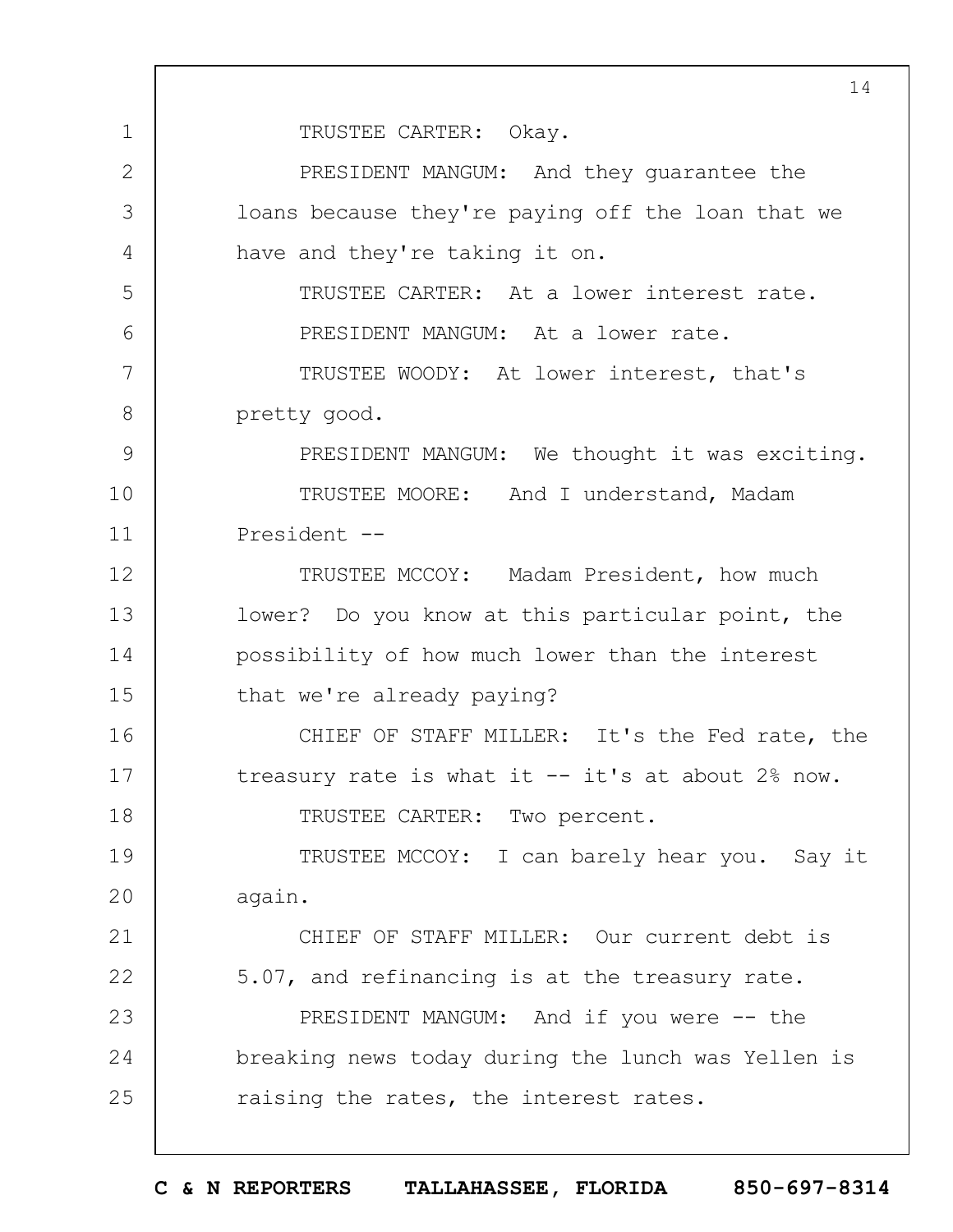1 2 3 4 5 6 7 8 9 10 11 12 13 14 15 16 17 18 19  $20$ 21 22 23 24 25 14 TRUSTEE CARTER: Okay. PRESIDENT MANGUM: And they guarantee the loans because they're paying off the loan that we have and they're taking it on. TRUSTEE CARTER: At a lower interest rate. PRESIDENT MANGUM: At a lower rate. TRUSTEE WOODY: At lower interest, that's pretty good. PRESIDENT MANGUM: We thought it was exciting. TRUSTEE MOORE: And I understand, Madam President -- TRUSTEE MCCOY: Madam President, how much lower? Do you know at this particular point, the possibility of how much lower than the interest that we're already paying? CHIEF OF STAFF MILLER: It's the Fed rate, the treasury rate is what it  $-$  it's at about 2% now. TRUSTEE CARTER: Two percent. TRUSTEE MCCOY: I can barely hear you. Say it again. CHIEF OF STAFF MILLER: Our current debt is 5.07, and refinancing is at the treasury rate. PRESIDENT MANGUM: And if you were -- the breaking news today during the lunch was Yellen is raising the rates, the interest rates.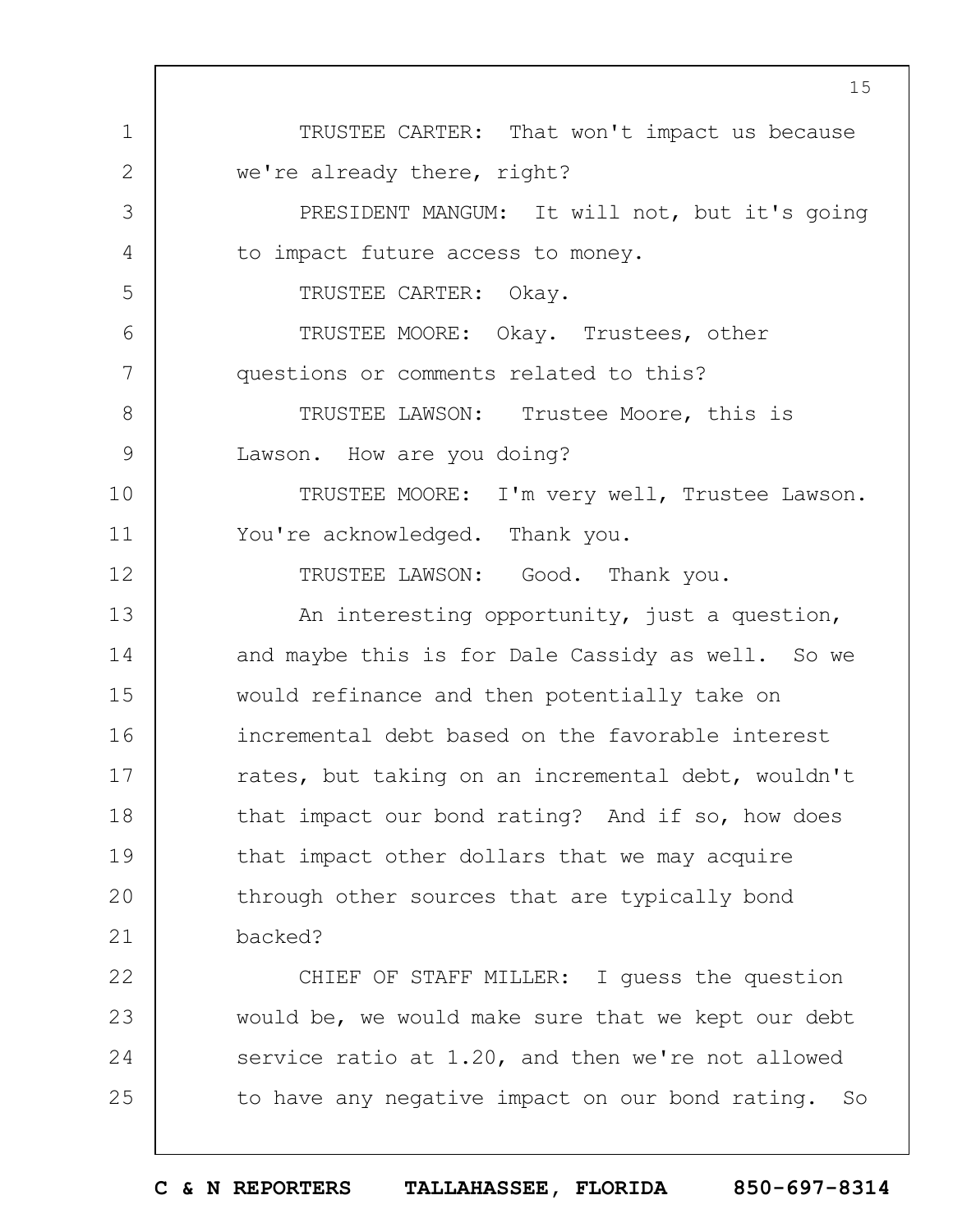1 2 3 4 5 6 7 8 9 10 11 12 13 14 15 16 17 18 19  $20$ 21 22 23 24 25 TRUSTEE CARTER: That won't impact us because we're already there, right? PRESIDENT MANGUM: It will not, but it's going to impact future access to money. TRUSTEE CARTER: Okay. TRUSTEE MOORE: Okay. Trustees, other questions or comments related to this? TRUSTEE LAWSON: Trustee Moore, this is Lawson. How are you doing? TRUSTEE MOORE: I'm very well, Trustee Lawson. You're acknowledged. Thank you. TRUSTEE LAWSON: Good. Thank you. An interesting opportunity, just a question, and maybe this is for Dale Cassidy as well. So we would refinance and then potentially take on incremental debt based on the favorable interest rates, but taking on an incremental debt, wouldn't that impact our bond rating? And if so, how does that impact other dollars that we may acquire through other sources that are typically bond backed? CHIEF OF STAFF MILLER: I guess the question would be, we would make sure that we kept our debt service ratio at 1.20, and then we're not allowed to have any negative impact on our bond rating. So

15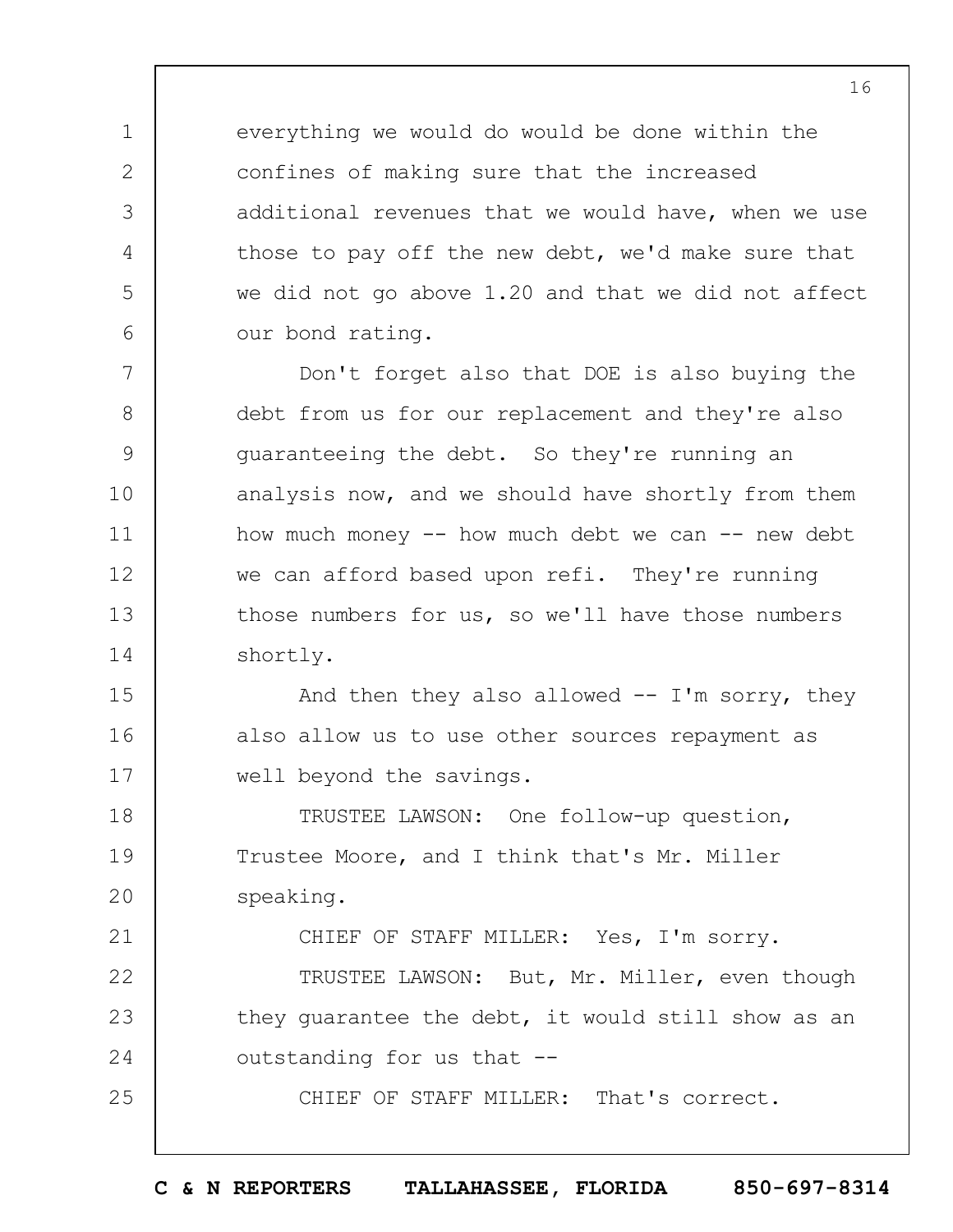everything we would do would be done within the confines of making sure that the increased additional revenues that we would have, when we use those to pay off the new debt, we'd make sure that we did not go above 1.20 and that we did not affect our bond rating.

1

2

3

4

5

6

7

8

9

10

11

12

13

14

21

25

Don't forget also that DOE is also buying the debt from us for our replacement and they're also guaranteeing the debt. So they're running an analysis now, and we should have shortly from them how much money  $--$  how much debt we can  $--$  new debt we can afford based upon refi. They're running those numbers for us, so we'll have those numbers shortly.

15 16 17 And then they also allowed  $-$  I'm sorry, they also allow us to use other sources repayment as well beyond the savings.

18 19  $20$ TRUSTEE LAWSON: One follow-up question, Trustee Moore, and I think that's Mr. Miller speaking.

CHIEF OF STAFF MILLER: Yes, I'm sorry.

22 23 24 TRUSTEE LAWSON: But, Mr. Miller, even though they guarantee the debt, it would still show as an outstanding for us that --

CHIEF OF STAFF MILLER: That's correct.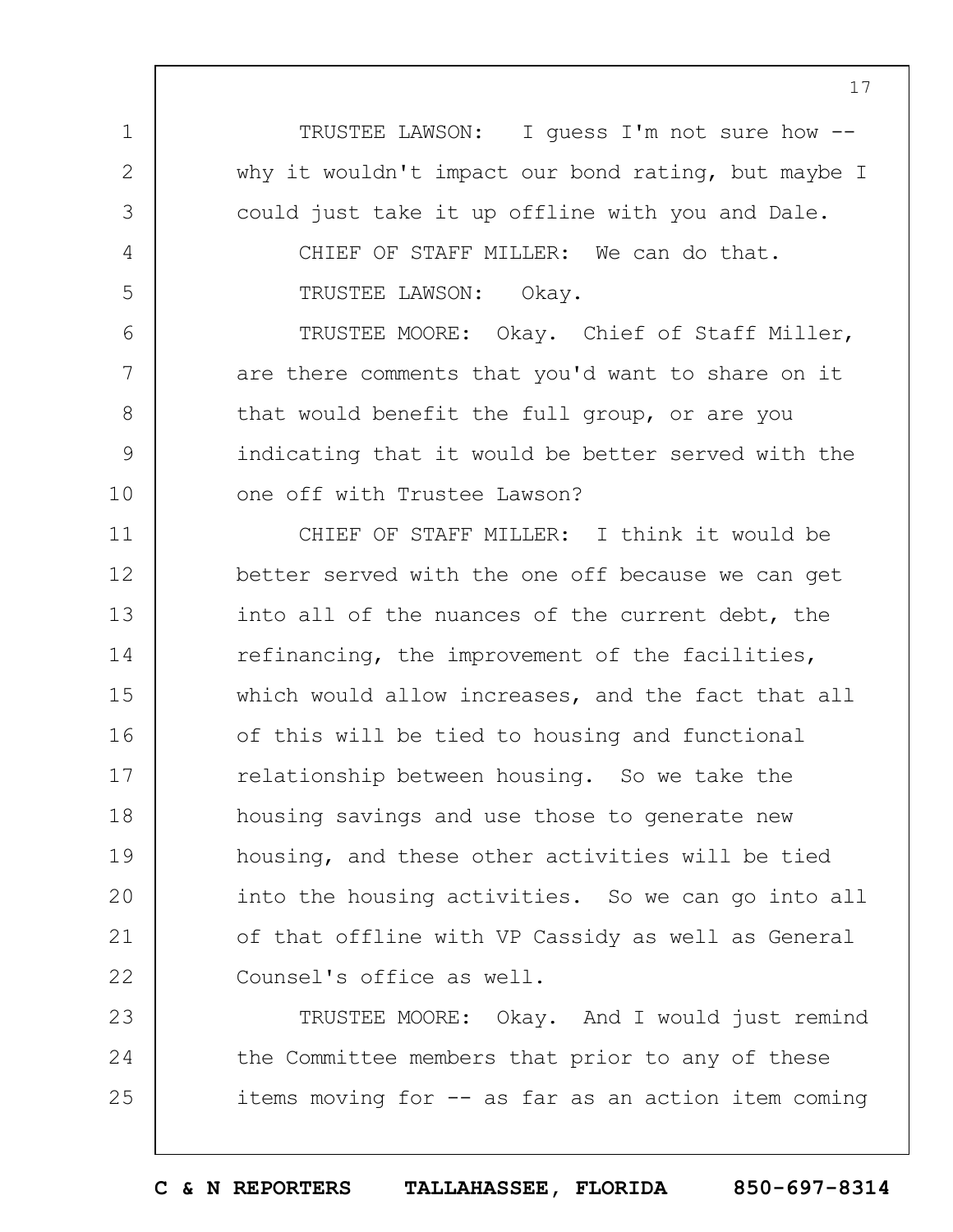TRUSTEE LAWSON: I guess I'm not sure how - why it wouldn't impact our bond rating, but maybe I could just take it up offline with you and Dale. CHIEF OF STAFF MILLER: We can do that.

TRUSTEE LAWSON: Okay.

1

2

3

4

5

6

7

8

9

10

TRUSTEE MOORE: Okay. Chief of Staff Miller, are there comments that you'd want to share on it that would benefit the full group, or are you indicating that it would be better served with the one off with Trustee Lawson?

11 12 13 14 15 16 17 18 19  $20$ 21 22 CHIEF OF STAFF MILLER: I think it would be better served with the one off because we can get into all of the nuances of the current debt, the refinancing, the improvement of the facilities, which would allow increases, and the fact that all of this will be tied to housing and functional relationship between housing. So we take the housing savings and use those to generate new housing, and these other activities will be tied into the housing activities. So we can go into all of that offline with VP Cassidy as well as General Counsel's office as well.

23 24 25 TRUSTEE MOORE: Okay. And I would just remind the Committee members that prior to any of these items moving for -- as far as an action item coming

**C & N REPORTERS TALLAHASSEE, FLORIDA 850-697-8314**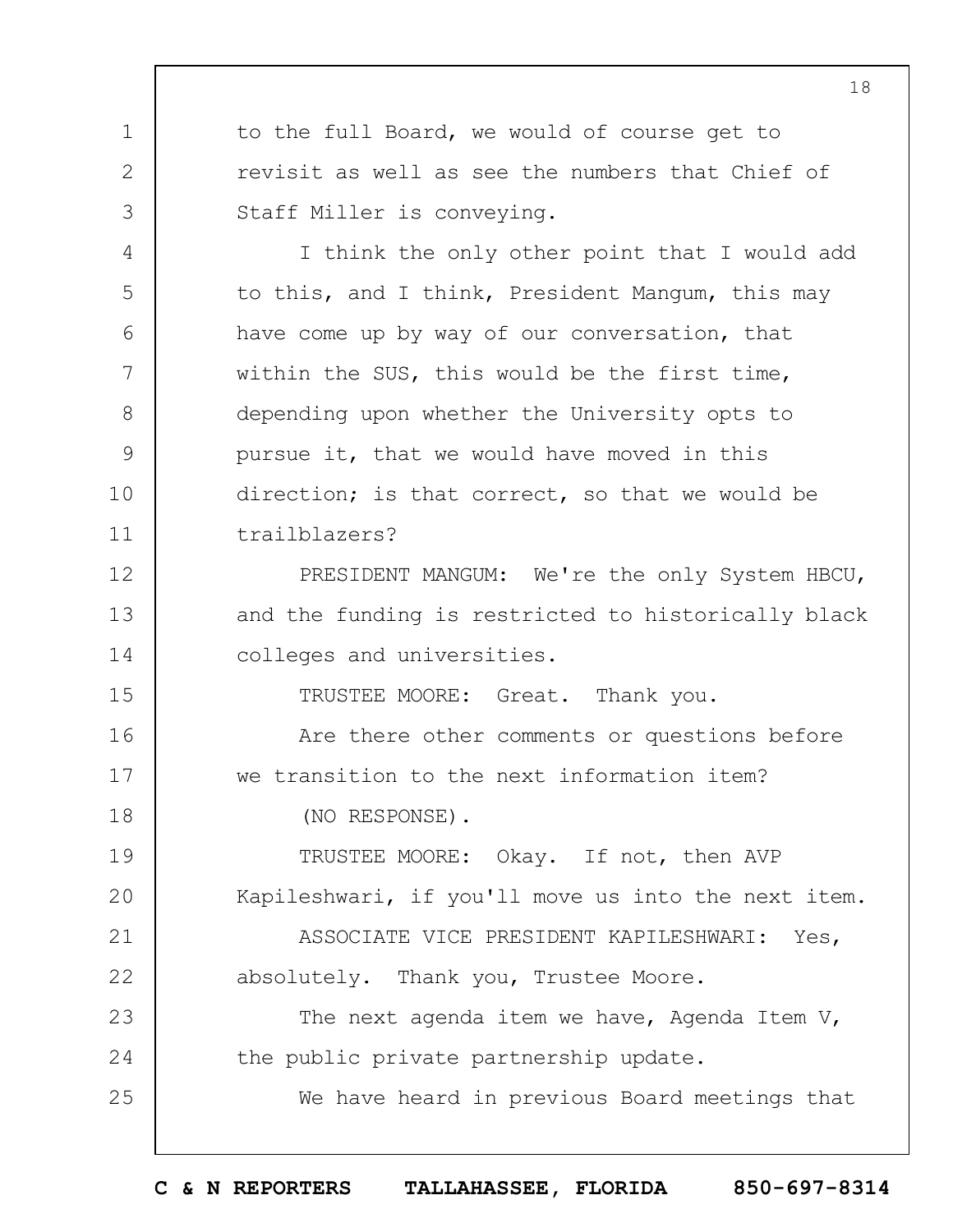to the full Board, we would of course get to revisit as well as see the numbers that Chief of Staff Miller is conveying.

I think the only other point that I would add to this, and I think, President Mangum, this may have come up by way of our conversation, that within the SUS, this would be the first time, depending upon whether the University opts to pursue it, that we would have moved in this direction; is that correct, so that we would be trailblazers?

PRESIDENT MANGUM: We're the only System HBCU, and the funding is restricted to historically black colleges and universities.

TRUSTEE MOORE: Great. Thank you.

16 17 Are there other comments or questions before we transition to the next information item?

(NO RESPONSE).

1

2

3

4

5

6

7

8

9

10

11

12

13

14

15

18

25

19  $20$ 21 22 TRUSTEE MOORE: Okay. If not, then AVP Kapileshwari, if you'll move us into the next item. ASSOCIATE VICE PRESIDENT KAPILESHWARI: Yes, absolutely. Thank you, Trustee Moore.

23 24 The next agenda item we have, Agenda Item V, the public private partnership update.

We have heard in previous Board meetings that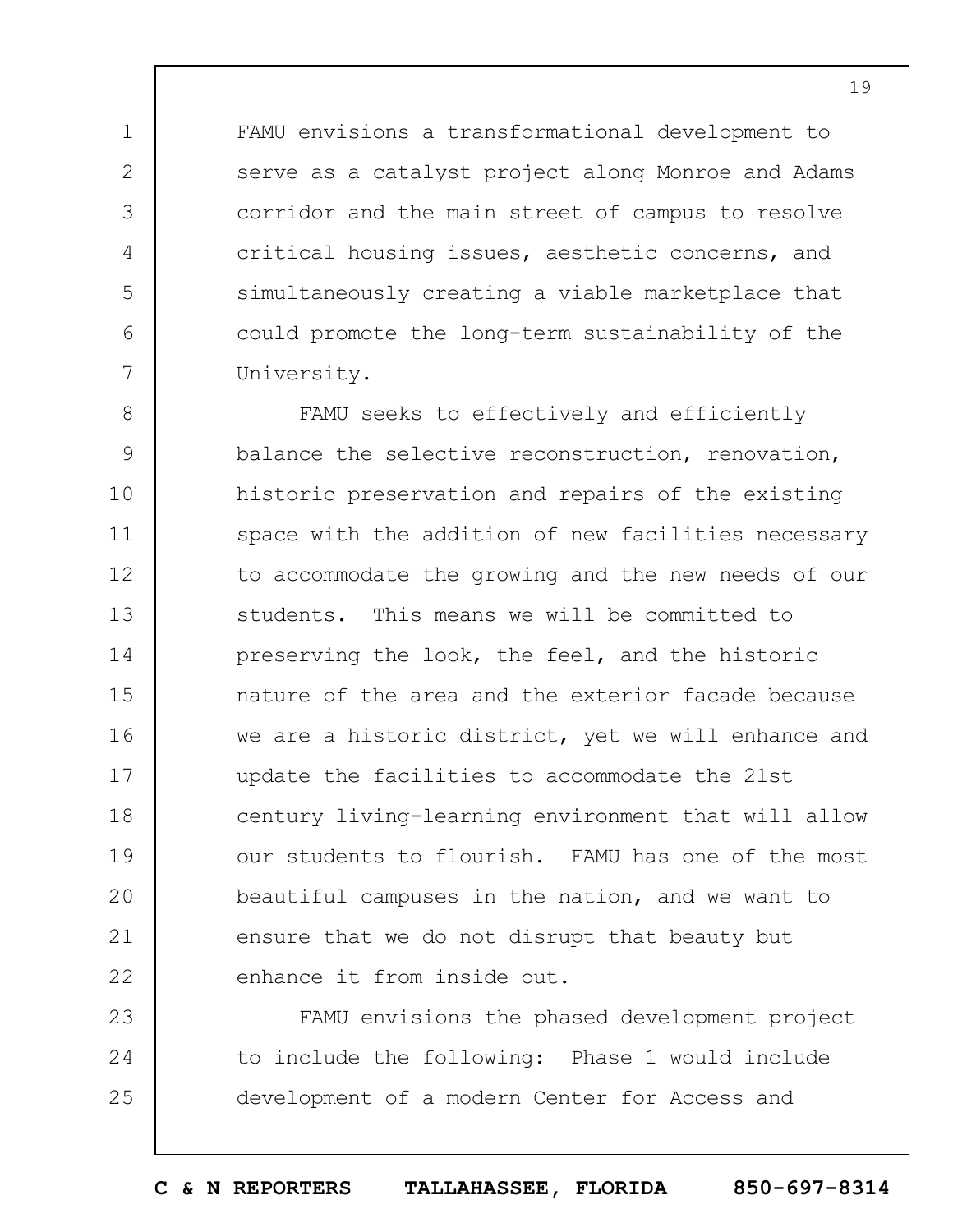FAMU envisions a transformational development to serve as a catalyst project along Monroe and Adams corridor and the main street of campus to resolve critical housing issues, aesthetic concerns, and simultaneously creating a viable marketplace that could promote the long-term sustainability of the University.

1

2

3

4

5

6

7

8 9 10 11 12 13 14 15 16 17 18 19  $20$ 21 22 FAMU seeks to effectively and efficiently balance the selective reconstruction, renovation, historic preservation and repairs of the existing space with the addition of new facilities necessary to accommodate the growing and the new needs of our students. This means we will be committed to preserving the look, the feel, and the historic nature of the area and the exterior facade because we are a historic district, yet we will enhance and update the facilities to accommodate the 21st century living-learning environment that will allow our students to flourish. FAMU has one of the most beautiful campuses in the nation, and we want to ensure that we do not disrupt that beauty but enhance it from inside out.

23 24 25 FAMU envisions the phased development project to include the following: Phase 1 would include development of a modern Center for Access and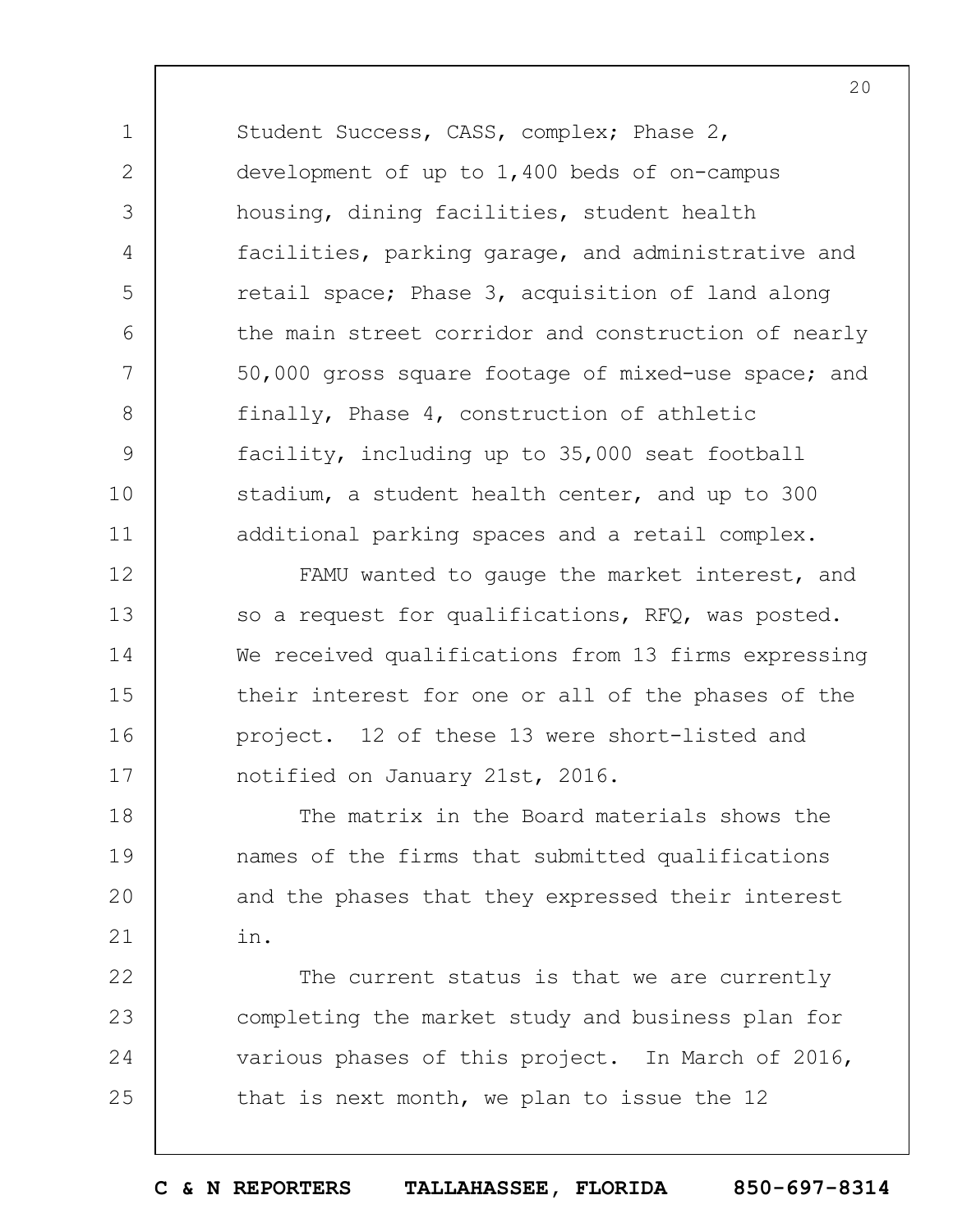Student Success, CASS, complex; Phase 2, development of up to 1,400 beds of on-campus housing, dining facilities, student health facilities, parking garage, and administrative and retail space; Phase 3, acquisition of land along the main street corridor and construction of nearly 50,000 gross square footage of mixed-use space; and finally, Phase 4, construction of athletic facility, including up to 35,000 seat football stadium, a student health center, and up to 300 additional parking spaces and a retail complex.

1

2

3

4

5

6

7

8

9

10

11

12 13 14 15 16 17 FAMU wanted to gauge the market interest, and so a request for qualifications, RFQ, was posted. We received qualifications from 13 firms expressing their interest for one or all of the phases of the project. 12 of these 13 were short-listed and notified on January 21st, 2016.

18 19  $20$ 21 The matrix in the Board materials shows the names of the firms that submitted qualifications and the phases that they expressed their interest in.

22 23 24 25 The current status is that we are currently completing the market study and business plan for various phases of this project. In March of 2016, that is next month, we plan to issue the 12

 $20$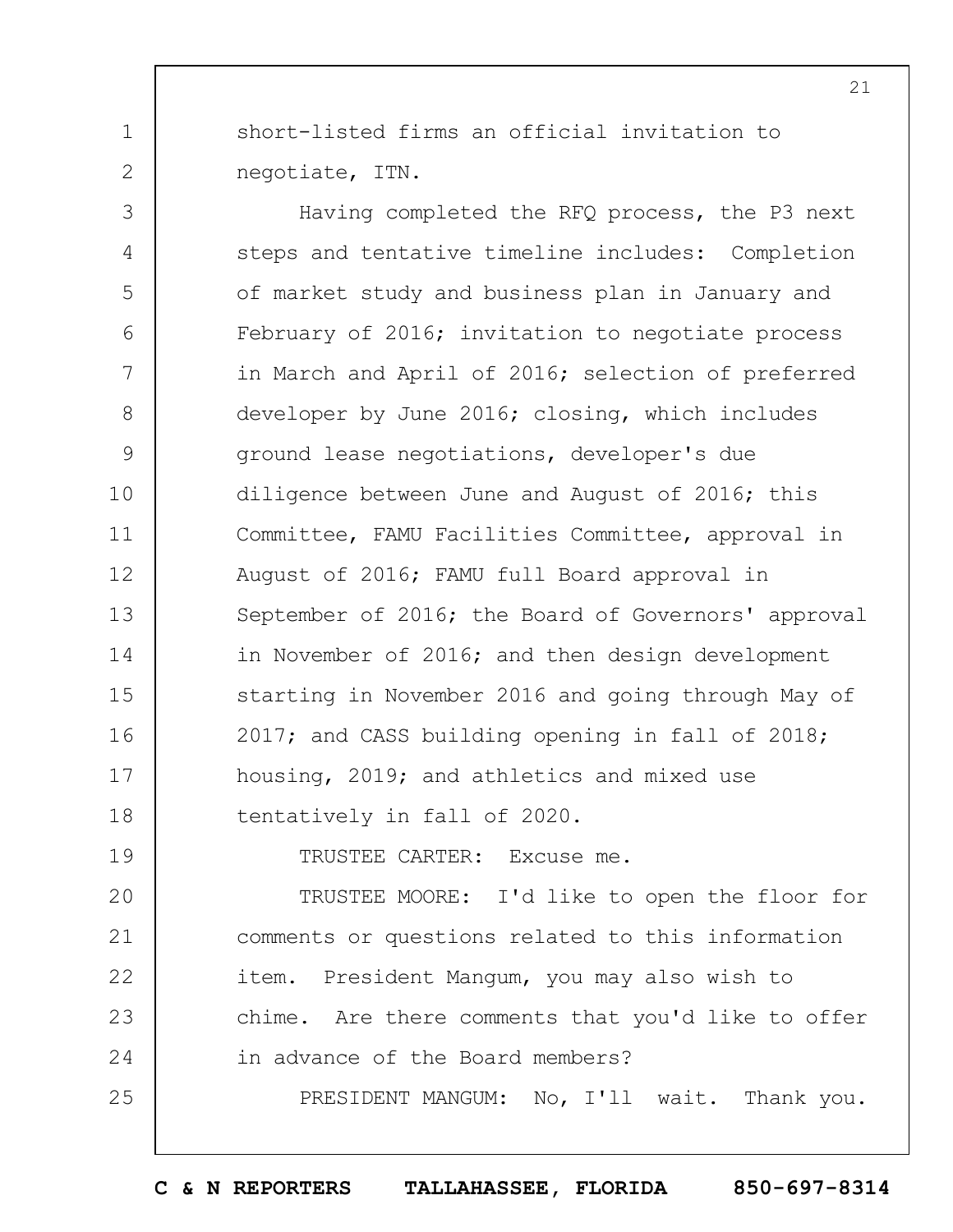short-listed firms an official invitation to negotiate, ITN.

1

2

19

25

3 4 5 6 7 8 9 10 11 12 13 14 15 16 17 18 Having completed the RFQ process, the P3 next steps and tentative timeline includes: Completion of market study and business plan in January and February of 2016; invitation to negotiate process in March and April of 2016; selection of preferred developer by June 2016; closing, which includes ground lease negotiations, developer's due diligence between June and August of 2016; this Committee, FAMU Facilities Committee, approval in August of 2016; FAMU full Board approval in September of 2016; the Board of Governors' approval in November of 2016; and then design development starting in November 2016 and going through May of 2017; and CASS building opening in fall of 2018; housing, 2019; and athletics and mixed use tentatively in fall of 2020.

TRUSTEE CARTER: Excuse me.

 $20$ 21 22 23 24 TRUSTEE MOORE: I'd like to open the floor for comments or questions related to this information item. President Mangum, you may also wish to chime. Are there comments that you'd like to offer in advance of the Board members?

PRESIDENT MANGUM: No, I'll wait. Thank you.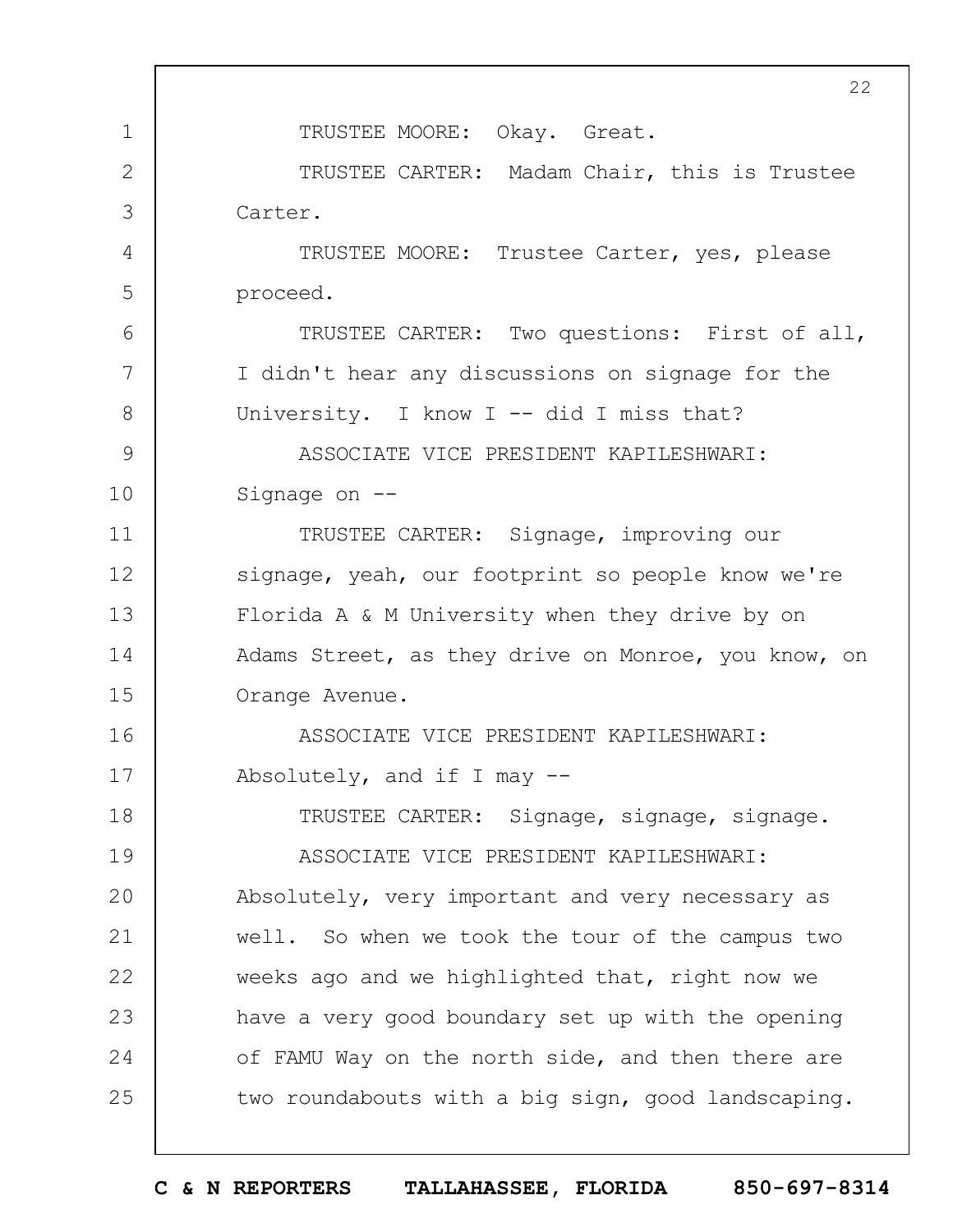1 2 3 4 5 6 7 8 9 10 11 12 13 14 15 16 17 18 19  $20$ 21 22 23 24 25 22 TRUSTEE MOORE: Okay. Great. TRUSTEE CARTER: Madam Chair, this is Trustee Carter. TRUSTEE MOORE: Trustee Carter, yes, please proceed. TRUSTEE CARTER: Two questions: First of all, I didn't hear any discussions on signage for the University. I know I -- did I miss that? ASSOCIATE VICE PRESIDENT KAPILESHWARI: Signage on -- TRUSTEE CARTER: Signage, improving our signage, yeah, our footprint so people know we're Florida A & M University when they drive by on Adams Street, as they drive on Monroe, you know, on Orange Avenue. ASSOCIATE VICE PRESIDENT KAPILESHWARI: Absolutely, and if I may  $-$ -TRUSTEE CARTER: Signage, signage, signage. ASSOCIATE VICE PRESIDENT KAPILESHWARI: Absolutely, very important and very necessary as well. So when we took the tour of the campus two weeks ago and we highlighted that, right now we have a very good boundary set up with the opening of FAMU Way on the north side, and then there are two roundabouts with a big sign, good landscaping.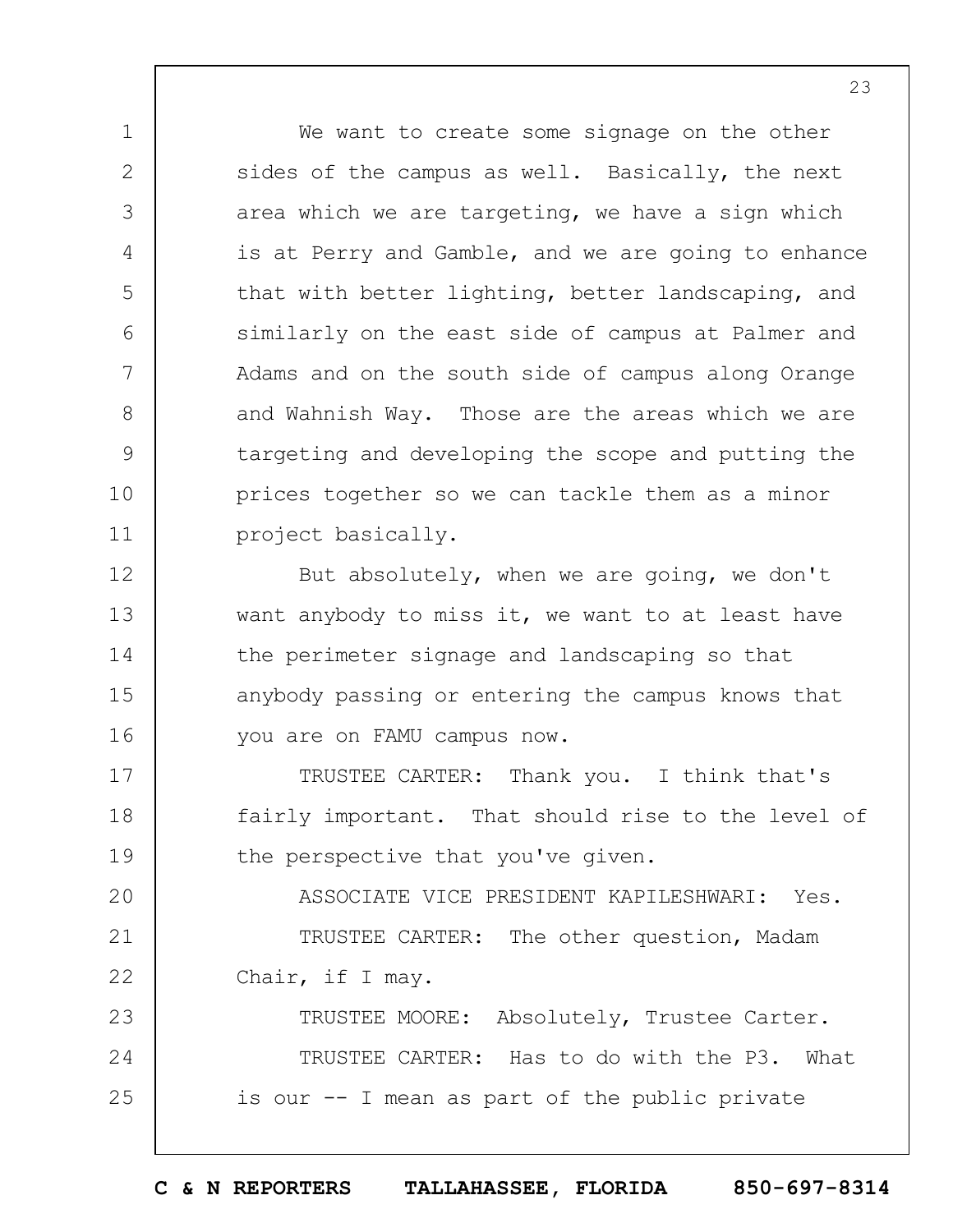We want to create some signage on the other sides of the campus as well. Basically, the next area which we are targeting, we have a sign which is at Perry and Gamble, and we are going to enhance that with better lighting, better landscaping, and similarly on the east side of campus at Palmer and Adams and on the south side of campus along Orange and Wahnish Way. Those are the areas which we are targeting and developing the scope and putting the prices together so we can tackle them as a minor project basically.

1

2

3

4

5

6

7

8

9

10

11

12

13

14

15

16

But absolutely, when we are going, we don't want anybody to miss it, we want to at least have the perimeter signage and landscaping so that anybody passing or entering the campus knows that you are on FAMU campus now.

17 18 19 TRUSTEE CARTER: Thank you. I think that's fairly important. That should rise to the level of the perspective that you've given.

 $20$ 21 22 ASSOCIATE VICE PRESIDENT KAPILESHWARI: Yes. TRUSTEE CARTER: The other question, Madam Chair, if I may.

23 24 25 TRUSTEE MOORE: Absolutely, Trustee Carter. TRUSTEE CARTER: Has to do with the P3. What is our -- I mean as part of the public private

**C & N REPORTERS TALLAHASSEE, FLORIDA 850-697-8314**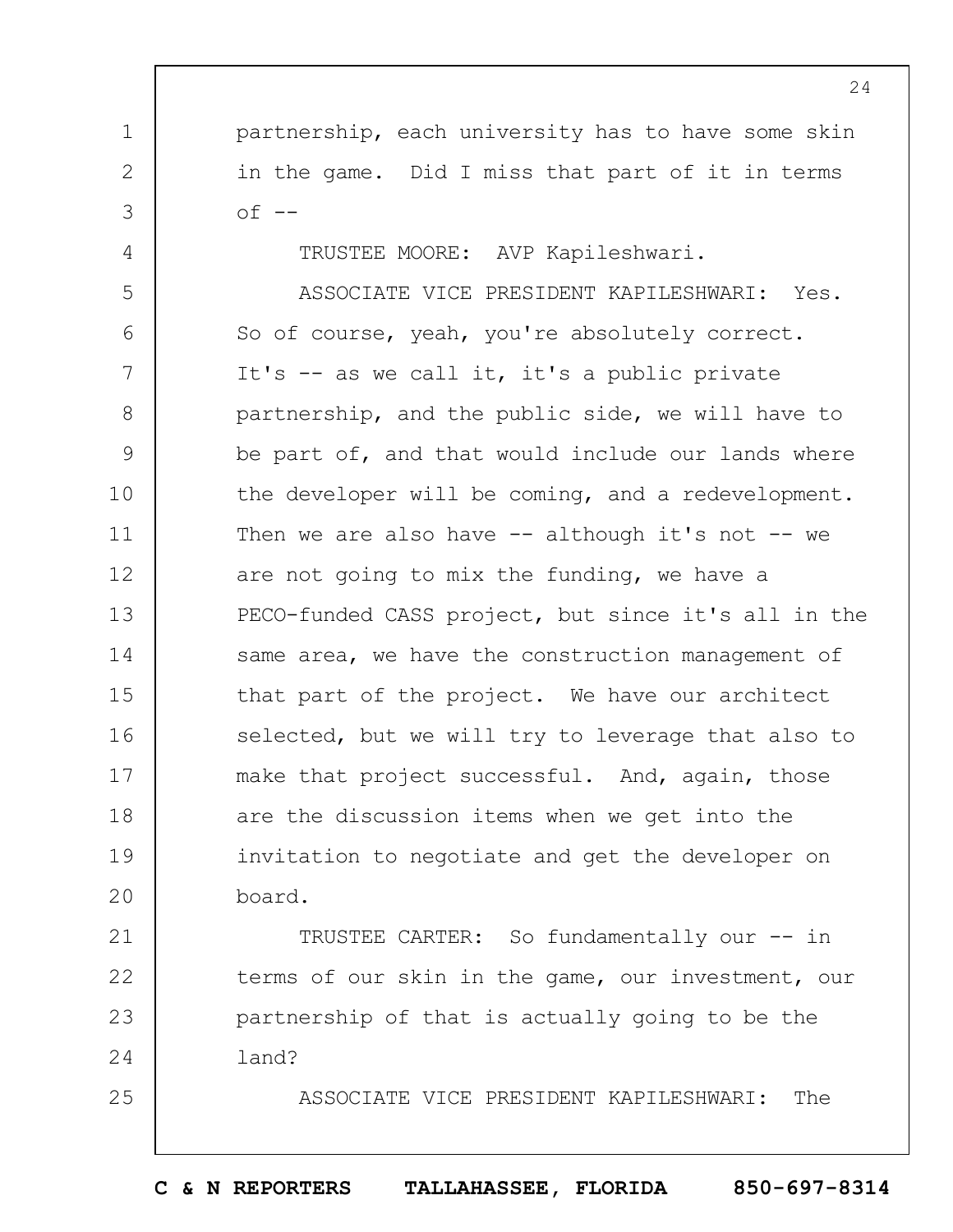partnership, each university has to have some skin in the game. Did I miss that part of it in terms  $of$   $-$ 

TRUSTEE MOORE: AVP Kapileshwari.

1

2

3

4

25

5 6 7 8 9 10 11 12 13 14 15 16 17 18 19  $20$ ASSOCIATE VICE PRESIDENT KAPILESHWARI: Yes. So of course, yeah, you're absolutely correct. It's -- as we call it, it's a public private partnership, and the public side, we will have to be part of, and that would include our lands where the developer will be coming, and a redevelopment. Then we are also have  $--$  although it's not  $--$  we are not going to mix the funding, we have a PECO-funded CASS project, but since it's all in the same area, we have the construction management of that part of the project. We have our architect selected, but we will try to leverage that also to make that project successful. And, again, those are the discussion items when we get into the invitation to negotiate and get the developer on board.

21 22 23 24 TRUSTEE CARTER: So fundamentally our -- in terms of our skin in the game, our investment, our partnership of that is actually going to be the land?

ASSOCIATE VICE PRESIDENT KAPILESHWARI: The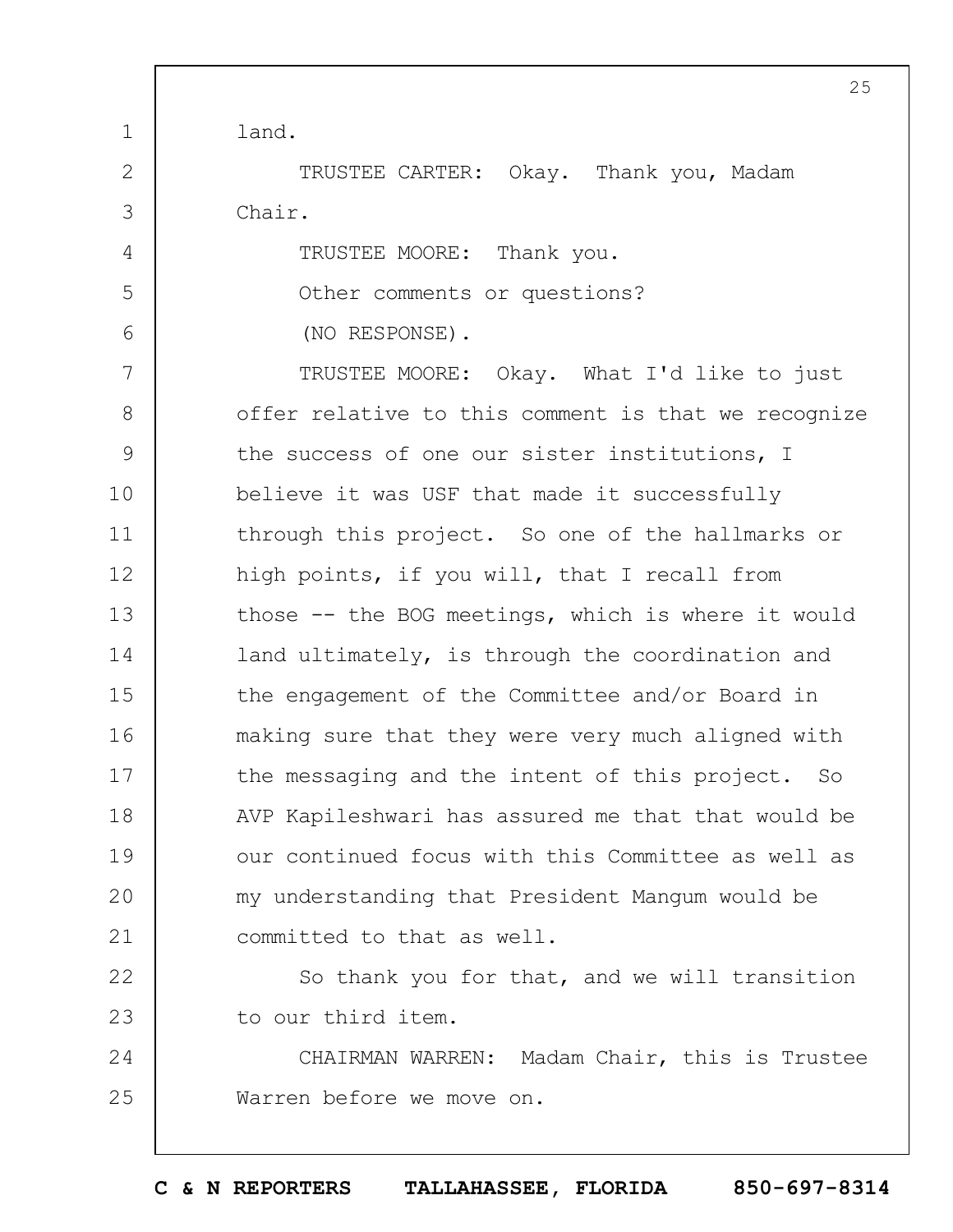1 2 3 4 5 6 7 8 9 10 11 12 13 14 15 16 17 18 19  $20$ 21 22 23 24 25 25 land. TRUSTEE CARTER: Okay. Thank you, Madam Chair. TRUSTEE MOORE: Thank you. Other comments or questions? (NO RESPONSE). TRUSTEE MOORE: Okay. What I'd like to just offer relative to this comment is that we recognize the success of one our sister institutions, I believe it was USF that made it successfully through this project. So one of the hallmarks or high points, if you will, that I recall from those -- the BOG meetings, which is where it would land ultimately, is through the coordination and the engagement of the Committee and/or Board in making sure that they were very much aligned with the messaging and the intent of this project. So AVP Kapileshwari has assured me that that would be our continued focus with this Committee as well as my understanding that President Mangum would be committed to that as well. So thank you for that, and we will transition to our third item. CHAIRMAN WARREN: Madam Chair, this is Trustee Warren before we move on.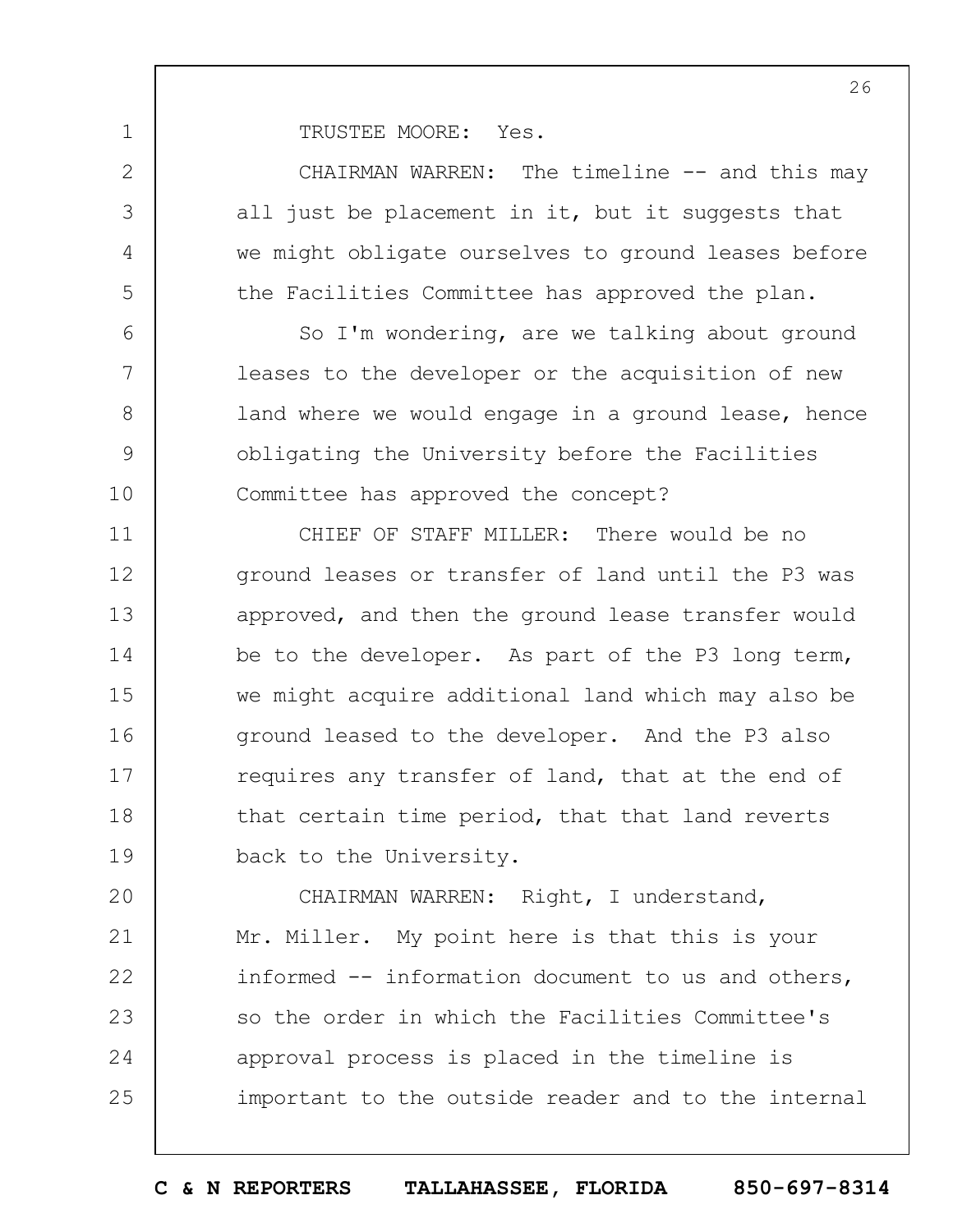TRUSTEE MOORE: Yes.

1

2

3

4

5

6

7

8

9

10

CHAIRMAN WARREN: The timeline -- and this may all just be placement in it, but it suggests that we might obligate ourselves to ground leases before the Facilities Committee has approved the plan.

So I'm wondering, are we talking about ground leases to the developer or the acquisition of new land where we would engage in a ground lease, hence obligating the University before the Facilities Committee has approved the concept?

11 12 13 14 15 16 17 18 19 CHIEF OF STAFF MILLER: There would be no ground leases or transfer of land until the P3 was approved, and then the ground lease transfer would be to the developer. As part of the P3 long term, we might acquire additional land which may also be ground leased to the developer. And the P3 also requires any transfer of land, that at the end of that certain time period, that that land reverts back to the University.

 $20$ 21 22 23 24 25 CHAIRMAN WARREN: Right, I understand, Mr. Miller. My point here is that this is your informed -- information document to us and others, so the order in which the Facilities Committee's approval process is placed in the timeline is important to the outside reader and to the internal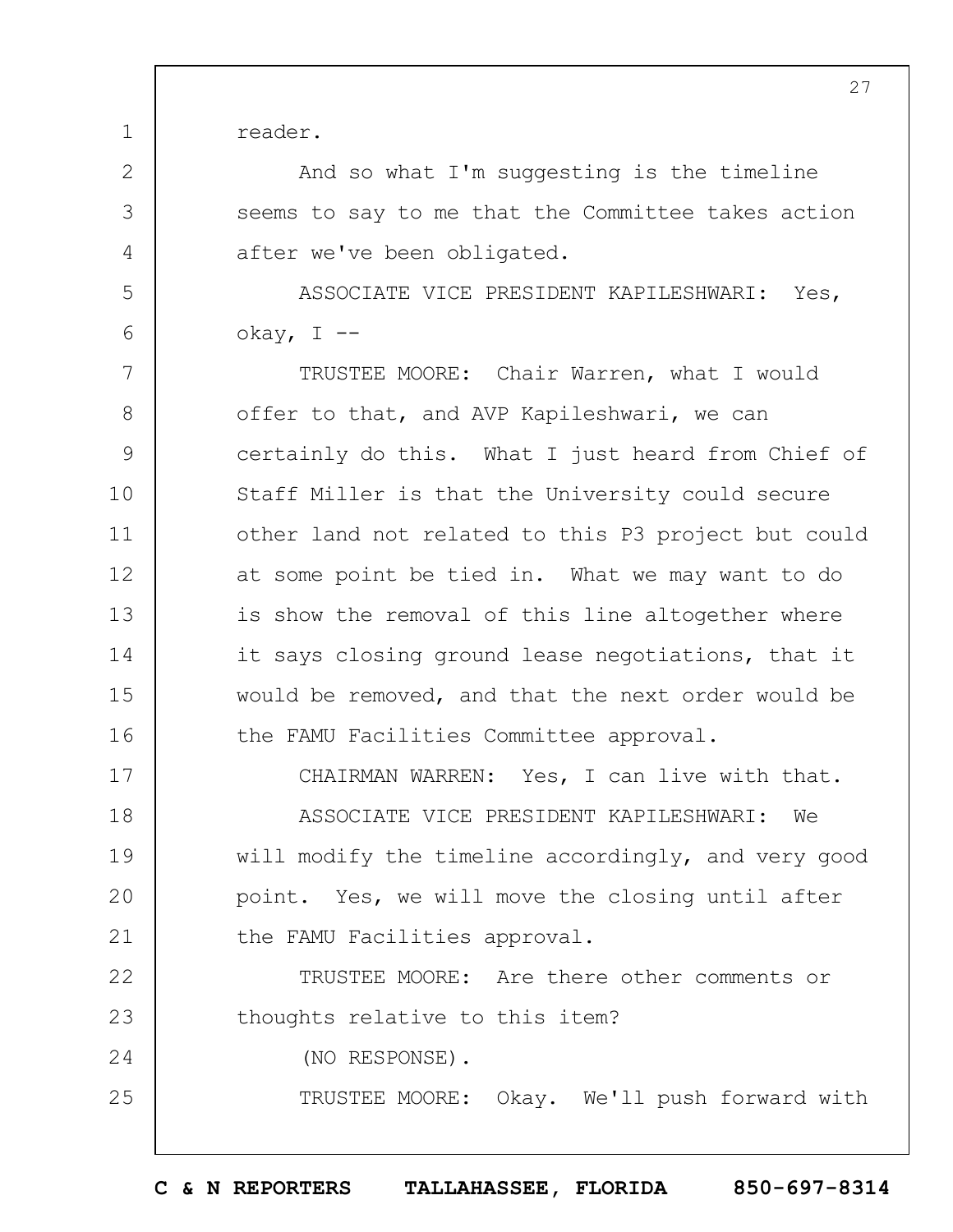reader.

1

2

3

4

5

6

17

24

25

And so what I'm suggesting is the timeline seems to say to me that the Committee takes action after we've been obligated.

ASSOCIATE VICE PRESIDENT KAPILESHWARI: Yes, okay, I --

7 8 9 10 11 12 13 14 15 16 TRUSTEE MOORE: Chair Warren, what I would offer to that, and AVP Kapileshwari, we can certainly do this. What I just heard from Chief of Staff Miller is that the University could secure other land not related to this P3 project but could at some point be tied in. What we may want to do is show the removal of this line altogether where it says closing ground lease negotiations, that it would be removed, and that the next order would be the FAMU Facilities Committee approval.

CHAIRMAN WARREN: Yes, I can live with that.

18 19  $20$ 21 ASSOCIATE VICE PRESIDENT KAPILESHWARI: We will modify the timeline accordingly, and very good point. Yes, we will move the closing until after the FAMU Facilities approval.

22 23 TRUSTEE MOORE: Are there other comments or thoughts relative to this item?

(NO RESPONSE).

TRUSTEE MOORE: Okay. We'll push forward with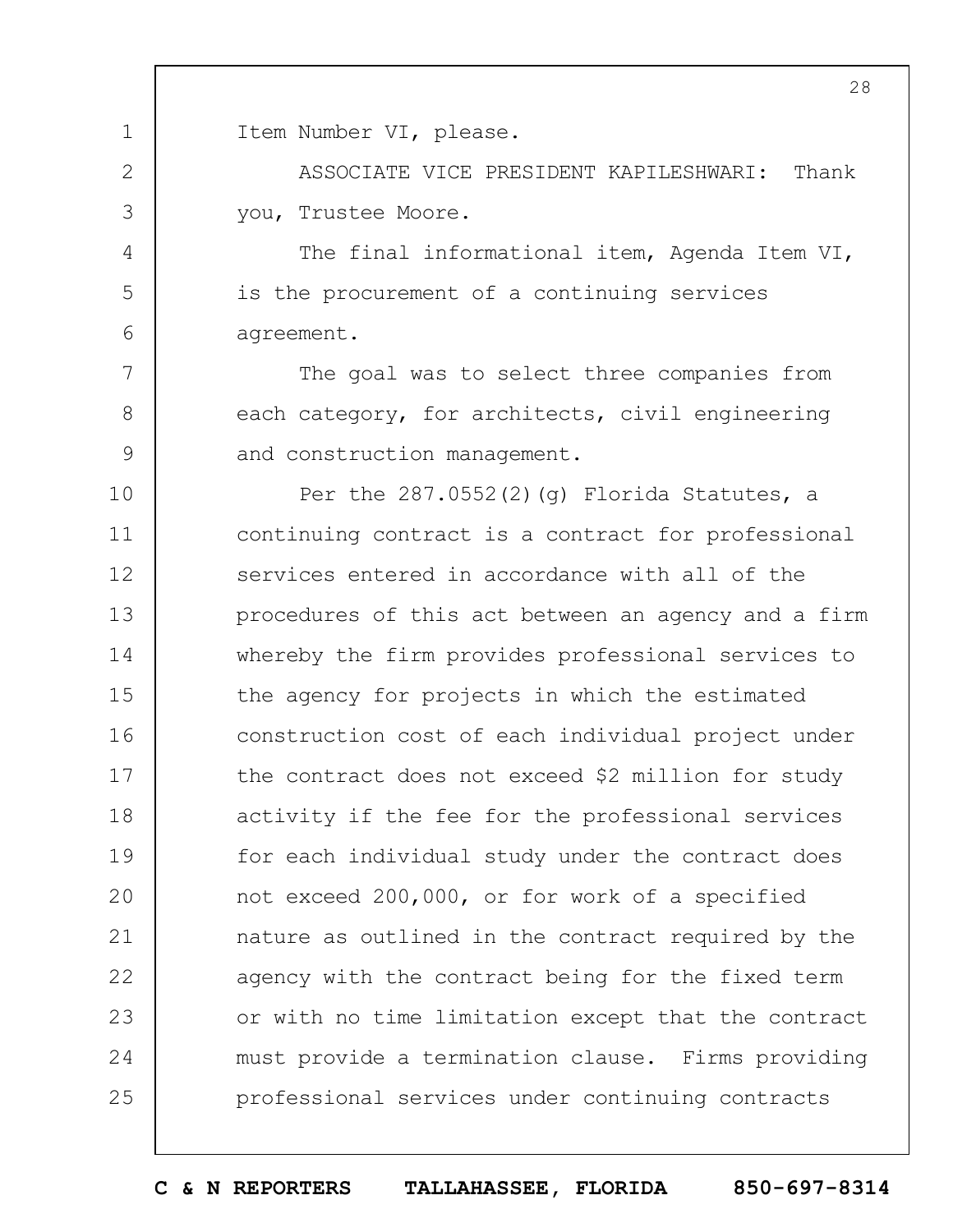1 2 3 4 5 6 7 8 9 10 11 12 13 14 15 16 17 18 19  $20$ 21 22 23 24 25 28 Item Number VI, please. ASSOCIATE VICE PRESIDENT KAPILESHWARI: Thank you, Trustee Moore. The final informational item, Agenda Item VI, is the procurement of a continuing services agreement. The goal was to select three companies from each category, for architects, civil engineering and construction management. Per the  $287.0552(2)(q)$  Florida Statutes, a continuing contract is a contract for professional services entered in accordance with all of the procedures of this act between an agency and a firm whereby the firm provides professional services to the agency for projects in which the estimated construction cost of each individual project under the contract does not exceed \$2 million for study activity if the fee for the professional services for each individual study under the contract does not exceed 200,000, or for work of a specified nature as outlined in the contract required by the agency with the contract being for the fixed term or with no time limitation except that the contract must provide a termination clause. Firms providing professional services under continuing contracts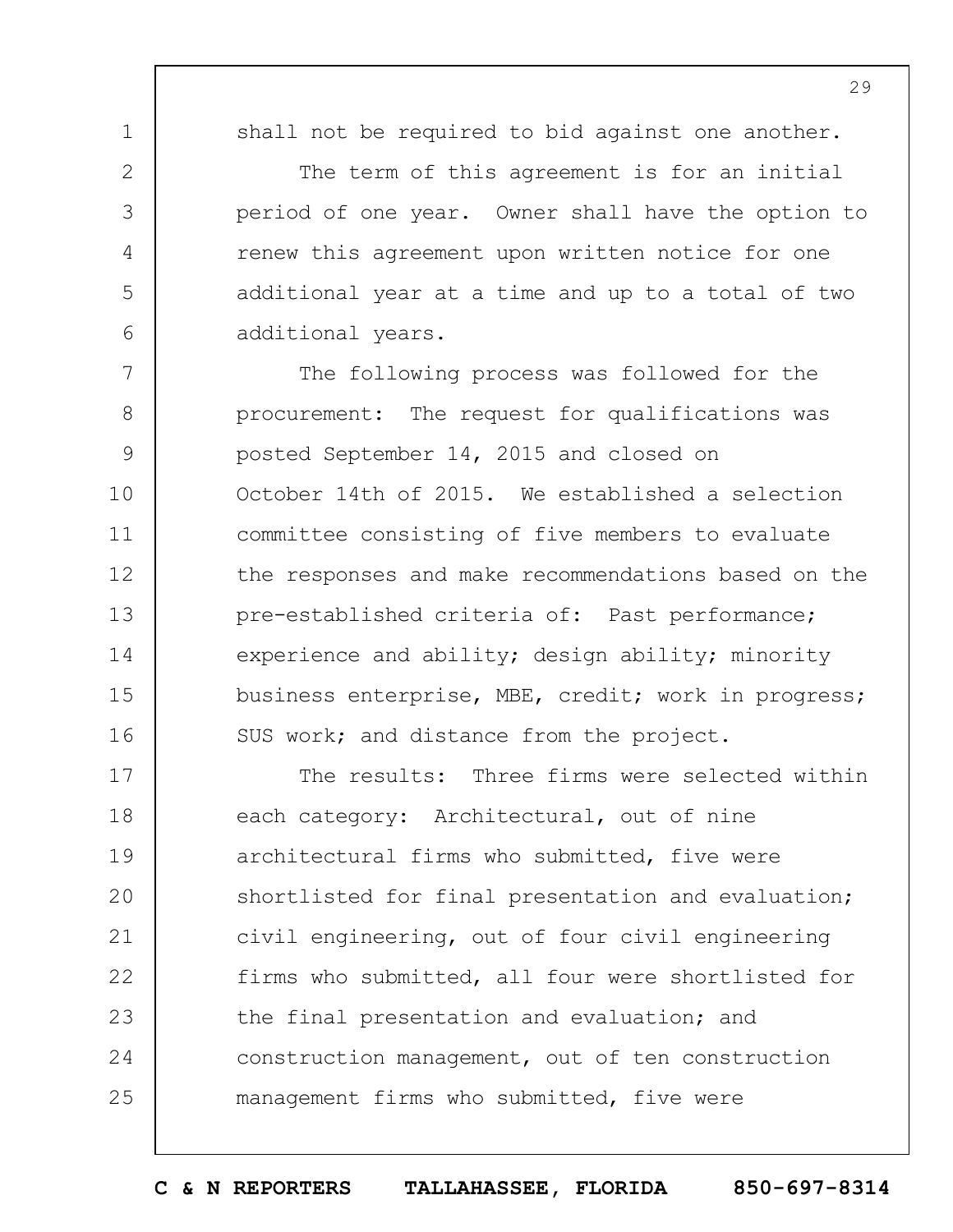shall not be required to bid against one another.

1

2

3

4

5

6

The term of this agreement is for an initial period of one year. Owner shall have the option to renew this agreement upon written notice for one additional year at a time and up to a total of two additional years.

7 8 9 10 11 12 13 14 15 16 The following process was followed for the procurement: The request for qualifications was posted September 14, 2015 and closed on October 14th of 2015. We established a selection committee consisting of five members to evaluate the responses and make recommendations based on the pre-established criteria of: Past performance; experience and ability; design ability; minority business enterprise, MBE, credit; work in progress; SUS work; and distance from the project.

17 18 19  $20$ 21 22 23 24 25 The results: Three firms were selected within each category: Architectural, out of nine architectural firms who submitted, five were shortlisted for final presentation and evaluation; civil engineering, out of four civil engineering firms who submitted, all four were shortlisted for the final presentation and evaluation; and construction management, out of ten construction management firms who submitted, five were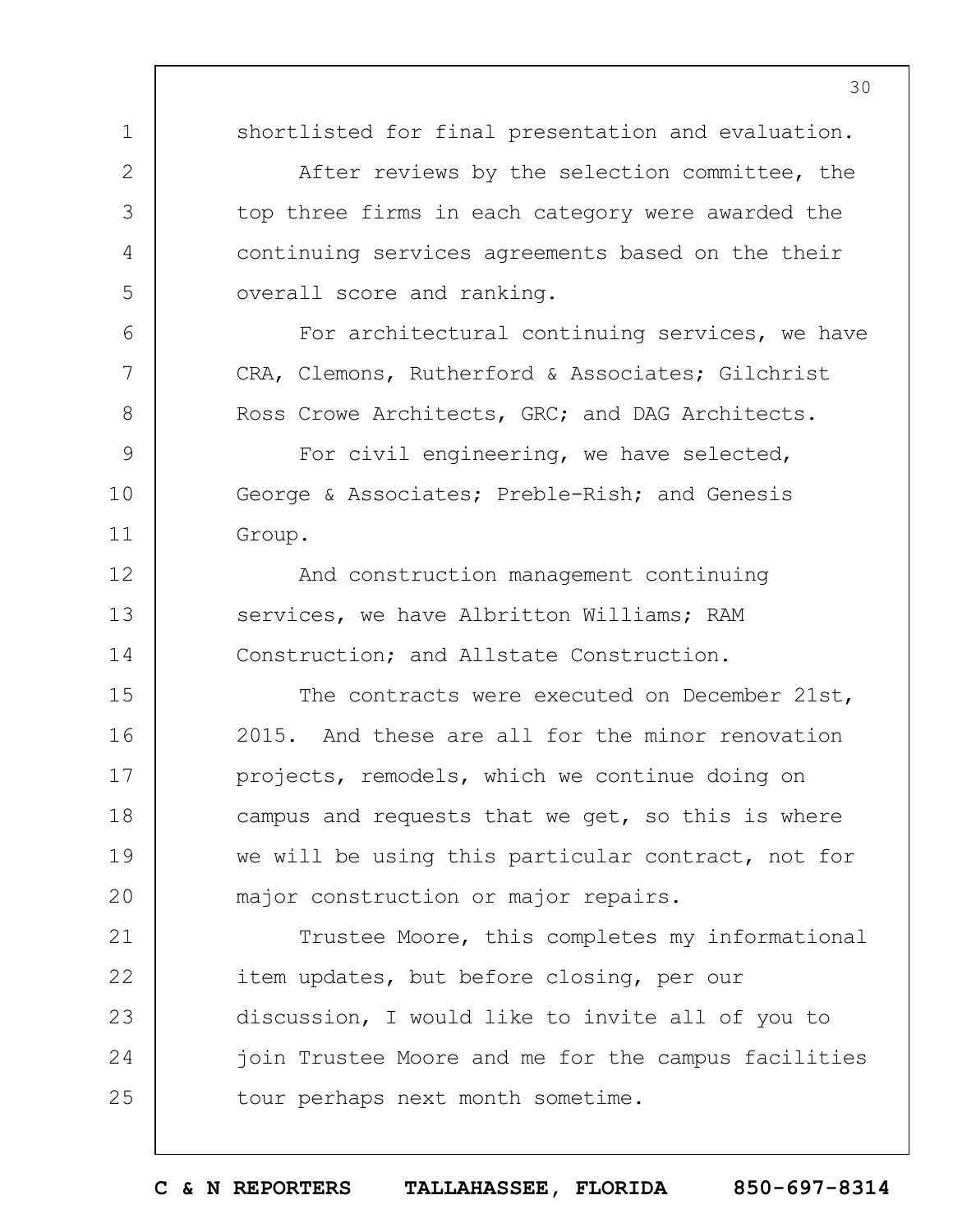30

shortlisted for final presentation and evaluation.

After reviews by the selection committee, the top three firms in each category were awarded the continuing services agreements based on the their overall score and ranking.

For architectural continuing services, we have CRA, Clemons, Rutherford & Associates; Gilchrist Ross Crowe Architects, GRC; and DAG Architects.

9 For civil engineering, we have selected, George & Associates; Preble-Rish; and Genesis Group.

1

2

3

4

5

6

7

8

10

11

12 13 14 And construction management continuing services, we have Albritton Williams; RAM Construction; and Allstate Construction.

15 16 17 18 19  $20$ The contracts were executed on December 21st, 2015. And these are all for the minor renovation projects, remodels, which we continue doing on campus and requests that we get, so this is where we will be using this particular contract, not for major construction or major repairs.

21 22 23 24 25 Trustee Moore, this completes my informational item updates, but before closing, per our discussion, I would like to invite all of you to join Trustee Moore and me for the campus facilities tour perhaps next month sometime.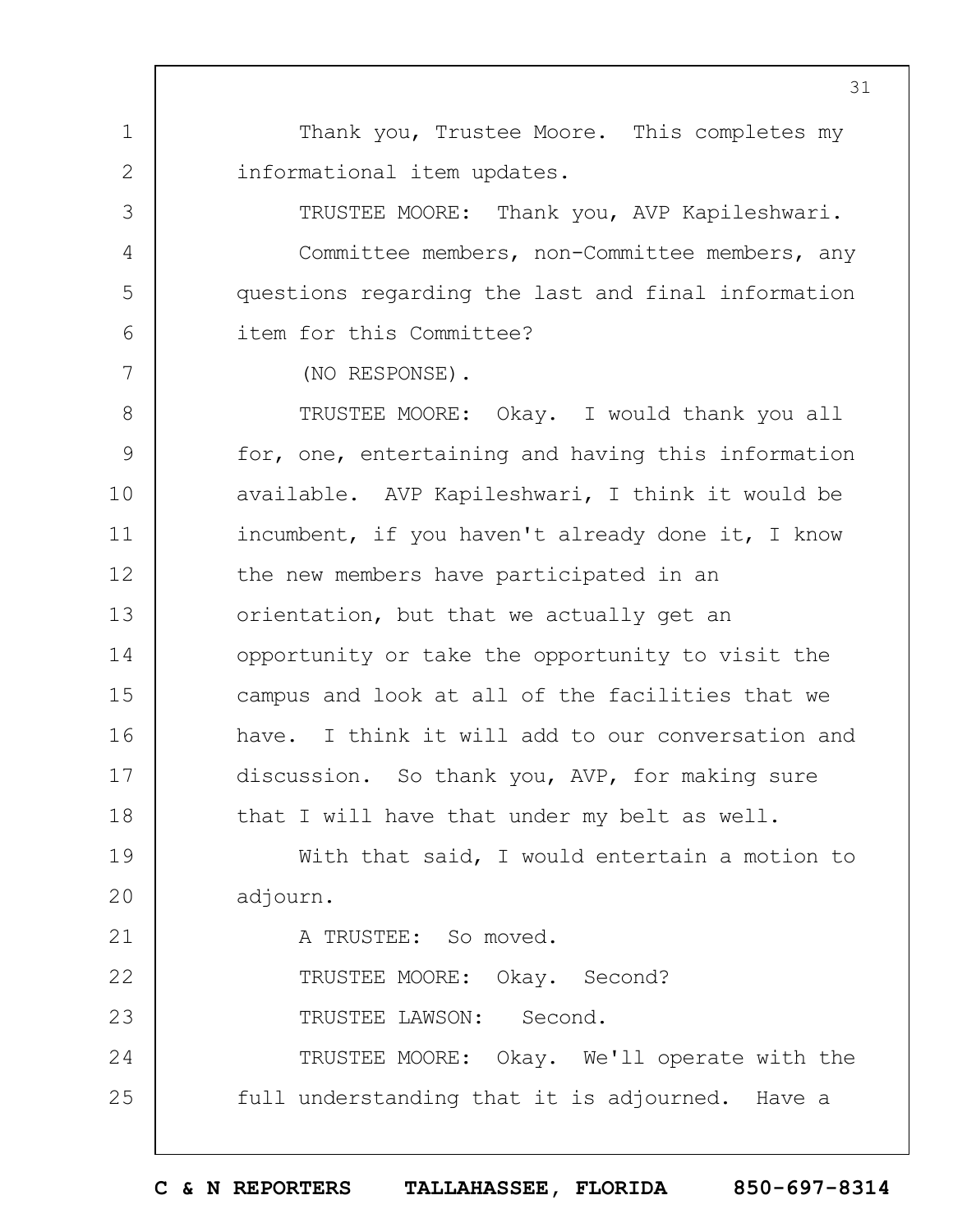Thank you, Trustee Moore. This completes my informational item updates.

TRUSTEE MOORE: Thank you, AVP Kapileshwari. Committee members, non-Committee members, any questions regarding the last and final information item for this Committee?

(NO RESPONSE).

1

2

3

4

5

6

7

8 9 10 11 12 13 14 15 16 17 18 TRUSTEE MOORE: Okay. I would thank you all for, one, entertaining and having this information available. AVP Kapileshwari, I think it would be incumbent, if you haven't already done it, I know the new members have participated in an orientation, but that we actually get an opportunity or take the opportunity to visit the campus and look at all of the facilities that we have. I think it will add to our conversation and discussion. So thank you, AVP, for making sure that I will have that under my belt as well.

19  $20$ With that said, I would entertain a motion to adjourn.

21 22 23 24 25 A TRUSTEE: So moved. TRUSTEE MOORE: Okay. Second? TRUSTEE LAWSON: Second. TRUSTEE MOORE: Okay. We'll operate with the full understanding that it is adjourned. Have a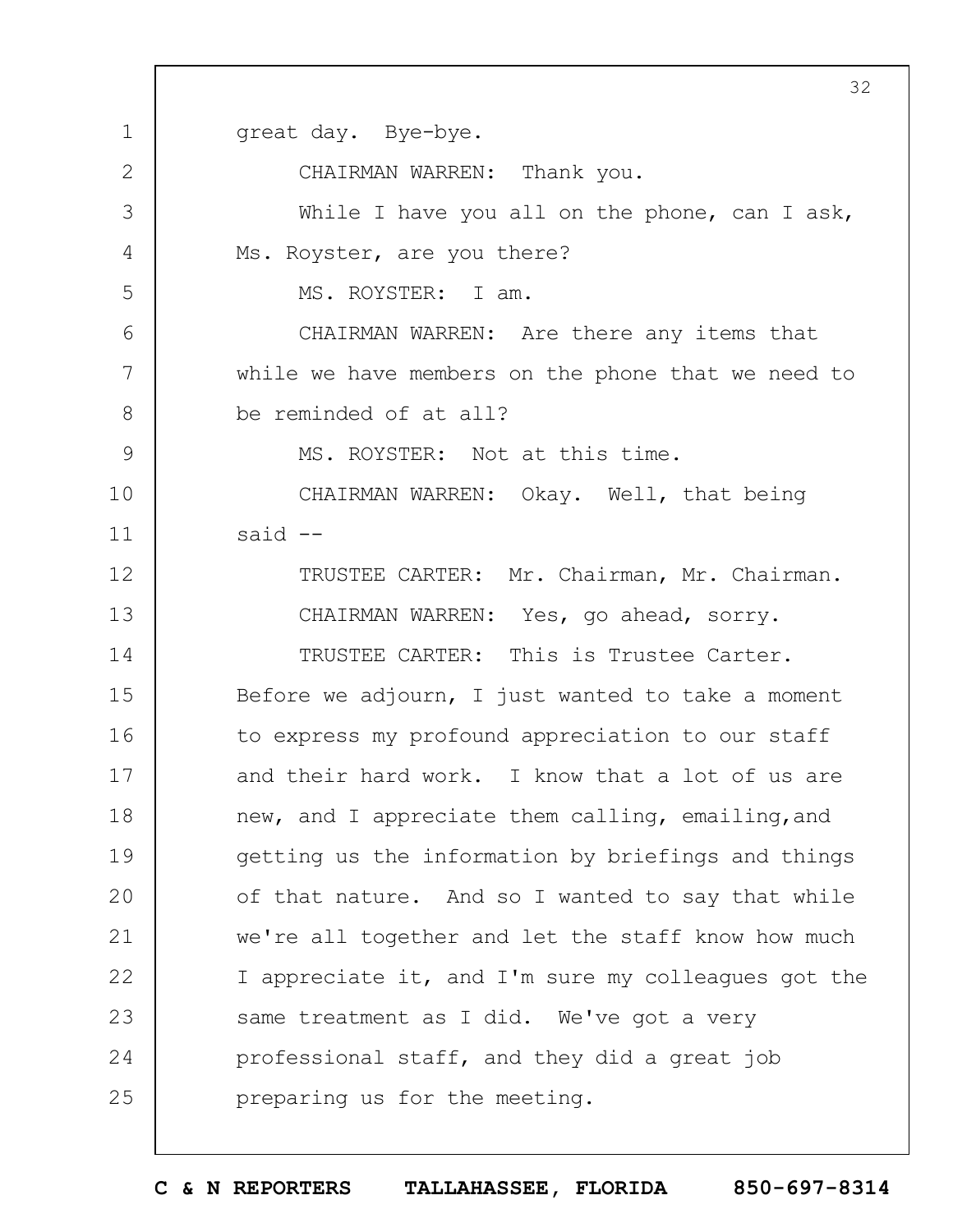1 2 3 4 5 6 7 8 9 10 11 12 13 14 15 16 17 18 19  $20$ 21 22 23 24 25 32 great day. Bye-bye. CHAIRMAN WARREN: Thank you. While I have you all on the phone, can I ask, Ms. Royster, are you there? MS. ROYSTER: I am. CHAIRMAN WARREN: Are there any items that while we have members on the phone that we need to be reminded of at all? MS. ROYSTER: Not at this time. CHAIRMAN WARREN: Okay. Well, that being said -- TRUSTEE CARTER: Mr. Chairman, Mr. Chairman. CHAIRMAN WARREN: Yes, go ahead, sorry. TRUSTEE CARTER: This is Trustee Carter. Before we adjourn, I just wanted to take a moment to express my profound appreciation to our staff and their hard work. I know that a lot of us are new, and I appreciate them calling, emailing, and getting us the information by briefings and things of that nature. And so I wanted to say that while we're all together and let the staff know how much I appreciate it, and I'm sure my colleagues got the same treatment as I did. We've got a very professional staff, and they did a great job preparing us for the meeting.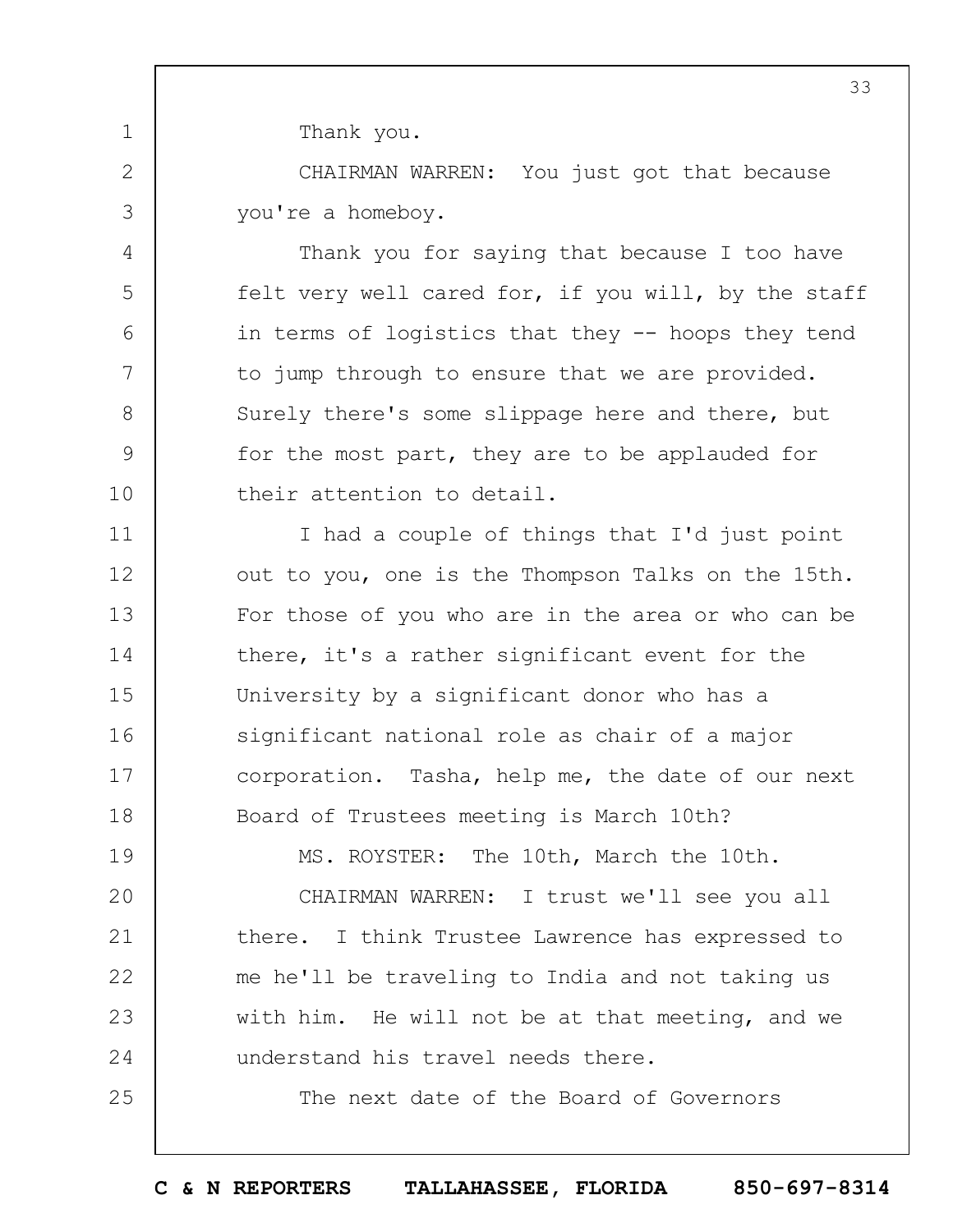Thank you.

1

2

3

4

5

6

7

8

9

10

25

CHAIRMAN WARREN: You just got that because you're a homeboy.

Thank you for saying that because I too have felt very well cared for, if you will, by the staff in terms of logistics that they -- hoops they tend to jump through to ensure that we are provided. Surely there's some slippage here and there, but for the most part, they are to be applauded for their attention to detail.

11 12 13 14 15 16 17 18 I had a couple of things that I'd just point out to you, one is the Thompson Talks on the 15th. For those of you who are in the area or who can be there, it's a rather significant event for the University by a significant donor who has a significant national role as chair of a major corporation. Tasha, help me, the date of our next Board of Trustees meeting is March 10th?

19  $20$ 21 22 23 24 MS. ROYSTER: The 10th, March the 10th. CHAIRMAN WARREN: I trust we'll see you all there. I think Trustee Lawrence has expressed to me he'll be traveling to India and not taking us with him. He will not be at that meeting, and we understand his travel needs there.

The next date of the Board of Governors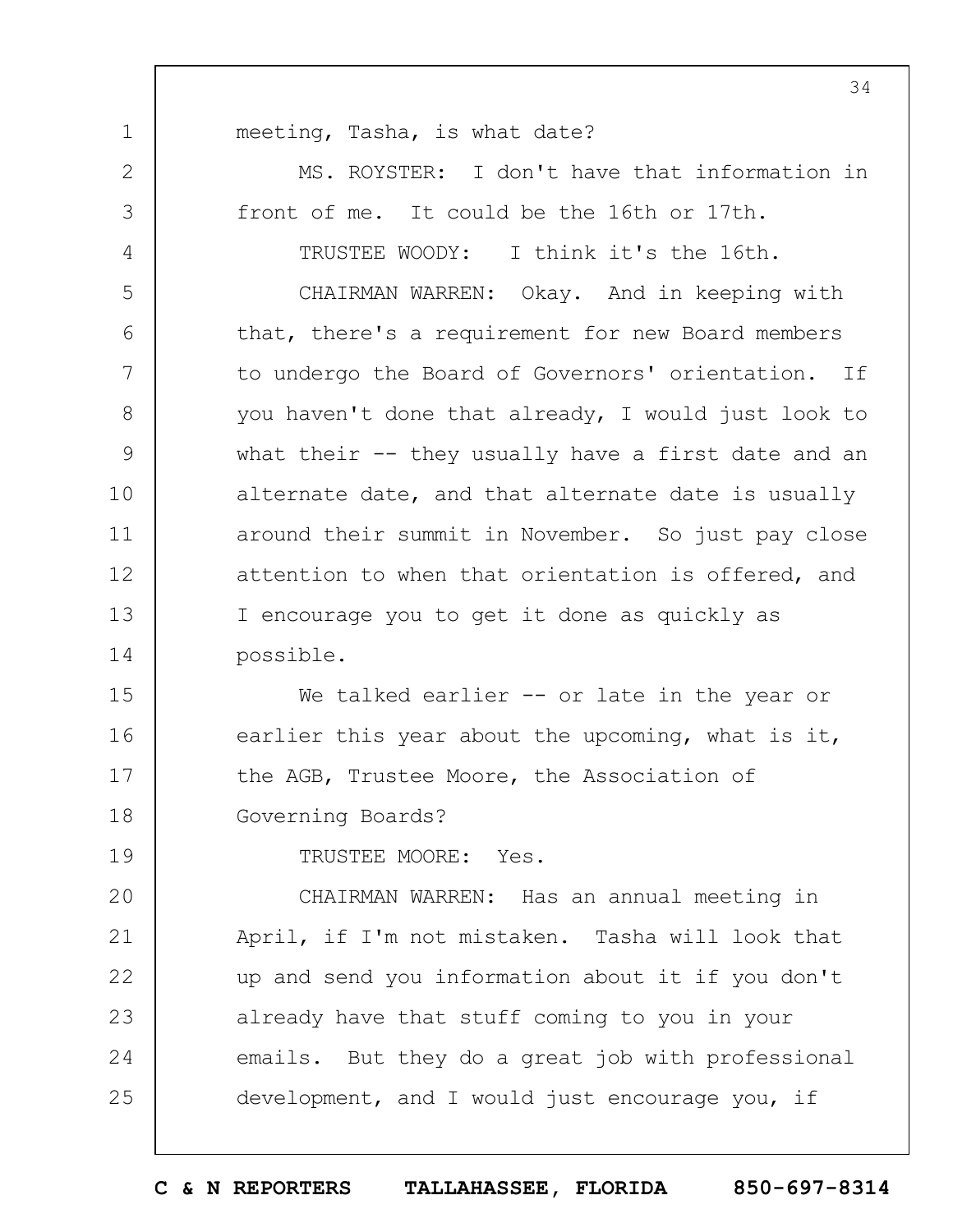1 2 3 4 5 6 7 8 9 10 11 12 13 14 15 16 17 18 19  $20$ 21 22 23 24 25 meeting, Tasha, is what date? MS. ROYSTER: I don't have that information in front of me. It could be the 16th or 17th. TRUSTEE WOODY: I think it's the 16th. CHAIRMAN WARREN: Okay. And in keeping with that, there's a requirement for new Board members to undergo the Board of Governors' orientation. If you haven't done that already, I would just look to what their -- they usually have a first date and an alternate date, and that alternate date is usually around their summit in November. So just pay close attention to when that orientation is offered, and I encourage you to get it done as quickly as possible. We talked earlier -- or late in the year or earlier this year about the upcoming, what is it, the AGB, Trustee Moore, the Association of Governing Boards? TRUSTEE MOORE: Yes. CHAIRMAN WARREN: Has an annual meeting in April, if I'm not mistaken. Tasha will look that up and send you information about it if you don't already have that stuff coming to you in your emails. But they do a great job with professional development, and I would just encourage you, if

34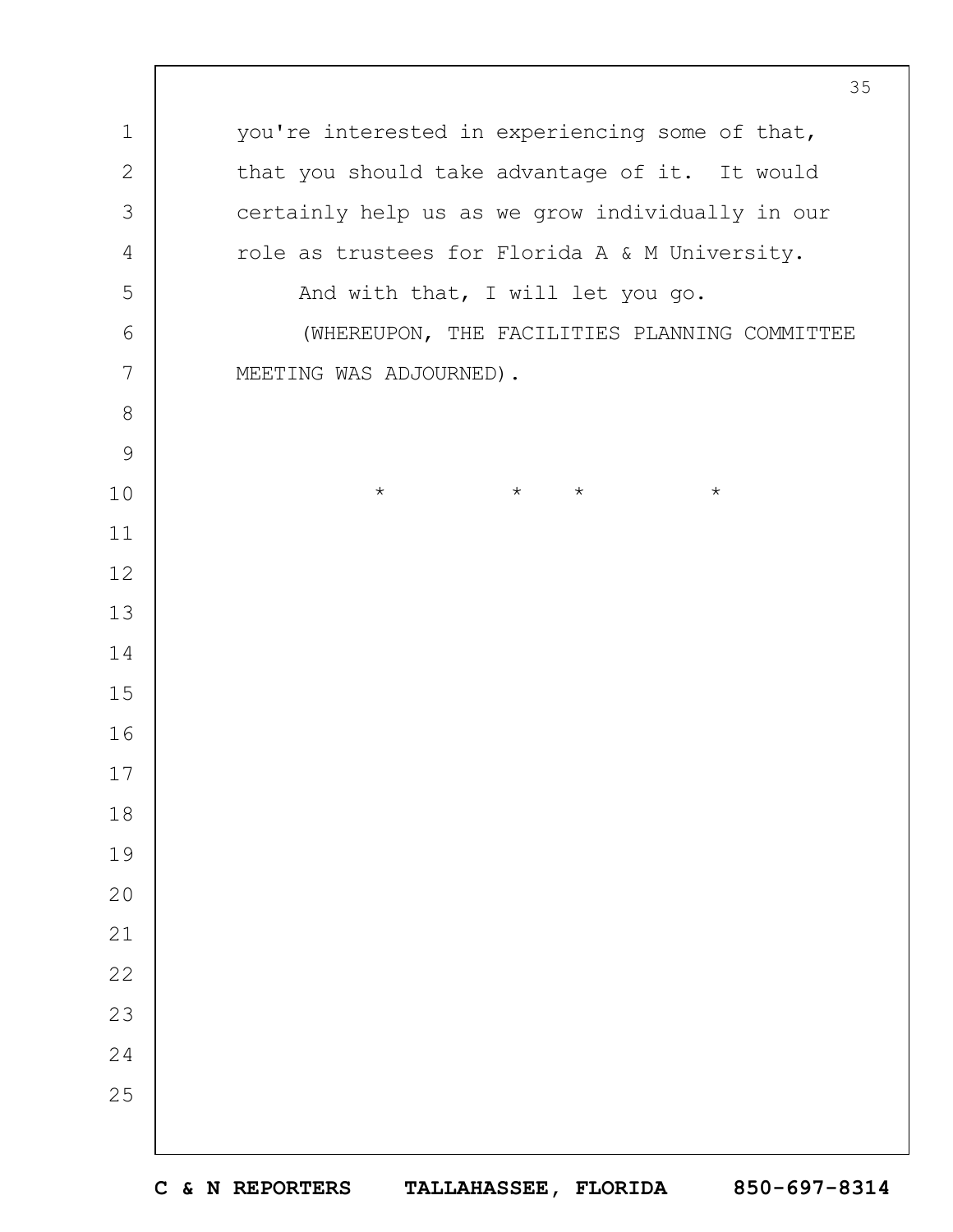you're interested in experiencing some of that, that you should take advantage of it. It would certainly help us as we grow individually in our role as trustees for Florida A & M University. And with that, I will let you go. (WHEREUPON, THE FACILITIES PLANNING COMMITTEE MEETING WAS ADJOURNED). \* \* \* \*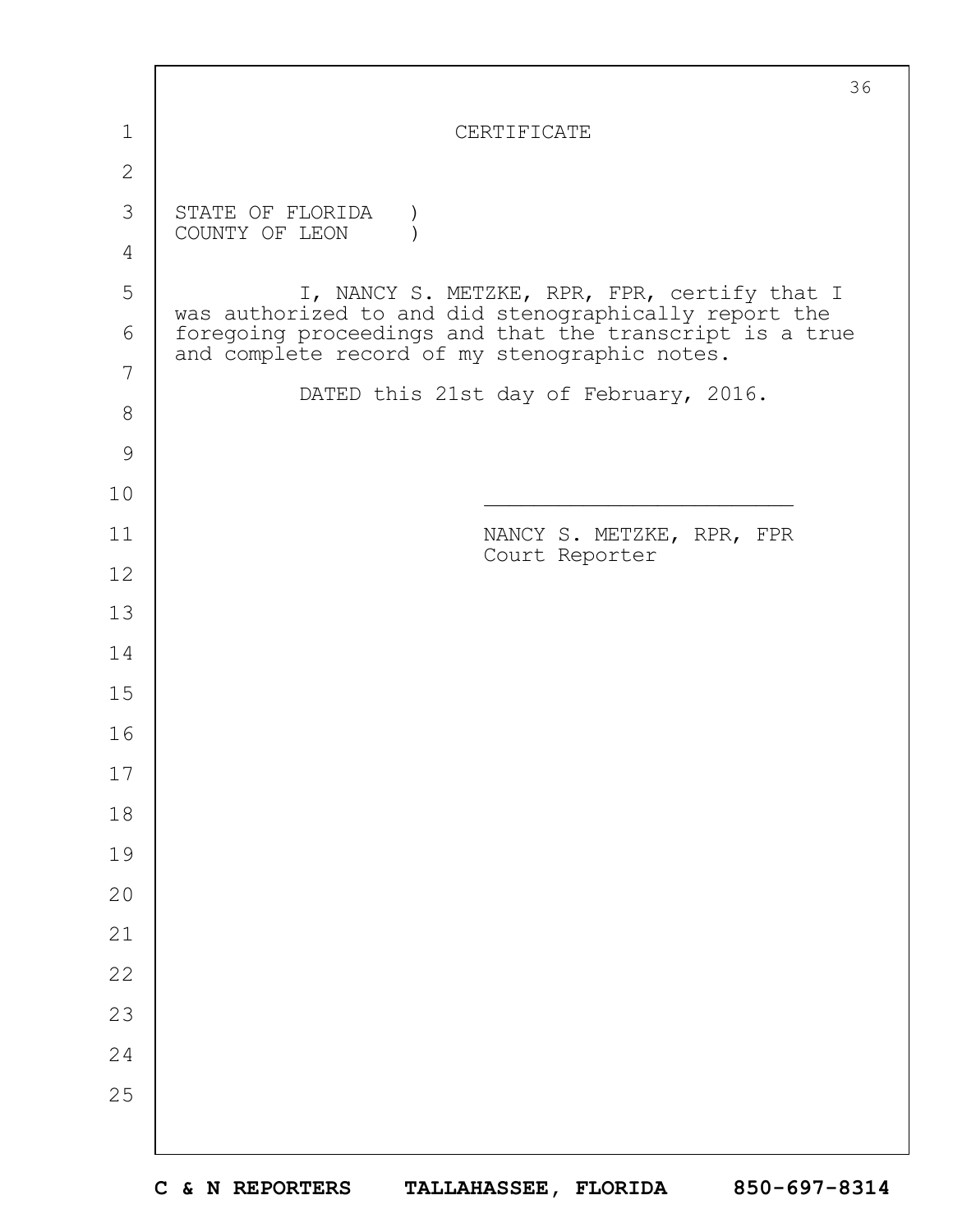|               | 36                                                                                                                                                                |
|---------------|-------------------------------------------------------------------------------------------------------------------------------------------------------------------|
| 1             | CERTIFICATE                                                                                                                                                       |
| $\mathbf{2}$  |                                                                                                                                                                   |
| 3             | STATE OF FLORIDA                                                                                                                                                  |
| 4             | COUNTY OF LEON                                                                                                                                                    |
| 5             | I, NANCY S. METZKE, RPR, FPR, certify that I                                                                                                                      |
| 6             | was authorized to and did stenographically report the<br>foregoing proceedings and that the transcript is a true<br>and complete record of my stenographic notes. |
| 7             |                                                                                                                                                                   |
| $8\,$         | DATED this 21st day of February, 2016.                                                                                                                            |
| $\mathcal{G}$ |                                                                                                                                                                   |
| 10            |                                                                                                                                                                   |
| 11            | NANCY S. METZKE, RPR, FPR<br>Court Reporter                                                                                                                       |
| 12            |                                                                                                                                                                   |
| 13            |                                                                                                                                                                   |
| 14            |                                                                                                                                                                   |
| 15            |                                                                                                                                                                   |
| 16            |                                                                                                                                                                   |
| 17            |                                                                                                                                                                   |
| 18            |                                                                                                                                                                   |
| 19            |                                                                                                                                                                   |
| 20            |                                                                                                                                                                   |
| 21            |                                                                                                                                                                   |
| 22            |                                                                                                                                                                   |
| 23            |                                                                                                                                                                   |
| 24            |                                                                                                                                                                   |
| 25            |                                                                                                                                                                   |
|               |                                                                                                                                                                   |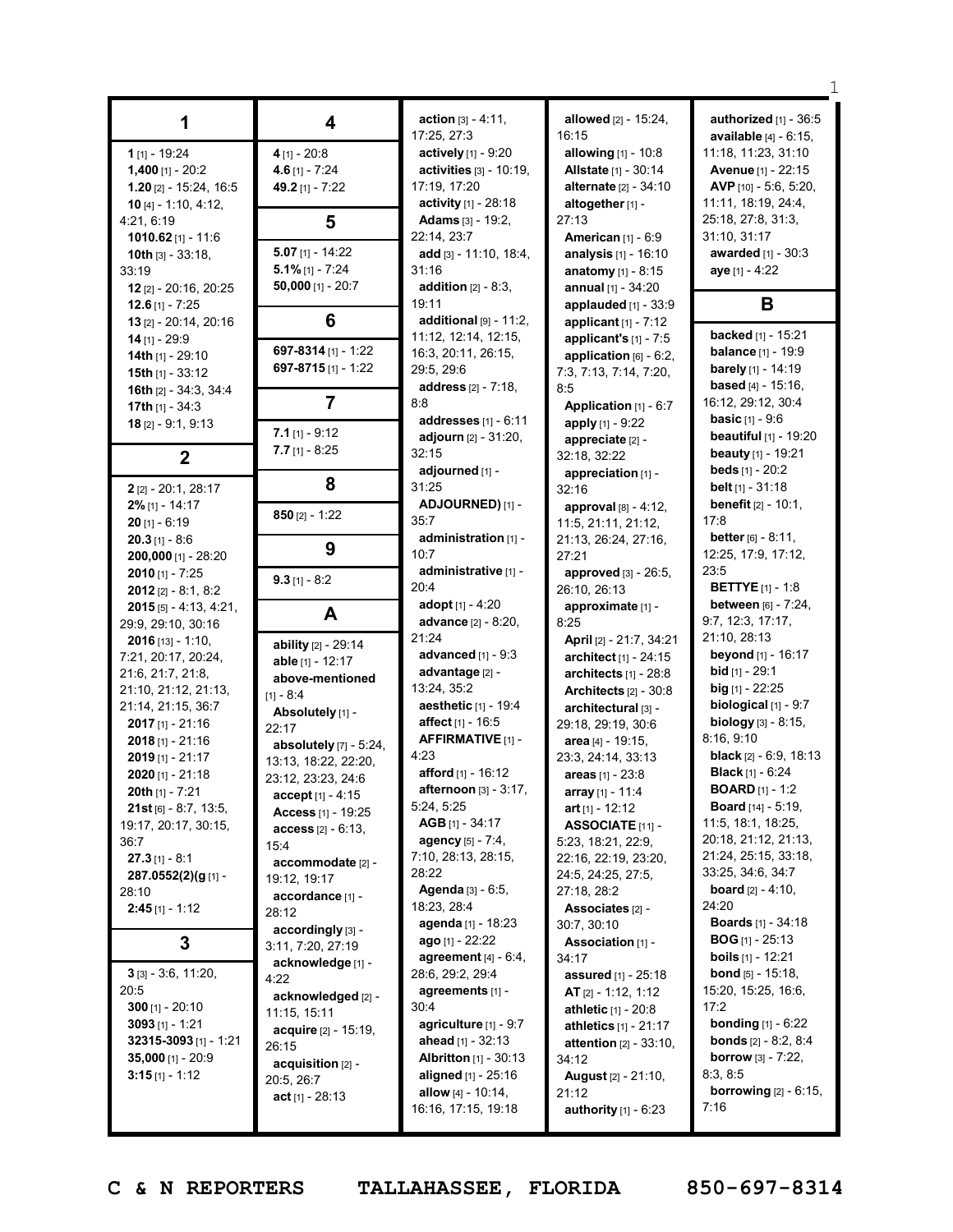| 1                        | 4                      | <b>action</b> $[3] - 4:11$ ,    | allowed [2] - 15:24,                 | authorized $[1]$ - $36:5$                   |
|--------------------------|------------------------|---------------------------------|--------------------------------------|---------------------------------------------|
|                          |                        | 17:25, 27:3                     | 16:15                                | <b>available</b> $[4] - 6:15$ ,             |
| $1$ [1] - 19:24          | $4$ [1] - 20:8         | actively [1] - 9:20             | allowing [1] - 10:8                  | 11:18, 11:23, 31:10                         |
| $1,400$ [1] - 20:2       | 4.6 $[1] - 7:24$       | activities [3] - 10:19,         | <b>Allstate [1] - 30:14</b>          | Avenue [1] - 22:15                          |
| $1.20$ [2] - 15:24, 16:5 | 49.2 [1] - 7:22        | 17:19, 17:20                    | <b>alternate</b> [2] - 34:10         | AVP [10] - 5:6, 5:20,                       |
| 10 $[4] - 1:10, 4:12,$   |                        | activity $[1] - 28:18$          | altogether [1] -                     | 11:11, 18:19, 24:4,                         |
| 4:21, 6:19               | 5                      | <b>Adams</b> [3] - 19:2,        | 27:13                                | 25:18, 27:8, 31:3,                          |
| 1010.62 $[1] - 11:6$     |                        | 22:14, 23:7                     | <b>American</b> [1] - 6:9            | 31:10, 31:17                                |
| 10th $[3] - 33:18$ ,     | $5.07$ [1] - 14:22     | add [3] - 11:10, 18:4,          | analysis [1] - 16:10                 | awarded [1] - 30:3                          |
| 33:19                    | $5.1\%$ [1] - 7:24     | 31:16                           | <b>anatomy</b> $[1] - 8:15$          | aye [1] - 4:22                              |
| 12 $[2] - 20:16$ , 20:25 | $50,000$ [1] - 20:7    | addition $[2] - 8:3$ ,          | annual $[1] - 34:20$                 |                                             |
| 12.6 $[1] - 7:25$        |                        | 19:11                           | applauded $[1]$ - 33:9               | В                                           |
| 13 [2] - 20:14, 20:16    | 6                      | additional $[9] - 11:2$ ,       | applicant $[1]$ - 7:12               |                                             |
| $14$ [1] - 29:9          |                        | 11:12, 12:14, 12:15,            | applicant's $[1]$ - 7:5              | backed [1] - 15:21                          |
| 14th $[1]$ - 29:10       | 697-8314 [1] - 1:22    | 16:3, 20:11, 26:15,             | application $[6] - 6:2$ ,            | <b>balance</b> $[1] - 19.9$                 |
| 15th $[1]$ - 33:12       | 697-8715 [1] - 1:22    | 29:5, 29:6                      | 7:3, 7:13, 7:14, 7:20,               | <b>barely</b> $[1]$ - 14:19                 |
| 16th [2] - 34:3, 34:4    |                        | address [2] - 7:18,             | 8:5                                  | based [4] - 15:16,                          |
| 17th $[1] - 34:3$        | $\overline{7}$         | 8:8                             | Application [1] - 6:7                | 16:12, 29:12, 30:4                          |
| $18$ [2] - 9:1, 9:13     |                        | addresses $[1] - 6:11$          | apply [1] - 9:22                     | <b>basic</b> $[1] - 9:6$                    |
|                          | $7.1$ [1] - 9:12       | <b>adjourn</b> [2] - 31:20,     | appreciate [2] -                     | beautiful [1] - 19:20                       |
| $\overline{2}$           | $7.7$ [1] - 8:25       | 32:15                           | 32:18, 32:22                         | beauty [1] - 19:21                          |
|                          |                        | adjourned [1] -                 | appreciation [1] -                   | <b>beds</b> $[1] - 20:2$                    |
| 2 [2] - 20:1, 28:17      | 8                      | 31:25                           | 32:16                                | belt [1] - 31:18                            |
| $2\%$ [1] - 14:17        |                        | ADJOURNED) [1] -                | approval $[8] - 4:12$ ,              | <b>benefit</b> $[2] - 10:1$ ,               |
| $20$ [1] - 6:19          | 850 $[2] - 1:22$       | 35:7                            | 11:5, 21:11, 21:12,                  | 17:8                                        |
| $20.3$ [1] - 8:6         |                        | administration [1] -            | 21:13, 26:24, 27:16,                 | <b>better</b> $[6] - 8:11$ ,                |
|                          | 9                      | 10:7                            | 27:21                                | 12:25, 17:9, 17:12,                         |
| 200,000 [1] - 28:20      |                        | administrative [1] -            |                                      | 23:5                                        |
| <b>2010</b> [1] - 7:25   | $9.3$ [1] - 8:2        | 20:4                            | approved [3] - 26:5,<br>26:10, 26:13 | <b>BETTYE</b> $[1] - 1:8$                   |
| $2012$ [2] - 8:1, 8:2    |                        | adopt [1] - 4:20                |                                      | <b>between</b> [6] - 7:24,                  |
| $2015$ [5] - 4:13, 4:21, | A                      | <b>advance</b> [2] - 8:20,      | approximate [1] -<br>8:25            | 9:7, 12:3, 17:17,                           |
| 29:9, 29:10, 30:16       |                        | 21:24                           |                                      | 21:10, 28:13                                |
| $2016$ [13] - 1:10,      | ability [2] - 29:14    | advanced $[1] - 9:3$            | April [2] - 21:7, 34:21              | <b>beyond</b> [1] - 16:17                   |
| 7:21, 20:17, 20:24,      | able [1] - 12:17       | advantage [2] -                 | architect [1] - 24:15                | <b>bid</b> $[1]$ - 29:1                     |
| 21:6, 21:7, 21:8,        | above-mentioned        | 13:24, 35:2                     | architects $[1]$ - 28:8              | big $[1] - 22:25$                           |
| 21:10, 21:12, 21:13,     | $[1] - 8:4$            |                                 | Architects $[2] - 30.8$              | biological [1] - 9:7                        |
| 21:14, 21:15, 36:7       | Absolutely [1] -       | aesthetic [1] - 19:4            | architectural [3] -                  |                                             |
| <b>2017</b> [1] - 21:16  | 22:17                  | <b>affect</b> [1] - 16:5        | 29:18, 29:19, 30:6                   | <b>biology</b> $[3] - 8:15$ ,<br>8:16, 9:10 |
| $2018$ [1] - 21:16       | absolutely [7] - 5:24, | <b>AFFIRMATIVE</b> [1] -        | area [4] - 19:15,                    |                                             |
| $2019$ [1] - 21:17       | 13:13, 18:22, 22:20,   | 4:23                            | 23:3, 24:14, 33:13                   | <b>black</b> $[2] - 6:9, 18:13$             |
| $2020$ [1] - 21:18       | 23:12, 23:23, 24:6     | afford [1] - 16:12              | areas [1] - 23:8                     | <b>Black</b> [1] - $6:24$                   |
| <b>20th</b> $[1]$ - 7:21 | $accept[1] - 4:15$     | <b>afternoon</b> $[3] - 3:17$ , | array [1] - 11:4                     | <b>BOARD</b> $[1]$ - 1:2                    |
| $21st$ [6] - 8:7, 13:5,  | Access [1] - 19:25     | 5:24, 5:25                      | art $[1] - 12:12$                    | Board [14] - 5:19,                          |
| 19:17, 20:17, 30:15,     | $access$ [2] - 6:13,   | $AGB$ [1] - 34:17               | ASSOCIATE [11] -                     | 11:5, 18:1, 18:25,                          |
| 36:7                     | 15:4                   | agency [5] - 7:4,               | 5:23, 18:21, 22:9,                   | 20:18, 21:12, 21:13,                        |
| $27.3$ [1] - 8:1         | accommodate [2] -      | 7:10, 28:13, 28:15,             | 22:16, 22:19, 23:20,                 | 21:24, 25:15, 33:18,                        |
| 287.0552(2)(g[1]-        | 19:12, 19:17           | 28:22                           | 24:5, 24:25, 27:5,                   | 33:25, 34:6, 34:7                           |
| 28:10                    | accordance [1] -       | Agenda [3] - 6:5,               | 27:18, 28:2                          | <b>board</b> $[2] - 4:10$ ,                 |
| $2:45$ [1] - 1:12        | 28:12                  | 18:23, 28:4                     | Associates [2] -                     | 24:20                                       |
|                          | accordingly [3] -      | agenda [1] - 18:23              | 30:7, 30:10                          | <b>Boards</b> $[1] - 34:18$                 |
| 3                        | 3:11, 7:20, 27:19      | ago [1] - 22:22                 | Association [1] -                    | <b>BOG</b> [1] - 25:13                      |
|                          | acknowledge [1] -      | agreement $[4] - 6:4$ ,         | 34:17                                | <b>boils</b> $[1]$ - 12:21                  |
| $3$ [3] - 3:6, 11:20,    | 4:22                   | 28:6, 29:2, 29:4                | assured [1] - 25:18                  | <b>bond</b> $[5] - 15:18$ ,                 |
| 20:5                     | acknowledged [2] -     | agreements $[1]$ -              | <b>AT</b> $[2] - 1:12, 1:12$         | 15:20, 15:25, 16:6,                         |
| $300$ [1] - 20:10        | 11:15, 15:11           | 30:4                            | athletic [1] - 20:8                  | 17:2                                        |
| $3093$ [1] - 1:21        | acquire [2] - 15:19,   | agriculture $[1]$ - $9:7$       | athletics [1] - 21:17                | <b>bonding</b> $[1] - 6:22$                 |
| 32315-3093 [1] - 1:21    | 26:15                  | ahead $[1] - 32:13$             | attention [2] - 33:10,               | <b>bonds</b> $[2] - 8:2, 8:4$               |
| 35,000 [1] - $20:9$      | acquisition [2] -      | <b>Albritton</b> $[1]$ - 30:13  | 34:12                                | <b>borrow</b> $[3] - 7:22$ ,                |
| $3:15$ [1] - 1:12        | 20:5, 26:7             | aligned [1] - 25:16             | <b>August</b> [2] - 21:10,           | 8:3, 8:5                                    |
|                          | act $[1] - 28:13$      | allow $[4] - 10:14$ ,           | 21:12                                | borrowing $[2] - 6:15$ ,                    |
|                          |                        | 16:16, 17:15, 19:18             | authority $[1]$ - $6:23$             | 7:16                                        |
|                          |                        |                                 |                                      |                                             |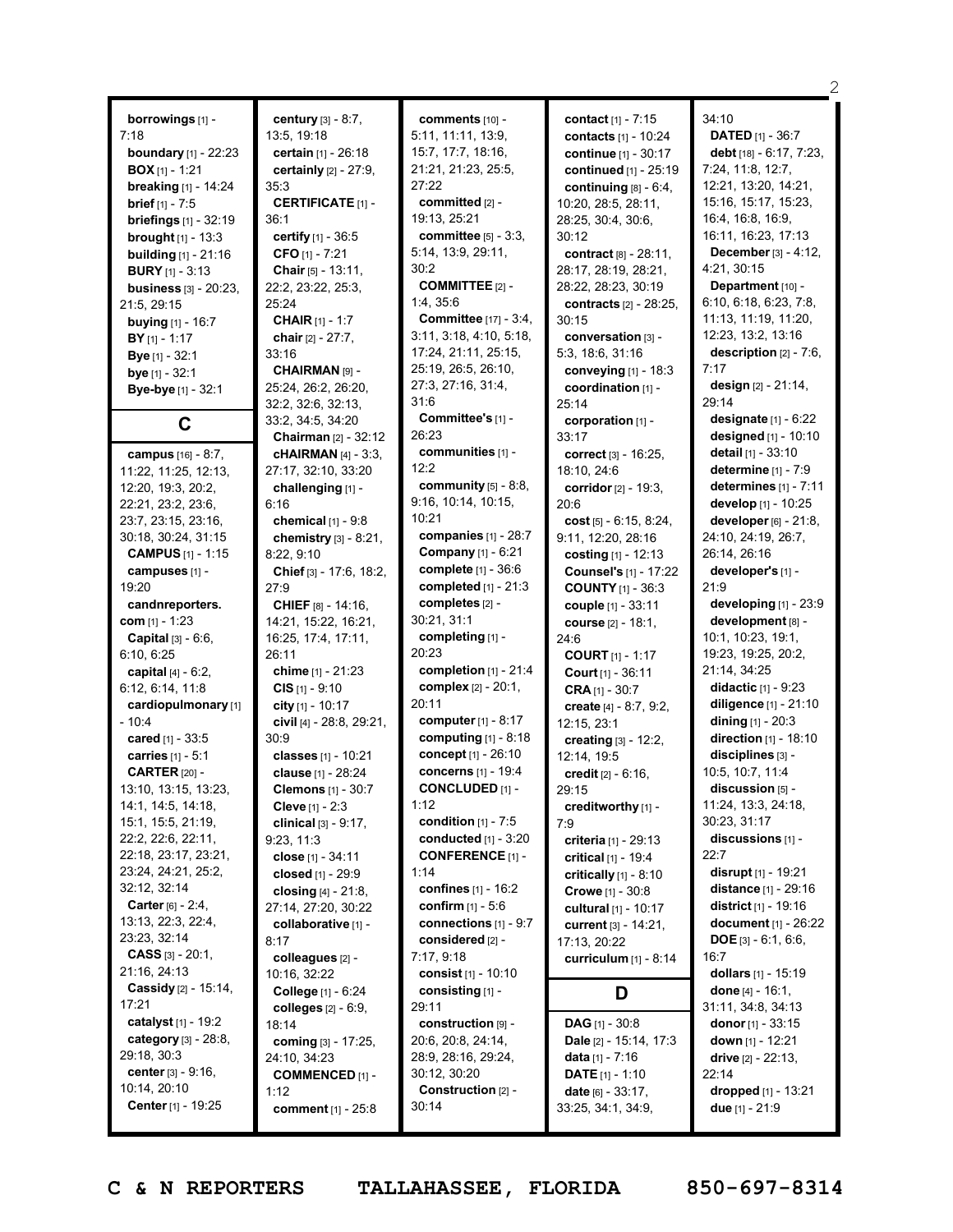| <b>borrowings</b> [1] -<br>7:18<br><b>boundary</b> $[1]$ - 22:23<br>$BOX[1] - 1:21$<br>breaking [1] - 14:24<br><b>brief</b> $[1] - 7:5$<br><b>briefings</b> $[1] - 32:19$<br><b>brought</b> $[1]$ - 13:3<br><b>building</b> $[1]$ - 21:16<br><b>BURY</b> [1] - 3:13<br><b>business</b> $[3] - 20:23$ ,<br>21:5, 29:15<br>buying [1] - 16:7<br>$BY$ [1] - 1:17<br>Bye [1] - 32:1 | <b>century</b> $[3] - 8:7$ ,<br>13:5, 19:18<br>certain [1] - 26:18<br>certainly [2] - 27:9,<br>35:3<br><b>CERTIFICATE</b> [1] -<br>36:1<br>certify [1] - 36:5<br>CFO [1] - 7:21<br>Chair [5] - 13:11,<br>22:2, 23:22, 25:3,<br>25:24<br><b>CHAIR</b> [1] - 1:7<br>chair [2] - 27:7,<br>33:16 | C<br>5.<br>15<br>21<br>27<br>C<br>19<br>C<br>5<br>30<br>C<br>1:4<br>C<br>3:<br>17 |
|---------------------------------------------------------------------------------------------------------------------------------------------------------------------------------------------------------------------------------------------------------------------------------------------------------------------------------------------------------------------------------|----------------------------------------------------------------------------------------------------------------------------------------------------------------------------------------------------------------------------------------------------------------------------------------------|-----------------------------------------------------------------------------------|
| bye [1] - 32:1<br>Bye-bye [1] - 32:1                                                                                                                                                                                                                                                                                                                                            | <b>CHAIRMAN [9] -</b><br>25:24, 26:2, 26:20,                                                                                                                                                                                                                                                 | 25<br>27                                                                          |
|                                                                                                                                                                                                                                                                                                                                                                                 | 32:2, 32:6, 32:13,                                                                                                                                                                                                                                                                           | 31<br>C                                                                           |
| С                                                                                                                                                                                                                                                                                                                                                                               | 33:2, 34:5, 34:20<br><b>Chairman</b> [2] - 32:12                                                                                                                                                                                                                                             | 26                                                                                |
| campus [16] - 8:7,<br>11:22, 11:25, 12:13,                                                                                                                                                                                                                                                                                                                                      | cHAIRMAN [4] - 3:3,<br>27:17, 32:10, 33:20                                                                                                                                                                                                                                                   | C<br>12                                                                           |
| 12:20, 19:3, 20:2,                                                                                                                                                                                                                                                                                                                                                              | challenging [1] -                                                                                                                                                                                                                                                                            | C                                                                                 |
| 22:21, 23:2, 23:6,<br>23:7, 23:15, 23:16,                                                                                                                                                                                                                                                                                                                                       | 6:16<br>chemical $[1]$ - $9:8$                                                                                                                                                                                                                                                               | 9:<br>10                                                                          |
| 30:18, 30:24, 31:15                                                                                                                                                                                                                                                                                                                                                             | chemistry [3] - 8:21,                                                                                                                                                                                                                                                                        | C                                                                                 |
| <b>CAMPUS</b> [1] - 1:15                                                                                                                                                                                                                                                                                                                                                        | 8:22, 9:10                                                                                                                                                                                                                                                                                   | C<br>C                                                                            |
| campuses [1] -<br>19:20                                                                                                                                                                                                                                                                                                                                                         | Chief [3] - 17:6, 18:2,<br>27:9                                                                                                                                                                                                                                                              | C                                                                                 |
| candnreporters.                                                                                                                                                                                                                                                                                                                                                                 | CHIEF [8] - 14:16,                                                                                                                                                                                                                                                                           | C                                                                                 |
| com [1] - 1:23                                                                                                                                                                                                                                                                                                                                                                  | 14:21, 15:22, 16:21,                                                                                                                                                                                                                                                                         | 30                                                                                |
| Capital [3] - 6:6,<br>6:10, 6:25                                                                                                                                                                                                                                                                                                                                                | 16:25, 17:4, 17:11,<br>26:11                                                                                                                                                                                                                                                                 | C<br>20                                                                           |
| capital $[4] - 6:2$ ,                                                                                                                                                                                                                                                                                                                                                           | chime [1] - 21:23                                                                                                                                                                                                                                                                            | c                                                                                 |
| 6:12, 6:14, 11:8                                                                                                                                                                                                                                                                                                                                                                | $CIS$ [1] - 9:10                                                                                                                                                                                                                                                                             | C                                                                                 |
| cardiopulmonary [1]<br>$-10:4$                                                                                                                                                                                                                                                                                                                                                  | city [1] - 10:17<br>civil [4] - 28:8, 29:21,                                                                                                                                                                                                                                                 | 20<br>C                                                                           |
| cared [1] - 33:5                                                                                                                                                                                                                                                                                                                                                                | 30:9                                                                                                                                                                                                                                                                                         | C                                                                                 |
| carries [1] - 5:1                                                                                                                                                                                                                                                                                                                                                               | classes [1] - 10:21                                                                                                                                                                                                                                                                          | C                                                                                 |
| <b>CARTER [20] -</b><br>13:10, 13:15, 13:23,                                                                                                                                                                                                                                                                                                                                    | clause [1] - 28:24<br>Clemons [1] - 30:7                                                                                                                                                                                                                                                     | C<br>Ć                                                                            |
| 14:1, 14:5, 14:18,                                                                                                                                                                                                                                                                                                                                                              | <b>Cleve</b> [1] - $2:3$                                                                                                                                                                                                                                                                     | 1:                                                                                |
| 15:1, 15:5, 21:19,                                                                                                                                                                                                                                                                                                                                                              | clinical $[3] - 9:17$ ,                                                                                                                                                                                                                                                                      | C                                                                                 |
| 22:2, 22:6, 22:11,<br>22:18, 23:17, 23:21,                                                                                                                                                                                                                                                                                                                                      | 9:23, 11:3                                                                                                                                                                                                                                                                                   | c<br>C                                                                            |
| 23:24, 24:21, 25:2,                                                                                                                                                                                                                                                                                                                                                             | close [1] - 34:11<br>closed [1] - 29:9                                                                                                                                                                                                                                                       | 1:                                                                                |
| 32:12, 32:14                                                                                                                                                                                                                                                                                                                                                                    | closing $[4] - 21:8$ ,                                                                                                                                                                                                                                                                       | C                                                                                 |
| <b>Carter</b> $[6] - 2:4$ ,                                                                                                                                                                                                                                                                                                                                                     | 27:14, 27:20, 30:22                                                                                                                                                                                                                                                                          | C                                                                                 |
| 13:13, 22:3, 22:4,<br>23:23, 32:14                                                                                                                                                                                                                                                                                                                                              | collaborative [1] -<br>8:17                                                                                                                                                                                                                                                                  | c<br>C                                                                            |
| <b>CASS</b> $[3] - 20:1$ ,                                                                                                                                                                                                                                                                                                                                                      | colleagues [2] -                                                                                                                                                                                                                                                                             | 7:                                                                                |
| 21:16, 24:13                                                                                                                                                                                                                                                                                                                                                                    | 10:16, 32:22                                                                                                                                                                                                                                                                                 | C                                                                                 |
| Cassidy [2] - 15:14,<br>17:21                                                                                                                                                                                                                                                                                                                                                   | College [1] - 6:24                                                                                                                                                                                                                                                                           | C<br>29                                                                           |
| catalyst $[1]$ - 19:2                                                                                                                                                                                                                                                                                                                                                           | colleges [2] - 6:9,<br>18:14                                                                                                                                                                                                                                                                 | C                                                                                 |
| category [3] - 28:8,                                                                                                                                                                                                                                                                                                                                                            | coming [3] - 17:25,                                                                                                                                                                                                                                                                          | 20                                                                                |
| 29:18, 30:3<br><b>center</b> $[3] - 9:16$ ,                                                                                                                                                                                                                                                                                                                                     | 24:10, 34:23                                                                                                                                                                                                                                                                                 | 28                                                                                |
| 10:14, 20:10                                                                                                                                                                                                                                                                                                                                                                    | <b>COMMENCED [1] -</b><br>1:12                                                                                                                                                                                                                                                               | 30<br>C                                                                           |
| <b>Center</b> [1] - 19:25                                                                                                                                                                                                                                                                                                                                                       | comment [1] - 25:8                                                                                                                                                                                                                                                                           | 30                                                                                |

**comments** [10] - 5:11, 11:11, 13:9, 15:7, 17:7, 18:16, 21:21, 21:23, 25:5, 27:22 **committed** [2] - 19:13, 25:21 **committee** [5] - 3:3, 5:14, 13:9, 29:11,  $.2^{\circ}$ **COMMITTEE** [2] - 1:4, 35:6 **Committee** [17] - 3:4, 3:11, 3:18, 4:10, 5:18, 17:24, 21:11, 25:15, 25:19, 26:5, 26:10, 27:3, 27:16, 31:4, 31:6 **Committee's** [1] -  $-23$ **communities** [1] - 12:2 **community** [5] - 8:8, 9:16, 10:14, 10:15,  $:21$ **companies** [1] - 28:7 **Company** [1] - 6:21 **complete** [1] - 36:6 **completed** [1] - 21:3 **completes** [2] - 30:21, 31:1 **completing** [1] - 20:23 **completion** [1] - 21:4 **complex** [2] - 20:1,  $.11$ **computer**[1] - 8:17 **computing** [1] - 8:18 **concept** [1] - 26:10 **concerns** [1] - 19:4 **CONCLUDED** [1] - 12 **condition** [1] - 7:5 **conducted** [1] - 3:20 **CONFERENCE** [1] -  $\overline{14}$ **confines** [1] - 16:2 **confirm** [1] - 5:6 **connections** [1] - 9:7 **considered** [2] - 7:17, 9:18 **consist** [1] - 10:10 **consisting** [1] -  $.11$ **construction** [9] - 20:6, 20:8, 24:14, 28:9, 28:16, 29:24, 30:12, 30:20 **Construction** [2] -  $:14$ 

**contact** [1] - 7:15 **contacts** [1] - 10:24 **continue** [1] - 30:17 **continued** [1] - 25:19 **continuing** [8] - 6:4, 10:20, 28:5, 28:11, 28:25, 30:4, 30:6, 30:12 **contract** [8] - 28:11, 28:17, 28:19, 28:21, 28:22, 28:23, 30:19 **contracts** [2] - 28:25, 30:15 **conversation** [3] - 5:3, 18:6, 31:16 **conveying** [1] - 18:3 **coordination** [1] - 25:14 **corporation** [1] - 33:17 **correct** [3] - 16:25, 18:10, 24:6 **corridor**[2] - 19:3, 20:6 **cost** [5] - 6:15, 8:24, 9:11, 12:20, 28:16 **costing** [1] - 12:13 **Counsel's** [1] - 17:22 **COUNTY** [1] - 36:3 **couple** [1] - 33:11 **course** [2] - 18:1, 24:6 **COURT** [1] - 1:17 **Court** [1] - 36:11 **CRA** [1] - 30:7 **create** [4] - 8:7, 9:2, 12:15, 23:1 **creating** [3] - 12:2, 12:14, 19:5 **credit** [2] - 6:16, 29:15 **creditworthy** [1] - 7:9 **criteria** [1] - 29:13 **critical** [1] - 19:4 **critically** [1] - 8:10 **Crowe** [1] - 30:8 **cultural** [1] - 10:17 **current** [3] - 14:21, 17:13, 20:22 **curriculum** [1] - 8:14 **D DAG** [1] - 30:8 **Dale** [2] - 15:14, 17:3 **data** [1] - 7:16 **DATE** [1] - 1:10

**date** [6] - 33:17, 33:25, 34:1, 34:9, 34:10 **DATED** [1] - 36:7 **debt** [18] - 6:17, 7:23, 7:24, 11:8, 12:7, 12:21, 13:20, 14:21, 15:16, 15:17, 15:23, 16:4, 16:8, 16:9, 16:11, 16:23, 17:13 **December** [3] - 4:12, 4:21, 30:15 **Department** [10] - 6:10, 6:18, 6:23, 7:8, 11:13, 11:19, 11:20, 12:23, 13:2, 13:16 **description** [2] - 7:6, 7:17 **design** [2] - 21:14, 29:14 **designate** [1] - 6:22 **designed** [1] - 10:10 **detail** [1] - 33:10 **determine** [1] - 7:9 **determines** [1] - 7:11 **develop** [1] - 10:25 **developer** [6] - 21:8, 24:10, 24:19, 26:7, 26:14, 26:16 **developer's** [1] - 21:9 **developing** [1] - 23:9 **development** [8] - 10:1, 10:23, 19:1, 19:23, 19:25, 20:2, 21:14, 34:25 **didactic** [1] - 9:23 **diligence** [1] - 21:10 **dining** [1] - 20:3 **direction** [1] - 18:10 **disciplines** [3] - 10:5, 10:7, 11:4 **discussion** [5] - 11:24, 13:3, 24:18, 30:23, 31:17 **discussions** [1] -  $22.7$ **disrupt** [1] - 19:21 **distance** [1] - 29:16 **district** [1] - 19:16 **document** [1] - 26:22 **DOE** [3] - 6:1, 6:6, 16:7 **dollars** [1] - 15:19 **done** [4] - 16:1, 31:11, 34:8, 34:13 **donor** [1] - 33:15 **down** [1] - 12:21 **drive** [2] - 22:13, 22:14 **dropped** [1] - 13:21 **due** [1] - 21:9

2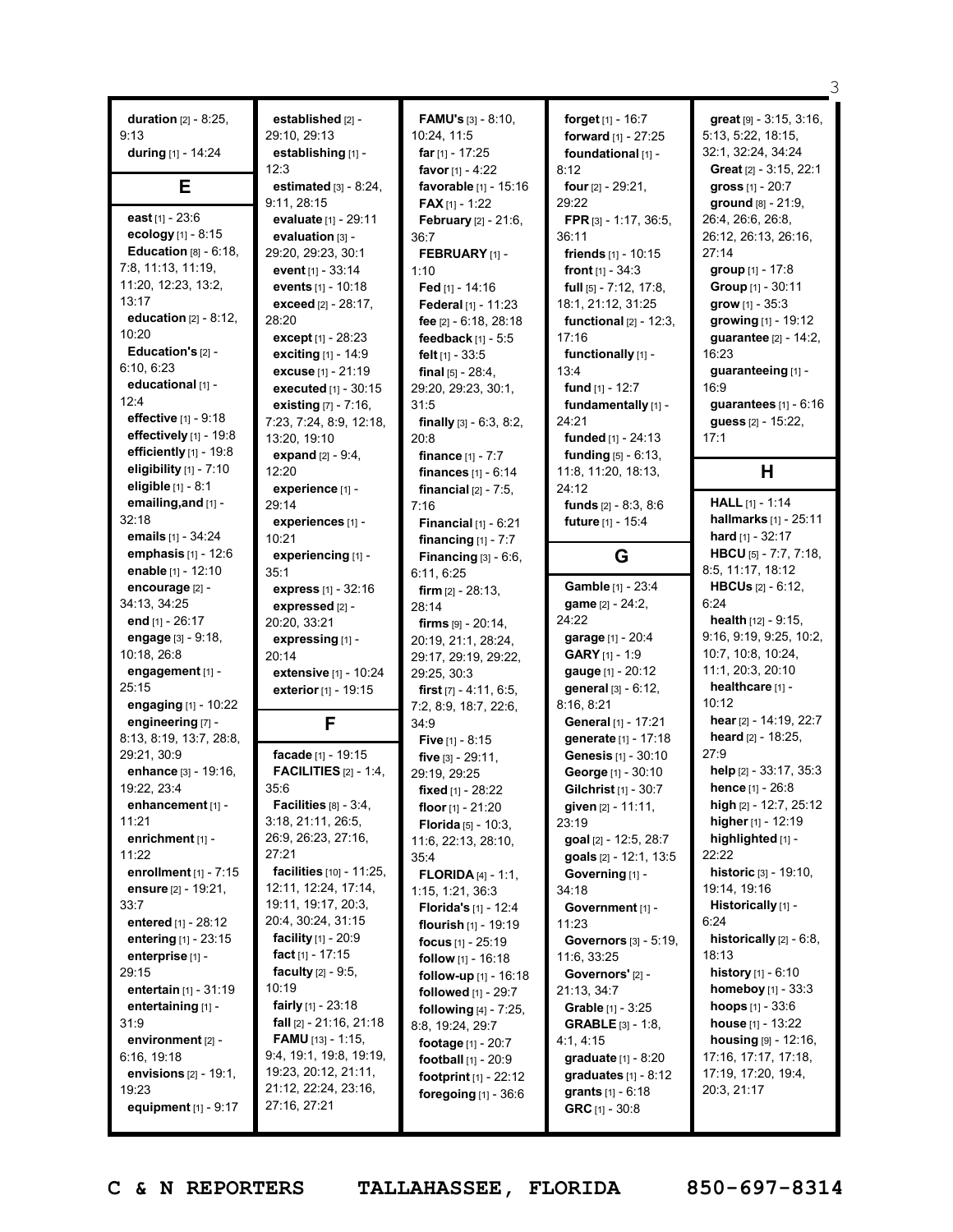| <b>duration</b> $[2] - 8:25$ ,<br>9:13<br>during [1] - 14:24 | established [2] -<br>29:10, 29:13<br>establishing [1] -<br>12:3 | <b>FAMU's</b> $[3] - 8:10$ ,<br>10:24, 11:5<br><b>far</b> $[1]$ - 17:25<br>favor $[1] - 4:22$ | forget [1] - 16:7<br>forward [1] - 27:25<br>foundational [1] -<br>8:12 | great [9] - 3:15, 3:16,<br>5:13, 5:22, 18:15,<br>32:1, 32:24, 34:24<br>Great [2] - 3:15, 22:1 |
|--------------------------------------------------------------|-----------------------------------------------------------------|-----------------------------------------------------------------------------------------------|------------------------------------------------------------------------|-----------------------------------------------------------------------------------------------|
| Е                                                            | estimated $[3] - 8:24$ ,<br>9:11, 28:15                         | favorable [1] - 15:16                                                                         | four $[2] - 29:21$ ,                                                   | gross $[1] - 20:7$<br>ground [8] - 21:9.                                                      |
| east $[1] - 23.6$                                            | evaluate [1] - 29:11                                            | <b>FAX</b> $[1]$ - 1:22<br>February [2] - 21:6,                                               | 29:22<br>FPR [3] - 1:17, 36:5,                                         | 26:4, 26:6, 26:8,                                                                             |
| ecology [1] - 8:15                                           | evaluation [3] -                                                | 36:7                                                                                          | 36:11                                                                  | 26:12, 26:13, 26:16,                                                                          |
| Education $[8] - 6:18$ ,                                     | 29:20, 29:23, 30:1                                              | FEBRUARY [1] -                                                                                | friends $[1] - 10:15$                                                  | 27:14                                                                                         |
| 7:8, 11:13, 11:19,                                           | <b>event</b> [1] - 33:14                                        | 1:10                                                                                          | front $[1] - 34:3$                                                     | group [1] - 17:8                                                                              |
| 11:20, 12:23, 13:2,                                          | events [1] - 10:18                                              | Fed $[1] - 14:16$                                                                             | <b>full</b> $[5] - 7:12, 17:8,$                                        | Group [1] - 30:11                                                                             |
| 13:17<br>education $[2] - 8:12$ ,                            | exceed [2] - 28:17,                                             | Federal [1] - 11:23                                                                           | 18:1, 21:12, 31:25                                                     | $grow [1] - 35:3$                                                                             |
| 10:20                                                        | 28:20                                                           | fee [2] - 6:18, 28:18                                                                         | functional $[2] - 12:3$ ,                                              | growing [1] - 19:12                                                                           |
| Education's [2] -                                            | except $[1] - 28:23$<br>exciting [1] - 14:9                     | feedback $[1] - 5:5$                                                                          | 17:16<br>functionally [1] -                                            | guarantee [2] - 14:2,<br>16:23                                                                |
| 6:10, 6:23                                                   | excuse [1] - 21:19                                              | felt $[1] - 33:5$<br>final $[5] - 28:4$ ,                                                     | 13:4                                                                   | guaranteeing [1] -                                                                            |
| educational [1] -                                            | executed [1] - 30:15                                            | 29:20, 29:23, 30:1,                                                                           | fund $[1] - 12:7$                                                      | 16:9                                                                                          |
| 12:4                                                         | existing $[7] - 7:16$ ,                                         | 31:5                                                                                          | fundamentally [1] -                                                    | guarantees $[1] - 6:16$                                                                       |
| effective [1] - 9:18                                         | 7:23, 7:24, 8:9, 12:18,                                         | finally $[3] - 6:3, 8:2,$                                                                     | 24:21                                                                  | guess [2] - 15:22,                                                                            |
| effectively [1] - 19:8                                       | 13:20, 19:10                                                    | 20:8                                                                                          | funded $[1] - 24:13$                                                   | 17:1                                                                                          |
| efficiently [1] - 19:8                                       | <b>expand</b> $[2] - 9:4$ ,                                     | finance $[1] - 7:7$                                                                           | <b>funding</b> $[5] - 6:13$ ,                                          |                                                                                               |
| eligibility $[1]$ - $7:10$                                   | 12:20                                                           | finances $[1] - 6:14$                                                                         | 11:8, 11:20, 18:13,                                                    | H                                                                                             |
| eligible [1] - 8:1                                           | experience [1] -                                                | financial $[2] - 7:5$ ,                                                                       | 24:12                                                                  | <b>HALL</b> $[1] - 1:14$                                                                      |
| emailing, and [1] -<br>32:18                                 | 29:14                                                           | 7:16                                                                                          | <b>funds</b> $[2] - 8:3, 8:6$                                          | hallmarks [1] - 25:11                                                                         |
| emails [1] - 34:24                                           | experiences [1] -<br>10:21                                      | <b>Financial</b> $[1] - 6:21$                                                                 | future [1] - 15:4                                                      | hard $[1] - 32:17$                                                                            |
| emphasis [1] - 12:6                                          | experiencing [1] -                                              | financing $[1] - 7:7$<br>Financing $[3] - 6:6$ ,                                              | G                                                                      | HBCU [5] - 7:7, 7:18,                                                                         |
| enable [1] - 12:10                                           | 35:1                                                            | 6:11, 6:25                                                                                    |                                                                        | 8:5, 11:17, 18:12                                                                             |
| encourage [2] -                                              | express [1] - 32:16                                             | <b>firm</b> $[2] - 28:13$ ,                                                                   | Gamble [1] - 23:4                                                      | <b>HBCUs</b> $[2] - 6:12$                                                                     |
| 34:13, 34:25                                                 | expressed [2] -                                                 | 28:14                                                                                         | game [2] - 24:2,                                                       | 6:24                                                                                          |
| end [1] - 26:17                                              | 20:20, 33:21                                                    | <b>firms</b> $[9] - 20:14$ ,                                                                  | 24:22                                                                  | <b>health</b> $[12] - 9:15$ ,                                                                 |
| engage [3] - 9:18,                                           | expressing [1] -                                                | 20:19, 21:1, 28:24,                                                                           | garage [1] - 20:4                                                      | 9:16, 9:19, 9:25, 10:2,                                                                       |
| 10:18, 26:8                                                  | 20:14                                                           | 29:17, 29:19, 29:22,                                                                          | GARY [1] - 1:9                                                         | 10:7, 10:8, 10:24,                                                                            |
| engagement [1] -<br>25:15                                    | extensive [1] - 10:24                                           | 29:25, 30:3                                                                                   | gauge [1] - 20:12<br>general [3] - 6:12,                               | 11:1, 20:3, 20:10<br>healthcare [1] -                                                         |
| engaging [1] - 10:22                                         | exterior [1] - 19:15                                            | first $[7] - 4:11, 6:5,$<br>7:2, 8:9, 18:7, 22:6,                                             | 8:16, 8:21                                                             | 10:12                                                                                         |
| engineering [7] -                                            | F                                                               | 34:9                                                                                          | General [1] - 17:21                                                    | hear [2] - 14:19, 22:7                                                                        |
| 8:13, 8:19, 13:7, 28:8,                                      |                                                                 | Five $[1] - 8:15$                                                                             | generate [1] - 17:18                                                   | heard [2] - 18:25,                                                                            |
| 29:21, 30:9                                                  | facade [1] - 19:15                                              | five $[3] - 29:11$ ,                                                                          | Genesis [1] - 30:10                                                    | 27:9                                                                                          |
| enhance [3] - 19:16,                                         | <b>FACILITIES</b> $[2] - 1:4$ ,                                 | 29:19, 29:25                                                                                  | George [1] - 30:10                                                     | help [2] - 33:17, 35:3                                                                        |
| 19:22, 23:4                                                  | 35:6                                                            | fixed [1] - 28:22                                                                             | Gilchrist [1] - 30:7                                                   | hence [1] - 26:8                                                                              |
| enhancement [1] -                                            | Facilities $[8] - 3:4$ ,                                        | floor $[1] - 21:20$                                                                           | given [2] - 11:11,                                                     | high $[2] - 12:7, 25:12$                                                                      |
| 11:21                                                        | 3:18, 21:11, 26:5,<br>26:9, 26:23, 27:16,                       | Florida [5] - 10:3.                                                                           | 23:19                                                                  | higher $[1]$ - 12:19                                                                          |
| enrichment [1] -<br>11:22                                    | 27:21                                                           | 11:6, 22:13, 28:10,                                                                           | goal [2] - 12:5, 28:7<br>goals $[2] - 12:1, 13:5$                      | highlighted [1] -<br>22:22                                                                    |
| enrollment $[1]$ - $7:15$                                    | facilities [10] - 11:25,                                        | 35:4<br><b>FLORIDA</b> $[4] - 1:1$ ,                                                          | Governing [1] -                                                        | <b>historic</b> $[3] - 19:10$ ,                                                               |
| ensure [2] - 19:21,                                          | 12:11, 12:24, 17:14,                                            | 1:15, 1:21, 36:3                                                                              | 34:18                                                                  | 19:14, 19:16                                                                                  |
| 33:7                                                         | 19:11, 19:17, 20:3,                                             | <b>Florida's</b> $[1]$ - 12:4                                                                 | Government [1] -                                                       | Historically [1] -                                                                            |
| entered [1] - 28:12                                          | 20:4, 30:24, 31:15                                              | <b>flourish</b> $[1]$ - 19:19                                                                 | 11:23                                                                  | 6:24                                                                                          |
| entering [1] - 23:15                                         | <b>facility</b> $[1]$ - 20:9                                    | <b>focus</b> $[1] - 25:19$                                                                    | <b>Governors</b> [3] - 5:19,                                           | historically $[2] - 6:8$ ,                                                                    |
| enterprise [1] -                                             | fact $[1]$ - 17:15                                              | follow [1] - 16:18                                                                            | 11:6, 33:25                                                            | 18:13                                                                                         |
| 29:15                                                        | <b>faculty</b> $[2] - 9:5$ ,                                    | follow-up [1] - 16:18                                                                         | Governors' [2] -                                                       | <b>history</b> $[1] - 6:10$                                                                   |
| entertain [1] - 31:19                                        | 10:19<br><b>fairly</b> $[1]$ - 23:18                            | followed [1] - 29:7                                                                           | 21:13, 34:7                                                            | <b>homeboy</b> $[1]$ - 33:3                                                                   |
| entertaining [1] -<br>31:9                                   | <b>fall</b> $[2] - 21:16, 21:18$                                | <b>following</b> $[4] - 7:25$ ,                                                               | <b>Grable</b> $[1] - 3:25$<br><b>GRABLE</b> $[3] - 1:8$                | <b>hoops</b> $[1] - 33:6$<br><b>house</b> $[1] - 13:22$                                       |
| environment [2] -                                            | <b>FAMU</b> [13] - 1:15,                                        | 8:8, 19:24, 29:7                                                                              | 4:1, 4:15                                                              | housing [9] - 12:16,                                                                          |
| 6:16, 19:18                                                  | 9:4, 19:1, 19:8, 19:19,                                         | footage [1] - 20:7<br>football [1] - 20:9                                                     | <b>graduate</b> $[1] - 8:20$                                           | 17:16, 17:17, 17:18,                                                                          |
| envisions $[2] - 19:1,$                                      | 19:23, 20:12, 21:11,                                            | footprint $[1] - 22:12$                                                                       | graduates $[1] - 8:12$                                                 | 17:19, 17:20, 19:4,                                                                           |
| 19:23                                                        | 21:12, 22:24, 23:16,                                            | foregoing $[1]$ - 36:6                                                                        | grants $[1] - 6:18$                                                    | 20:3, 21:17                                                                                   |
| equipment [1] - 9:17                                         | 27:16, 27:21                                                    |                                                                                               | GRC $[1] - 30.8$                                                       |                                                                                               |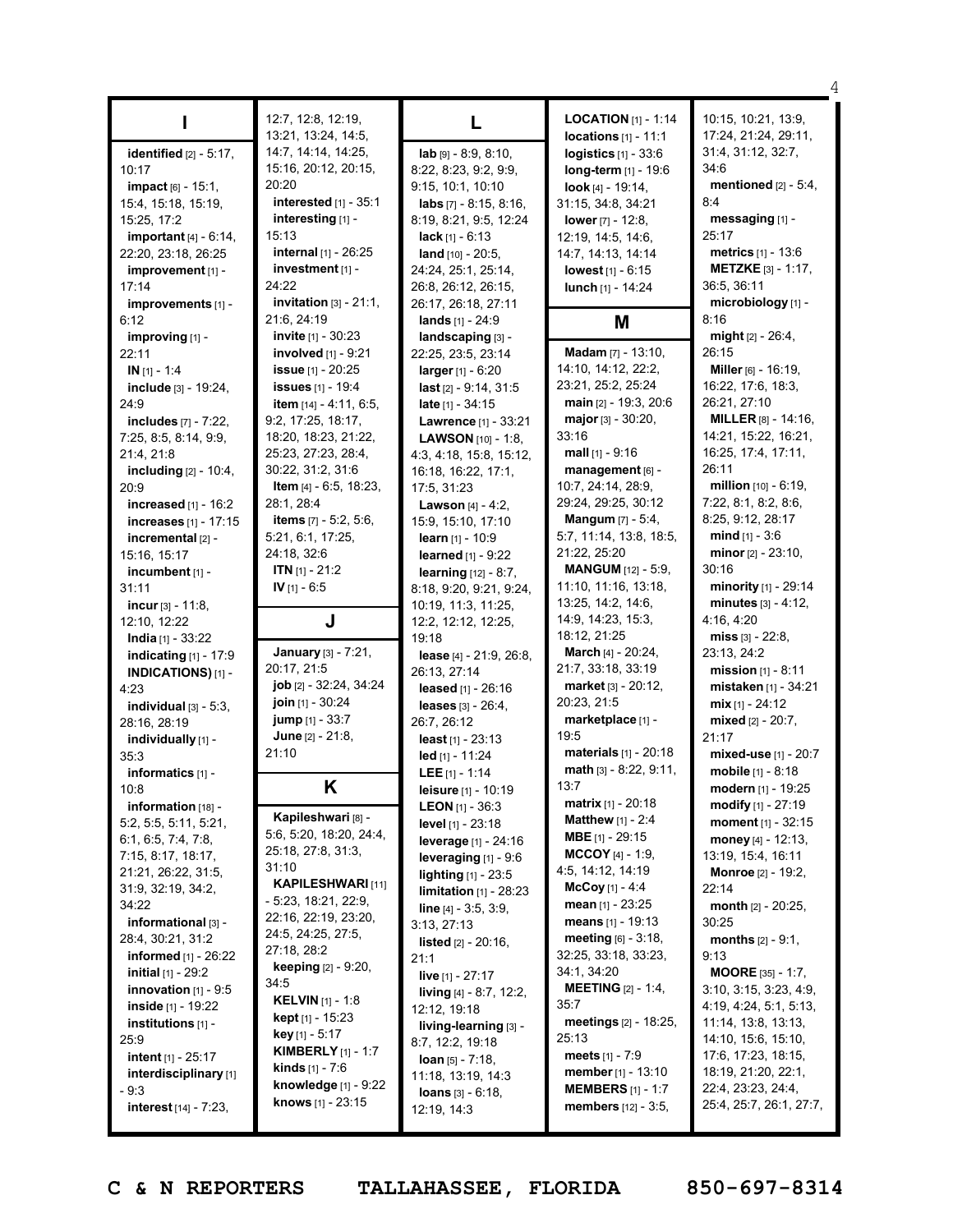|                                                              |                                     |                                                        |                                                      | 4                                               |
|--------------------------------------------------------------|-------------------------------------|--------------------------------------------------------|------------------------------------------------------|-------------------------------------------------|
|                                                              | 12:7, 12:8, 12:19,                  |                                                        | <b>LOCATION</b> $[1]$ - 1:14                         | 10:15, 10:21, 13:9,                             |
|                                                              | 13:21, 13:24, 14:5,                 | L                                                      | $locations [1] - 11:1$                               | 17:24, 21:24, 29:11,                            |
| identified $[2] - 5:17$ ,                                    | 14:7, 14:14, 14:25,                 | $lab$ [9] - 8:9, 8:10,                                 | logistics $[1]$ - 33:6                               | 31:4, 31:12, 32:7,                              |
| 10:17                                                        | 15:16, 20:12, 20:15,                | 8:22, 8:23, 9:2, 9:9,                                  | long-term [1] - 19:6                                 | 34:6                                            |
| impact [6] - 15:1,                                           | 20:20                               | 9:15, 10:1, 10:10                                      | look [4] - 19:14,                                    | mentioned $[2] - 5:4$ ,                         |
| 15:4, 15:18, 15:19,                                          | interested [1] - 35:1               | labs $[7] - 8:15, 8:16,$                               | 31:15, 34:8, 34:21                                   | 8:4                                             |
| 15:25, 17:2                                                  | interesting [1] -                   | 8:19, 8:21, 9:5, 12:24                                 | lower $[7] - 12:8$ ,                                 | messaging [1] -                                 |
| important $[4] - 6:14$ ,                                     | 15:13                               | <b>lack</b> $[1] - 6:13$                               | 12:19, 14:5, 14:6,                                   | 25:17                                           |
| 22:20, 23:18, 26:25                                          | internal [1] - 26:25                | land $[10] - 20:5$ ,                                   | 14:7, 14:13, 14:14                                   | metrics [1] - 13:6                              |
| improvement [1] -                                            | investment [1] -                    | 24:24, 25:1, 25:14,                                    | <b>lowest</b> $[1] - 6:15$                           | <b>METZKE</b> [3] - 1:17,                       |
| 17:14                                                        | 24:22                               | 26:8, 26:12, 26:15,                                    | lunch [1] - 14:24                                    | 36:5, 36:11                                     |
| improvements [1] -                                           | $invitation$ [3] - 21:1,            | 26:17, 26:18, 27:11                                    |                                                      | microbiology [1] -                              |
| 6:12                                                         | 21:6, 24:19                         | lands $[1] - 24:9$                                     | M                                                    | 8:16                                            |
| improving [1] -                                              | <b>invite</b> $[1]$ - 30:23         | landscaping [3] -                                      |                                                      | might [2] - 26:4,                               |
| 22:11                                                        | <b>involved</b> $[1]$ - $9:21$      | 22:25, 23:5, 23:14                                     | Madam [7] - 13:10,                                   | 26:15                                           |
| $IN$ [1] - 1:4                                               | <b>issue</b> $[1] - 20:25$          | larger $[1] - 6:20$                                    | 14:10, 14:12, 22:2,                                  | Miller [6] - 16:19,                             |
| include [3] - 19:24,                                         | <b>issues</b> [1] - 19:4            | $last [2] - 9:14, 31:5$                                | 23:21, 25:2, 25:24                                   | 16:22, 17:6, 18:3,                              |
| 24:9                                                         | <b>item</b> $[14] - 4:11, 6:5,$     | late $[1] - 34:15$                                     | main [2] - 19:3, 20:6                                | 26:21, 27:10                                    |
| <b>includes</b> [7] - 7:22,                                  | 9:2, 17:25, 18:17,                  | Lawrence [1] - 33:21                                   | major $[3] - 30:20$ ,                                | <b>MILLER</b> $[8] - 14:16$ ,                   |
| 7:25, 8:5, 8:14, 9:9,                                        | 18:20, 18:23, 21:22,                | <b>LAWSON</b> $[10] - 1:8$                             | 33:16                                                | 14:21, 15:22, 16:21,                            |
| 21:4, 21:8                                                   | 25:23, 27:23, 28:4,                 | 4:3, 4:18, 15:8, 15:12,                                | mall $[1]$ - 9:16                                    | 16:25, 17:4, 17:11,                             |
| including $[2] - 10:4$ ,                                     | 30:22, 31:2, 31:6                   | 16:18, 16:22, 17:1,                                    | management [6] -                                     | 26:11                                           |
| 20:9                                                         | Item [4] - 6:5, 18:23,              | 17:5, 31:23                                            | 10:7, 24:14, 28:9,                                   | million $[10] - 6:19$ ,<br>7:22, 8:1, 8:2, 8:6, |
| increased $[1]$ - 16:2                                       | 28:1, 28:4<br>items [7] - 5:2, 5:6, | <b>Lawson</b> $[4] - 4:2$ ,                            | 29:24, 29:25, 30:12<br><b>Mangum</b> $[7] - 5:4$ ,   | 8:25, 9:12, 28:17                               |
| <b>increases</b> $[1] - 17:15$                               | 5:21, 6:1, 17:25,                   | 15:9, 15:10, 17:10                                     | 5:7, 11:14, 13:8, 18:5,                              | $mid_{[1]} - 3:6$                               |
| incremental $[2]$ -                                          | 24:18, 32:6                         | learn $[1] - 10:9$                                     | 21:22, 25:20                                         | minor $[2] - 23:10$ ,                           |
| 15:16, 15:17<br>incumbent $[1]$ -                            | <b>ITN</b> $[1] - 21:2$             | <b>learned</b> $[1] - 9:22$                            | <b>MANGUM</b> [12] - 5:9,                            | 30:16                                           |
| 31:11                                                        | IV [1] - 6:5                        | <b>learning</b> [12] - 8:7,<br>8:18, 9:20, 9:21, 9:24, | 11:10, 11:16, 13:18,                                 | minority [1] - 29:14                            |
| incur $[3] - 11:8$ ,                                         |                                     | 10:19, 11:3, 11:25,                                    | 13:25, 14:2, 14:6,                                   | minutes $[3] - 4:12$ ,                          |
| 12:10, 12:22                                                 | J                                   | 12:2, 12:12, 12:25,                                    | 14:9, 14:23, 15:3,                                   | 4:16, 4:20                                      |
| <b>India</b> [1] - $33:22$                                   |                                     | 19:18                                                  | 18:12, 21:25                                         | $miss$ [3] - 22:8,                              |
| indicating [1] - 17:9                                        | January [3] - 7:21,                 | lease $[4] - 21:9, 26:8,$                              | <b>March</b> [4] - 20:24,                            | 23:13, 24:2                                     |
| <b>INDICATIONS)</b> [1] -                                    | 20:17, 21:5                         | 26:13, 27:14                                           | 21:7, 33:18, 33:19                                   | mission $[1] - 8:11$                            |
| 4:23                                                         | <b>job</b> $[2] - 32:24, 34:24$     | leased [1] - 26:16                                     | market [3] - 20:12,                                  | mistaken [1] - 34:21                            |
| individual $[3] - 5:3$ ,                                     | join [1] - 30:24                    | leases $[3] - 26:4$ ,                                  | 20:23, 21:5                                          | $mix[1] - 24:12$                                |
| 28:16, 28:19                                                 | <b>jump</b> [1] - 33:7              | 26:7, 26:12                                            | marketplace [1] -                                    | mixed [2] - 20:7,                               |
| individually [1] -                                           | June [2] - 21:8,                    | least [1] - 23:13                                      | 19:5                                                 | 21:17                                           |
| 35:3                                                         | 21:10                               | led [1] - 11:24                                        | <b>materials</b> $[1] - 20:18$                       | mixed-use [1] - 20:7                            |
| informatics [1] -                                            |                                     | LEE $[1] - 1:14$                                       | $math$ math $[3] - 8:22, 9:11,$                      | mobile [1] - 8:18                               |
| 10:8                                                         | Κ                                   | <b>leisure</b> [1] - 10:19                             | 13:7                                                 | <b>modern</b> [1] - 19:25                       |
| information [18] -                                           | Kapileshwari [8] -                  | LEON [1] - 36:3                                        | <b>matrix</b> $[1] - 20:18$                          | modify [1] - 27:19                              |
| 5:2, 5:5, 5:11, 5:21,                                        | 5:6, 5:20, 18:20, 24:4,             | <b>level</b> $[1]$ - 23:18                             | <b>Matthew</b> $[1] - 2:4$                           | moment [1] - 32:15                              |
| 6:1, 6:5, 7:4, 7:8,                                          | 25:18, 27:8, 31:3,                  | <b>leverage</b> [1] - 24:16                            | <b>MBE</b> [1] - 29:15                               | money $[4] - 12:13$ ,                           |
| 7:15, 8:17, 18:17,                                           | 31:10                               | leveraging $[1]$ - 9:6                                 | <b>MCCOY</b> [4] - 1:9,                              | 13:19, 15:4, 16:11                              |
| 21:21, 26:22, 31:5,                                          | <b>KAPILESHWARI</b> [11]            | <b>lighting</b> $[1] - 23:5$                           | 4:5, 14:12, 14:19                                    | Monroe [2] - 19:2,                              |
| 31:9, 32:19, 34:2,                                           | - 5:23, 18:21, 22:9,                | limitation [1] - 28:23                                 | $McCoy [1] - 4:4$                                    | 22:14                                           |
| 34:22                                                        | 22:16, 22:19, 23:20,                | <b>line</b> $[4] - 3:5, 3:9,$                          | mean $[1] - 23:25$                                   | month [2] - 20:25,                              |
| informational [3] -<br>28:4, 30:21, 31:2                     | 24:5, 24:25, 27:5,                  | 3:13, 27:13                                            | means $[1] - 19:13$<br><b>meeting</b> $[6] - 3:18$ , | 30:25                                           |
|                                                              | 27:18, 28:2                         | <b>listed</b> $[2] - 20:16$ ,                          | 32:25, 33:18, 33:23,                                 | <b>months</b> $[2] - 9:1$ ,<br>9:13             |
| <b>informed</b> $[1]$ - 26:22<br><b>initial</b> $[1]$ - 29:2 | <b>keeping</b> [2] - 9:20,          | 21:1                                                   | 34:1, 34:20                                          | <b>MOORE</b> [35] - 1:7,                        |
| <b>innovation</b> $[1]$ - 9:5                                | 34:5                                | <b>live</b> [1] - 27:17                                | <b>MEETING</b> $[2] - 1:4$ ,                         | 3:10, 3:15, 3:23, 4:9,                          |
| inside $[1]$ - 19:22                                         | <b>KELVIN</b> [1] - 1:8             | <b>living</b> $[4] - 8:7, 12:2,$<br>12:12, 19:18       | 35:7                                                 | 4:19, 4:24, 5:1, 5:13,                          |
| institutions $[1]$ -                                         | <b>kept</b> $[1]$ - 15:23           | living-learning [3] -                                  | meetings [2] - 18:25,                                | 11:14, 13:8, 13:13,                             |
| 25:9                                                         | <b>key</b> [1] $-5:17$              | 8:7, 12:2, 19:18                                       | 25:13                                                | 14:10, 15:6, 15:10,                             |
| <b>intent</b> $[1]$ - 25:17                                  | <b>KIMBERLY</b> $[1] - 1:7$         | <b>loan</b> $[5] - 7:18$ ,                             | meets $[1] - 7:9$                                    | 17:6, 17:23, 18:15,                             |
| interdisciplinary [1]                                        | <b>kinds</b> $[1] - 7:6$            | 11:18, 13:19, 14:3                                     | <b>member</b> $[1] - 13:10$                          | 18:19, 21:20, 22:1,                             |
| $-9:3$                                                       | knowledge $[1]$ - $9:22$            | <b>loans</b> $[3] - 6:18$ ,                            | <b>MEMBERS</b> $[1] - 1:7$                           | 22:4, 23:23, 24:4,                              |
| <b>interest</b> $[14] - 7:23$ ,                              | <b>knows</b> $[1] - 23:15$          | 12:19, 14:3                                            | members [12] - 3:5,                                  | 25:4, 25:7, 26:1, 27:7,                         |
|                                                              |                                     |                                                        |                                                      |                                                 |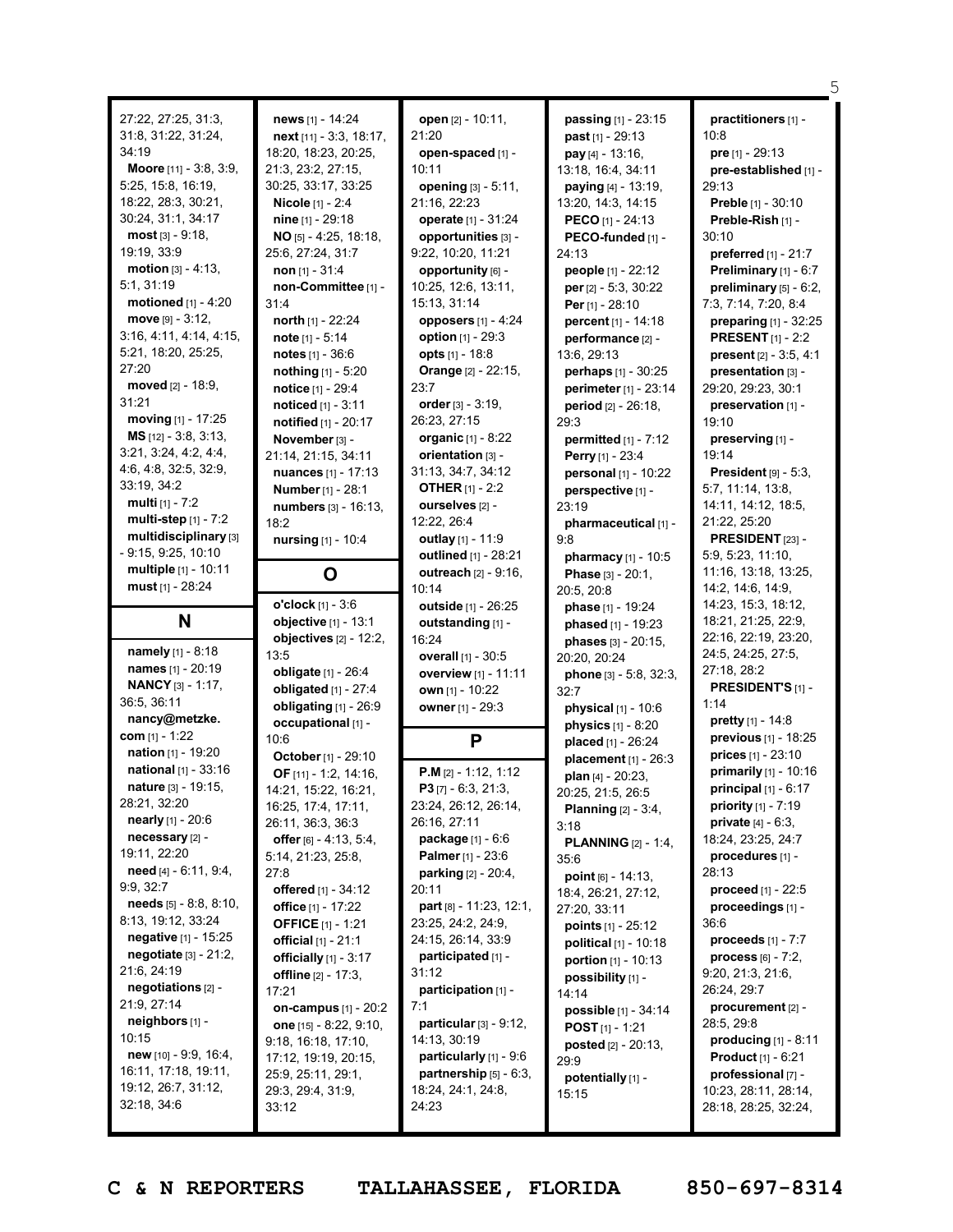| 27:22, 27:25, 31:3,<br>31:8, 31:22, 31:24,<br>34:19<br>Moore [11] - 3:8, 3:9,<br>5:25, 15:8, 16:19,<br>18:22, 28:3, 30:21,<br>30:24, 31:1, 34:17<br>most [3] - 9:18,<br>19:19, 33:9<br>motion $[3] - 4:13$ ,<br>5:1, 31:19<br>motioned [1] - 4:20<br>$move$ [9] - 3:12,<br>3:16, 4:11, 4:14, 4:15,<br>5:21, 18:20, 25:25,<br>27:20<br>moved [2] - 18:9,<br>31:21<br>moving $[1] - 17:25$<br>MS [12] - 3:8, 3:13,<br>3:21, 3:24, 4:2, 4:4,<br>4:6, 4:8, 32:5, 32:9,<br>33:19, 34:2<br><b>multi</b> $[1] - 7:2$<br>multi-step [1] - 7:2<br>multidisciplinary [3]<br>$-9:15, 9:25, 10:10$<br>multiple [1] - 10:11 | news [1] - 14:24<br>next [11] - 3:3, 18:17,<br>18:20, 18:23, 20:25,<br>21:3, 23:2, 27:15,<br>30:25, 33:17, 33:25<br>Nicole [1] - 2:4<br>nine [1] - 29:18<br>$NO$ [5] - 4:25, 18:18,<br>25:6, 27:24, 31:7<br>non $[1] - 31:4$<br>non-Committee [1] -<br>31:4<br>north [1] - 22:24<br>note $[1] - 5:14$<br><b>notes</b> $[1] - 36:6$<br>nothing [1] - 5:20<br><b>notice</b> [1] - 29:4<br>noticed $[1] - 3:11$<br>notified [1] - 20:17<br>November [3] -<br>21:14, 21:15, 34:11<br><b>nuances</b> [1] - 17:13<br>Number [1] - 28:1<br>numbers [3] - 16:13,<br>18:2<br>nursing [1] - 10:4<br>O | open [2] - 10:11,<br>21:20<br>open-spaced [1] -<br>10:11<br>opening [3] - 5:11,<br>21:16, 22:23<br>operate [1] - 31:24<br>opportunities [3] -<br>9:22, 10:20, 11:21<br>opportunity [6] -<br>10:25, 12:6, 13:11,<br>15:13, 31:14<br>opposers $[1] - 4:24$<br>option [1] - 29:3<br><b>opts</b> $[1] - 18.8$<br>Orange [2] - 22:15,<br>23:7<br>order $[3] - 3:19$ ,<br>26:23, 27:15<br>organic [1] - 8:22<br>orientation [3] -<br>31:13, 34:7, 34:12<br><b>OTHER</b> $[1] - 2:2$<br>ourselves [2] -<br>12:22, 26:4<br>outlay [1] - 11:9<br>outlined [1] - 28:21<br><b>outreach</b> $[2] - 9:16$ , | passing [1] - 23:15<br><b>past</b> $[1] - 29:13$<br>pay [4] - 13:16,<br>13:18, 16:4, 34:11<br>paying [4] - 13:19,<br>13:20, 14:3, 14:15<br><b>PECO</b> [1] - 24:13<br>PECO-funded [1] -<br>24:13<br>people [1] - 22:12<br>per $[2] - 5:3, 30:22$<br>Per [1] - 28:10<br>percent [1] - 14:18<br>performance [2] -<br>13:6, 29:13<br>perhaps [1] - 30:25<br>perimeter [1] - 23:14<br>period [2] - 26:18,<br>29:3<br>permitted $[1]$ - 7:12<br><b>Perry</b> [1] - $23:4$<br>personal [1] - 10:22<br>perspective [1] -<br>23:19<br>pharmaceutical [1] -<br>9:8<br><b>pharmacy</b> $[1] - 10:5$<br>Phase [3] - 20:1, | practitioners [1] -<br>10:8<br><b>pre</b> $[1] - 29:13$<br>pre-established [1] -<br>29:13<br>Preble [1] - 30:10<br>Preble-Rish [1] -<br>30:10<br>preferred [1] - 21:7<br><b>Preliminary</b> $[1] - 6:7$<br>preliminary $[5]$ - $6:2$ ,<br>7:3, 7:14, 7:20, 8:4<br><b>preparing</b> $[1] - 32:25$<br><b>PRESENT</b> [1] - 2:2<br><b>present</b> $[2] - 3:5, 4:1$<br>presentation [3] -<br>29:20, 29:23, 30:1<br>preservation [1] -<br>19:10<br>preserving [1] -<br>19:14<br>President $[9] - 5:3$ ,<br>5:7, 11:14, 13:8,<br>14:11, 14:12, 18:5,<br>21:22, 25:20<br>PRESIDENT [23] -<br>5:9, 5:23, 11:10,<br>11:16, 13:18, 13:25, |
|----------------------------------------------------------------------------------------------------------------------------------------------------------------------------------------------------------------------------------------------------------------------------------------------------------------------------------------------------------------------------------------------------------------------------------------------------------------------------------------------------------------------------------------------------------------------------------------------------------------|---------------------------------------------------------------------------------------------------------------------------------------------------------------------------------------------------------------------------------------------------------------------------------------------------------------------------------------------------------------------------------------------------------------------------------------------------------------------------------------------------------------------------------------------------------------------------------------------|------------------------------------------------------------------------------------------------------------------------------------------------------------------------------------------------------------------------------------------------------------------------------------------------------------------------------------------------------------------------------------------------------------------------------------------------------------------------------------------------------------------------------------------------------------------------------------------------|----------------------------------------------------------------------------------------------------------------------------------------------------------------------------------------------------------------------------------------------------------------------------------------------------------------------------------------------------------------------------------------------------------------------------------------------------------------------------------------------------------------------------------------------------------------------------------------------------------------|---------------------------------------------------------------------------------------------------------------------------------------------------------------------------------------------------------------------------------------------------------------------------------------------------------------------------------------------------------------------------------------------------------------------------------------------------------------------------------------------------------------------------------------------------------------------------------------------------------------------------------|
| must [1] - 28:24                                                                                                                                                                                                                                                                                                                                                                                                                                                                                                                                                                                               | o'clock $[1] - 3:6$                                                                                                                                                                                                                                                                                                                                                                                                                                                                                                                                                                         | 10:14<br>outside [1] - 26:25                                                                                                                                                                                                                                                                                                                                                                                                                                                                                                                                                                   | 20:5, 20:8<br>phase [1] - 19:24                                                                                                                                                                                                                                                                                                                                                                                                                                                                                                                                                                                | 14:2, 14:6, 14:9,<br>14:23, 15:3, 18:12,                                                                                                                                                                                                                                                                                                                                                                                                                                                                                                                                                                                        |
| N                                                                                                                                                                                                                                                                                                                                                                                                                                                                                                                                                                                                              | objective [1] - 13:1                                                                                                                                                                                                                                                                                                                                                                                                                                                                                                                                                                        | outstanding [1] -                                                                                                                                                                                                                                                                                                                                                                                                                                                                                                                                                                              | phased [1] - 19:23                                                                                                                                                                                                                                                                                                                                                                                                                                                                                                                                                                                             | 18:21, 21:25, 22:9,                                                                                                                                                                                                                                                                                                                                                                                                                                                                                                                                                                                                             |
|                                                                                                                                                                                                                                                                                                                                                                                                                                                                                                                                                                                                                | objectives $[2] - 12:2$ ,                                                                                                                                                                                                                                                                                                                                                                                                                                                                                                                                                                   | 16:24                                                                                                                                                                                                                                                                                                                                                                                                                                                                                                                                                                                          | phases [3] - 20:15,                                                                                                                                                                                                                                                                                                                                                                                                                                                                                                                                                                                            | 22:16, 22:19, 23:20,                                                                                                                                                                                                                                                                                                                                                                                                                                                                                                                                                                                                            |
| namely [1] - 8:18                                                                                                                                                                                                                                                                                                                                                                                                                                                                                                                                                                                              | 13:5                                                                                                                                                                                                                                                                                                                                                                                                                                                                                                                                                                                        | overall [1] - 30:5                                                                                                                                                                                                                                                                                                                                                                                                                                                                                                                                                                             | 20:20, 20:24                                                                                                                                                                                                                                                                                                                                                                                                                                                                                                                                                                                                   | 24:5, 24:25, 27:5,                                                                                                                                                                                                                                                                                                                                                                                                                                                                                                                                                                                                              |
| names [1] - 20:19                                                                                                                                                                                                                                                                                                                                                                                                                                                                                                                                                                                              | obligate [1] - 26:4                                                                                                                                                                                                                                                                                                                                                                                                                                                                                                                                                                         | overview [1] - 11:11                                                                                                                                                                                                                                                                                                                                                                                                                                                                                                                                                                           | phone [3] - 5:8, 32:3,                                                                                                                                                                                                                                                                                                                                                                                                                                                                                                                                                                                         | 27:18, 28:2                                                                                                                                                                                                                                                                                                                                                                                                                                                                                                                                                                                                                     |
| <b>NANCY</b> [3] - 1:17,                                                                                                                                                                                                                                                                                                                                                                                                                                                                                                                                                                                       | obligated [1] - 27:4                                                                                                                                                                                                                                                                                                                                                                                                                                                                                                                                                                        | own [1] - 10:22                                                                                                                                                                                                                                                                                                                                                                                                                                                                                                                                                                                | 32:7                                                                                                                                                                                                                                                                                                                                                                                                                                                                                                                                                                                                           | <b>PRESIDENT'S [1] -</b>                                                                                                                                                                                                                                                                                                                                                                                                                                                                                                                                                                                                        |
| 36:5, 36:11                                                                                                                                                                                                                                                                                                                                                                                                                                                                                                                                                                                                    | obligating [1] - 26:9                                                                                                                                                                                                                                                                                                                                                                                                                                                                                                                                                                       | owner [1] - 29:3                                                                                                                                                                                                                                                                                                                                                                                                                                                                                                                                                                               | <b>physical</b> $[1] - 10:6$                                                                                                                                                                                                                                                                                                                                                                                                                                                                                                                                                                                   | 1:14                                                                                                                                                                                                                                                                                                                                                                                                                                                                                                                                                                                                                            |
| nancy@metzke.                                                                                                                                                                                                                                                                                                                                                                                                                                                                                                                                                                                                  | occupational [1] -                                                                                                                                                                                                                                                                                                                                                                                                                                                                                                                                                                          |                                                                                                                                                                                                                                                                                                                                                                                                                                                                                                                                                                                                | physics [1] - 8:20                                                                                                                                                                                                                                                                                                                                                                                                                                                                                                                                                                                             | pretty [1] - 14:8                                                                                                                                                                                                                                                                                                                                                                                                                                                                                                                                                                                                               |
| com $[1] - 1:22$                                                                                                                                                                                                                                                                                                                                                                                                                                                                                                                                                                                               | 10:6                                                                                                                                                                                                                                                                                                                                                                                                                                                                                                                                                                                        | P                                                                                                                                                                                                                                                                                                                                                                                                                                                                                                                                                                                              | placed [1] - 26:24                                                                                                                                                                                                                                                                                                                                                                                                                                                                                                                                                                                             | previous [1] - 18:25                                                                                                                                                                                                                                                                                                                                                                                                                                                                                                                                                                                                            |
| <b>nation</b> [1] - 19:20                                                                                                                                                                                                                                                                                                                                                                                                                                                                                                                                                                                      | October [1] - 29:10                                                                                                                                                                                                                                                                                                                                                                                                                                                                                                                                                                         |                                                                                                                                                                                                                                                                                                                                                                                                                                                                                                                                                                                                | placement [1] - 26:3                                                                                                                                                                                                                                                                                                                                                                                                                                                                                                                                                                                           | <b>prices</b> $[1] - 23:10$                                                                                                                                                                                                                                                                                                                                                                                                                                                                                                                                                                                                     |
| national [1] - 33:16                                                                                                                                                                                                                                                                                                                                                                                                                                                                                                                                                                                           | OF [11] - 1:2, 14:16,                                                                                                                                                                                                                                                                                                                                                                                                                                                                                                                                                                       | $P.M [2] - 1:12, 1:12$                                                                                                                                                                                                                                                                                                                                                                                                                                                                                                                                                                         | plan [4] - 20:23,                                                                                                                                                                                                                                                                                                                                                                                                                                                                                                                                                                                              | primarily [1] - 10:16                                                                                                                                                                                                                                                                                                                                                                                                                                                                                                                                                                                                           |
| nature [3] - 19:15,                                                                                                                                                                                                                                                                                                                                                                                                                                                                                                                                                                                            | 14:21, 15:22, 16:21,                                                                                                                                                                                                                                                                                                                                                                                                                                                                                                                                                                        | $P3$ [7] - 6:3, 21:3,                                                                                                                                                                                                                                                                                                                                                                                                                                                                                                                                                                          | 20:25, 21:5, 26:5                                                                                                                                                                                                                                                                                                                                                                                                                                                                                                                                                                                              | principal $[1]$ - $6:17$                                                                                                                                                                                                                                                                                                                                                                                                                                                                                                                                                                                                        |
| 28:21, 32:20<br><b>nearly</b> $[1] - 20:6$                                                                                                                                                                                                                                                                                                                                                                                                                                                                                                                                                                     | 16:25, 17:4, 17:11,                                                                                                                                                                                                                                                                                                                                                                                                                                                                                                                                                                         | 23:24, 26:12, 26:14,                                                                                                                                                                                                                                                                                                                                                                                                                                                                                                                                                                           | <b>Planning</b> $[2] - 3:4$ ,                                                                                                                                                                                                                                                                                                                                                                                                                                                                                                                                                                                  | <b>priority</b> $[1] - 7:19$                                                                                                                                                                                                                                                                                                                                                                                                                                                                                                                                                                                                    |
| necessary [2] -                                                                                                                                                                                                                                                                                                                                                                                                                                                                                                                                                                                                | 26:11, 36:3, 36:3                                                                                                                                                                                                                                                                                                                                                                                                                                                                                                                                                                           | 26:16, 27:11                                                                                                                                                                                                                                                                                                                                                                                                                                                                                                                                                                                   | 3:18                                                                                                                                                                                                                                                                                                                                                                                                                                                                                                                                                                                                           | <b>private</b> $[4] - 6:3$ ,                                                                                                                                                                                                                                                                                                                                                                                                                                                                                                                                                                                                    |
| 19:11, 22:20                                                                                                                                                                                                                                                                                                                                                                                                                                                                                                                                                                                                   | offer $[6] - 4:13, 5:4,$                                                                                                                                                                                                                                                                                                                                                                                                                                                                                                                                                                    | package [1] - 6:6                                                                                                                                                                                                                                                                                                                                                                                                                                                                                                                                                                              | <b>PLANNING</b> $[2] - 1:4$ ,                                                                                                                                                                                                                                                                                                                                                                                                                                                                                                                                                                                  | 18:24, 23:25, 24:7                                                                                                                                                                                                                                                                                                                                                                                                                                                                                                                                                                                                              |
| <b>need</b> [4] $- 6:11, 9:4,$                                                                                                                                                                                                                                                                                                                                                                                                                                                                                                                                                                                 | 5:14, 21:23, 25:8,<br>27:8                                                                                                                                                                                                                                                                                                                                                                                                                                                                                                                                                                  | <b>Palmer</b> [1] - 23:6<br><b>parking</b> $[2] - 20:4$ ,                                                                                                                                                                                                                                                                                                                                                                                                                                                                                                                                      | 35:6                                                                                                                                                                                                                                                                                                                                                                                                                                                                                                                                                                                                           | procedures [1] -<br>28:13                                                                                                                                                                                                                                                                                                                                                                                                                                                                                                                                                                                                       |
| 9:9, 32:7                                                                                                                                                                                                                                                                                                                                                                                                                                                                                                                                                                                                      | offered [1] - 34:12                                                                                                                                                                                                                                                                                                                                                                                                                                                                                                                                                                         | 20:11                                                                                                                                                                                                                                                                                                                                                                                                                                                                                                                                                                                          | point $[6] - 14:13$ ,                                                                                                                                                                                                                                                                                                                                                                                                                                                                                                                                                                                          | proceed [1] - 22:5                                                                                                                                                                                                                                                                                                                                                                                                                                                                                                                                                                                                              |
| needs $[5] - 8.8, 8.10,$                                                                                                                                                                                                                                                                                                                                                                                                                                                                                                                                                                                       | office [1] - 17:22                                                                                                                                                                                                                                                                                                                                                                                                                                                                                                                                                                          | part [8] - 11:23, 12:1,                                                                                                                                                                                                                                                                                                                                                                                                                                                                                                                                                                        | 18:4, 26:21, 27:12,                                                                                                                                                                                                                                                                                                                                                                                                                                                                                                                                                                                            | proceedings [1] -                                                                                                                                                                                                                                                                                                                                                                                                                                                                                                                                                                                                               |
| 8:13, 19:12, 33:24                                                                                                                                                                                                                                                                                                                                                                                                                                                                                                                                                                                             | <b>OFFICE</b> [1] - 1:21                                                                                                                                                                                                                                                                                                                                                                                                                                                                                                                                                                    | 23:25, 24:2, 24:9,                                                                                                                                                                                                                                                                                                                                                                                                                                                                                                                                                                             | 27:20, 33:11                                                                                                                                                                                                                                                                                                                                                                                                                                                                                                                                                                                                   | 36:6                                                                                                                                                                                                                                                                                                                                                                                                                                                                                                                                                                                                                            |
| negative [1] - 15:25                                                                                                                                                                                                                                                                                                                                                                                                                                                                                                                                                                                           | <b>official</b> $[1] - 21:1$                                                                                                                                                                                                                                                                                                                                                                                                                                                                                                                                                                | 24:15, 26:14, 33:9                                                                                                                                                                                                                                                                                                                                                                                                                                                                                                                                                                             | <b>points</b> $[1] - 25:12$<br><b>political</b> $[1] - 10:18$                                                                                                                                                                                                                                                                                                                                                                                                                                                                                                                                                  | proceeds [1] - 7:7                                                                                                                                                                                                                                                                                                                                                                                                                                                                                                                                                                                                              |
| negotiate $[3] - 21:2$ ,                                                                                                                                                                                                                                                                                                                                                                                                                                                                                                                                                                                       | officially $[1]$ - 3:17                                                                                                                                                                                                                                                                                                                                                                                                                                                                                                                                                                     | participated [1] -                                                                                                                                                                                                                                                                                                                                                                                                                                                                                                                                                                             | portion [1] - 10:13                                                                                                                                                                                                                                                                                                                                                                                                                                                                                                                                                                                            | <b>process</b> $[6] - 7:2$ ,                                                                                                                                                                                                                                                                                                                                                                                                                                                                                                                                                                                                    |
| 21:6, 24:19                                                                                                                                                                                                                                                                                                                                                                                                                                                                                                                                                                                                    | offline [2] - 17:3,                                                                                                                                                                                                                                                                                                                                                                                                                                                                                                                                                                         | 31:12                                                                                                                                                                                                                                                                                                                                                                                                                                                                                                                                                                                          | possibility [1] -                                                                                                                                                                                                                                                                                                                                                                                                                                                                                                                                                                                              | 9:20, 21:3, 21:6,                                                                                                                                                                                                                                                                                                                                                                                                                                                                                                                                                                                                               |
| negotiations [2] -                                                                                                                                                                                                                                                                                                                                                                                                                                                                                                                                                                                             | 17:21                                                                                                                                                                                                                                                                                                                                                                                                                                                                                                                                                                                       | participation [1] -                                                                                                                                                                                                                                                                                                                                                                                                                                                                                                                                                                            | 14:14                                                                                                                                                                                                                                                                                                                                                                                                                                                                                                                                                                                                          | 26:24, 29:7                                                                                                                                                                                                                                                                                                                                                                                                                                                                                                                                                                                                                     |
| 21:9, 27:14                                                                                                                                                                                                                                                                                                                                                                                                                                                                                                                                                                                                    | on-campus [1] - 20:2                                                                                                                                                                                                                                                                                                                                                                                                                                                                                                                                                                        | 7:1                                                                                                                                                                                                                                                                                                                                                                                                                                                                                                                                                                                            | possible [1] - 34:14                                                                                                                                                                                                                                                                                                                                                                                                                                                                                                                                                                                           | procurement [2] -                                                                                                                                                                                                                                                                                                                                                                                                                                                                                                                                                                                                               |
| neighbors [1] -                                                                                                                                                                                                                                                                                                                                                                                                                                                                                                                                                                                                | one $[15] - 8:22, 9:10,$                                                                                                                                                                                                                                                                                                                                                                                                                                                                                                                                                                    | particular [3] - 9:12,                                                                                                                                                                                                                                                                                                                                                                                                                                                                                                                                                                         | <b>POST</b> $[1]$ - 1:21                                                                                                                                                                                                                                                                                                                                                                                                                                                                                                                                                                                       | 28:5, 29:8                                                                                                                                                                                                                                                                                                                                                                                                                                                                                                                                                                                                                      |
| 10:15                                                                                                                                                                                                                                                                                                                                                                                                                                                                                                                                                                                                          | 9:18, 16:18, 17:10,                                                                                                                                                                                                                                                                                                                                                                                                                                                                                                                                                                         | 14:13, 30:19                                                                                                                                                                                                                                                                                                                                                                                                                                                                                                                                                                                   | <b>posted</b> $[2] - 20:13$ ,                                                                                                                                                                                                                                                                                                                                                                                                                                                                                                                                                                                  | producing $[1] - 8:11$                                                                                                                                                                                                                                                                                                                                                                                                                                                                                                                                                                                                          |
| <b>new</b> $[10] - 9.9, 16.4,$                                                                                                                                                                                                                                                                                                                                                                                                                                                                                                                                                                                 | 17:12, 19:19, 20:15,                                                                                                                                                                                                                                                                                                                                                                                                                                                                                                                                                                        | particularly [1] - 9:6                                                                                                                                                                                                                                                                                                                                                                                                                                                                                                                                                                         | 29:9                                                                                                                                                                                                                                                                                                                                                                                                                                                                                                                                                                                                           | <b>Product</b> $[1] - 6:21$                                                                                                                                                                                                                                                                                                                                                                                                                                                                                                                                                                                                     |
| 16:11, 17:18, 19:11,                                                                                                                                                                                                                                                                                                                                                                                                                                                                                                                                                                                           | 25:9, 25:11, 29:1,                                                                                                                                                                                                                                                                                                                                                                                                                                                                                                                                                                          | partnership $[5] - 6:3$ ,                                                                                                                                                                                                                                                                                                                                                                                                                                                                                                                                                                      | potentially [1] -                                                                                                                                                                                                                                                                                                                                                                                                                                                                                                                                                                                              | professional [7] -                                                                                                                                                                                                                                                                                                                                                                                                                                                                                                                                                                                                              |
| 19:12, 26:7, 31:12,<br>32:18, 34:6                                                                                                                                                                                                                                                                                                                                                                                                                                                                                                                                                                             | 29:3, 29:4, 31:9,<br>33:12                                                                                                                                                                                                                                                                                                                                                                                                                                                                                                                                                                  | 18:24, 24:1, 24:8,<br>24:23                                                                                                                                                                                                                                                                                                                                                                                                                                                                                                                                                                    | 15:15                                                                                                                                                                                                                                                                                                                                                                                                                                                                                                                                                                                                          | 10:23, 28:11, 28:14,<br>28:18, 28:25, 32:24,                                                                                                                                                                                                                                                                                                                                                                                                                                                                                                                                                                                    |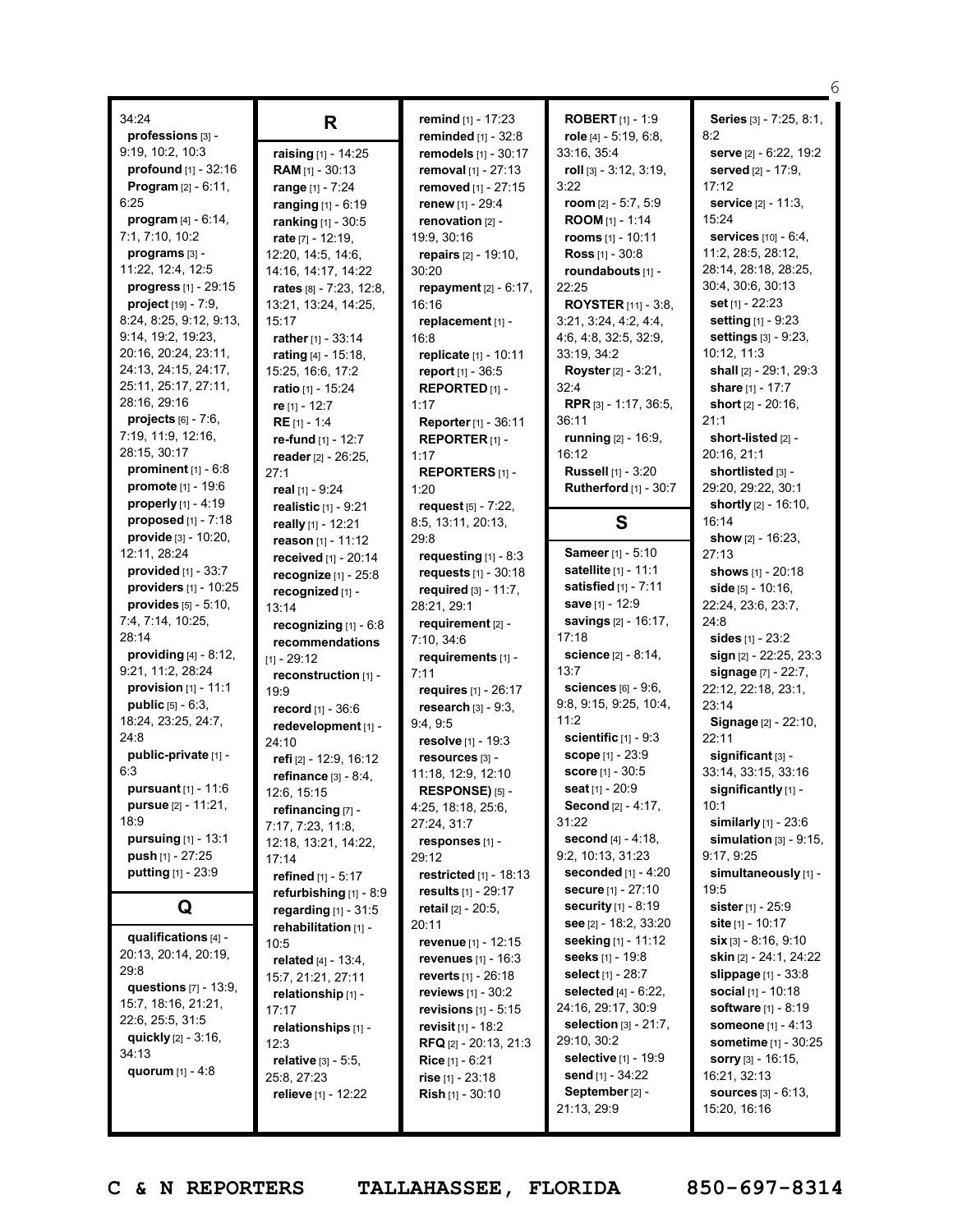|                                 |                               |                                       |                               | 6                            |
|---------------------------------|-------------------------------|---------------------------------------|-------------------------------|------------------------------|
| 34:24                           |                               | remind [1] - 17:23                    | <b>ROBERT</b> $[1] - 1:9$     | Series [3] - 7:25, 8:1,      |
| professions [3] -               | R                             | <b>reminded</b> $[1]$ - 32:8          | role $[4] - 5:19, 6:8,$       | 8:2                          |
| 9:19, 10:2, 10:3                | raising [1] - 14:25           | remodels [1] - 30:17                  | 33:16, 35:4                   | serve [2] - 6:22, 19:2       |
| profound [1] - 32:16            | RAM [1] - 30:13               | removal [1] - 27:13                   | roll [3] - 3:12, 3:19,        | served [2] - 17:9,           |
| <b>Program</b> $[2] - 6:11$ ,   | range [1] - 7:24              | removed [1] - 27:15                   | 3:22                          | 17:12                        |
| 6:25                            | ranging [1] - 6:19            | <b>renew</b> $[1] - 29:4$             | room [2] - 5:7, 5:9           | service [2] - 11:3,          |
| <b>program</b> $[4] - 6:14$ ,   | ranking [1] - 30:5            | renovation [2] -                      | <b>ROOM</b> $[1] - 1:14$      | 15:24                        |
| 7:1, 7:10, 10:2                 | rate [7] - 12:19,             | 19:9, 30:16                           | rooms [1] - 10:11             | services [10] - 6:4,         |
| programs [3] -                  | 12:20, 14:5, 14:6,            | repairs [2] - 19:10,                  | <b>Ross</b> $[1] - 30:8$      | 11:2, 28:5, 28:12,           |
| 11:22, 12:4, 12:5               | 14:16, 14:17, 14:22           | 30:20                                 | roundabouts [1] -             | 28:14, 28:18, 28:25,         |
| <b>progress</b> $[1] - 29:15$   | rates [8] - 7:23, 12:8,       | <b>repayment</b> $[2] - 6:17$ ,       | 22:25                         | 30:4, 30:6, 30:13            |
| <b>project</b> $[19] - 7:9$ ,   | 13:21, 13:24, 14:25,          | 16:16                                 | <b>ROYSTER</b> $[11] - 3:8$ , | set [1] - 22:23              |
| 8:24, 8:25, 9:12, 9:13,         | 15:17                         | replacement [1] -                     | 3:21, 3:24, 4:2, 4:4,         | setting [1] - 9:23           |
| 9:14, 19:2, 19:23,              | rather [1] - 33:14            | 16:8                                  | 4:6, 4:8, 32:5, 32:9,         | settings [3] - 9:23,         |
| 20:16, 20:24, 23:11,            | rating [4] - 15:18,           | replicate [1] - 10:11                 | 33:19, 34:2                   | 10:12, 11:3                  |
| 24:13, 24:15, 24:17,            | 15:25, 16:6, 17:2             | <b>report</b> $[1] - 36:5$            | <b>Royster</b> $[2] - 3:21$ , | shall [2] - 29:1, 29:3       |
| 25:11, 25:17, 27:11,            | ratio [1] - 15:24             | REPORTED [1] -                        | 32:4                          | share [1] - 17:7             |
| 28:16, 29:16                    | re [1] - 12:7                 | 1:17                                  | <b>RPR</b> [3] - 1:17, 36:5,  | short $[2] - 20:16$ .        |
| projects $[6] - 7:6$ ,          | $RE [1] - 1:4$                | Reporter [1] - 36:11                  | 36:11                         | 21:1                         |
| 7:19, 11:9, 12:16,              | re-fund [1] - 12:7            | REPORTER <sub>[1]</sub> -             | running [2] - 16:9,           | short-listed [2] -           |
| 28:15, 30:17                    | reader [2] - 26:25.           | 1:17                                  | 16:12                         | 20:16, 21:1                  |
| prominent $[1] - 6.8$           | 27:1                          | <b>REPORTERS [1] -</b>                | <b>Russell</b> [1] - 3:20     | shortlisted [3] -            |
| promote [1] - 19:6              | real [1] - 9:24               | 1:20                                  | <b>Rutherford</b> [1] - 30:7  | 29:20, 29:22, 30:1           |
| properly [1] - 4:19             | realistic [1] - 9:21          | request [5] - 7:22,                   |                               | shortly [2] - 16:10,         |
| proposed $[1]$ - $7:18$         |                               | 8:5, 13:11, 20:13,                    | S                             | 16:14                        |
| <b>provide</b> $[3] - 10:20$ ,  | really [1] - 12:21            | 29:8                                  |                               | show $[2] - 16:23$ ,         |
| 12:11, 28:24                    | reason [1] - 11:12            | requesting $[1] - 8:3$                | <b>Sameer</b> [1] - 5:10      | 27:13                        |
| provided [1] - 33:7             | received [1] - 20:14          | requests [1] - 30:18                  | satellite [1] - 11:1          | shows [1] - 20:18            |
| providers $[1] - 10:25$         | recognize $[1]$ - 25:8        | required $[3] - 11:7$ ,               | satisfied $[1]$ - 7:11        | side $[5] - 10:16$ ,         |
| <b>provides</b> $[5] - 5:10$ ,  | recognized [1] -              | 28:21, 29:1                           | save $[1] - 12:9$             | 22:24, 23:6, 23:7,           |
| 7:4, 7:14, 10:25,               | 13:14                         | requirement [2] -                     | <b>savings</b> [2] - 16:17,   | 24:8                         |
| 28:14                           | recognizing $[1] - 6:8$       | 7:10, 34:6                            | 17:18                         | sides $[1] - 23:2$           |
| <b>providing</b> $[4] - 8:12$ , | recommendations               | requirements [1] -                    | science [2] - 8:14,           | sign [2] - 22:25, 23:3       |
| 9:21, 11:2, 28:24               | [1] - 29:12                   | 7:11                                  | 13:7                          | signage [7] - 22:7,          |
| <b>provision</b> $[1] - 11:1$   | reconstruction [1] -          | requires $[1] - 26:17$                | sciences [6] - 9:6,           | 22:12, 22:18, 23:1,          |
| <b>public</b> $[5] - 6:3$ ,     | 19:9                          | research $[3] - 9:3$ .                | 9:8, 9:15, 9:25, 10:4,        | 23:14                        |
| 18:24, 23:25, 24:7,             | record [1] - 36:6             | 9:4,9:5                               | 11:2                          | Signage [2] - 22:10,         |
| 24:8                            | redevelopment [1] -           | resolve [1] - 19:3                    | scientific $[1]$ - 9:3        | 22:11                        |
| public-private [1] -            | 24:10                         |                                       | <b>scope</b> $[1] - 23:9$     | significant [3] -            |
| 6:3                             | refi [2] - 12:9, 16:12        | resources [3] -<br>11:18, 12:9, 12:10 | score [1] - 30:5              | 33:14, 33:15, 33:16          |
| <b>pursuant</b> $[1] - 11.6$    | refinance [3] - 8:4,          | RESPONSE) [5] -                       | seat $[1] - 20.9$             | significantly [1] -          |
| pursue [2] - 11:21,             | 12:6, 15:15                   | 4:25, 18:18, 25:6,                    | Second [2] - 4:17,            | 10:1                         |
| 18:9                            | refinancing [7] -             | 27:24, 31:7                           | 31:22                         | similarly $[1] - 23:6$       |
| <b>pursuing</b> $[1] - 13:1$    | 7:17, 7:23, 11:8,             | responses [1] -                       | second [4] - 4:18,            | simulation $[3] - 9:15$ ,    |
| <b>push</b> $[1]$ - 27:25       | 12:18, 13:21, 14:22,          | 29:12                                 | 9:2, 10:13, 31:23             | 9:17, 9:25                   |
| <b>putting</b> $[1] - 23.9$     | 17:14                         | <b>restricted</b> $[1] - 18:13$       | seconded $[1] - 4:20$         | simultaneously [1] -         |
|                                 | refined [1] - 5:17            | results $[1] - 29:17$                 | <b>secure</b> $[1] - 27:10$   | 19:5                         |
| Q                               | refurbishing [1] - 8:9        | <b>retail</b> [2] - 20:5,             | <b>security</b> $[1] - 8:19$  | sister $[1] - 25.9$          |
|                                 | <b>regarding</b> $[1] - 31:5$ | 20:11                                 | see [2] - 18:2, 33:20         | <b>site</b> [1] - 10:17      |
| qualifications [4] -            | rehabilitation [1] -          | revenue [1] - 12:15                   | <b>seeking</b> [1] - 11:12    | $\sin$ [3] - 8:16, 9:10      |
| 20:13, 20:14, 20:19,            | 10:5                          | <b>revenues</b> $[1] - 16:3$          | seeks [1] - 19:8              | skin [2] - 24:1, 24:22       |
| 29:8                            | related $[4] - 13:4$ ,        | <b>reverts</b> $[1] - 26:18$          | select [1] - 28:7             | slippage $[1] - 33.8$        |
| questions [7] - 13:9,           | 15:7, 21:21, 27:11            | <b>reviews</b> $[1] - 30:2$           | selected [4] - 6:22,          | social [1] - 10:18           |
| 15:7, 18:16, 21:21,             | relationship [1] -            | revisions $[1]$ - $5:15$              | 24:16, 29:17, 30:9            | <b>software</b> [1] - 8:19   |
| 22:6, 25:5, 31:5                | 17:17                         | <b>revisit</b> $[1]$ - 18:2           | selection [3] - 21:7,         | <b>someone</b> [1] - 4:13    |
| quickly $[2] - 3:16$ ,          | relationships [1] -<br>12:3   |                                       | 29:10, 30:2                   | <b>sometime</b> [1] - 30:25  |
| 34:13                           |                               | <b>RFQ</b> [2] - 20:13, 21:3          | selective [1] - 19:9          | <b>sorry</b> $[3] - 16:15$ , |
| quorum $[1] - 4:8$              | <b>relative</b> $[3] - 5:5$ , | <b>Rice</b> $[1] - 6:21$              | send [1] - 34:22              | 16:21, 32:13                 |
|                                 | 25:8, 27:23                   | rise $[1] - 23:18$                    | September [2] -               | <b>sources</b> [3] - 6:13,   |
|                                 | <b>relieve</b> [1] - 12:22    | <b>Rish</b> $[1]$ - 30:10             | 21:13, 29:9                   | 15:20, 16:16                 |
|                                 |                               |                                       |                               |                              |